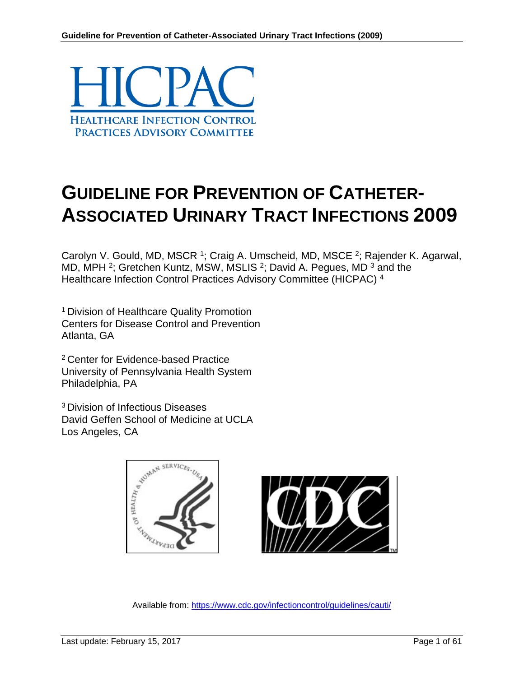

# **GUIDELINE FOR PREVENTION OF CATHETER-ASSOCIATED URINARY TRACT INFECTIONS 2009**

Carolyn V. Gould, MD, MSCR<sup>1</sup>; Craig A. Umscheid, MD, MSCE<sup>2</sup>; Rajender K. Agarwal, MD, MPH <sup>2</sup>; Gretchen Kuntz, MSW, MSLIS <sup>2</sup>; David A. Pegues, MD <sup>3</sup> and the Healthcare Infection Control Practices Advisory Committee (HICPAC) <sup>4</sup>

1 Division of Healthcare Quality Promotion Centers for Disease Control and Prevention Atlanta, GA

<sup>2</sup> Center for Evidence-based Practice University of Pennsylvania Health System Philadelphia, PA

3 Division of Infectious Diseases David Geffen School of Medicine at UCLA





Available from[: https://www.cdc.gov/infectioncontrol/guidelines/cauti/](https://www.cdc.gov/infectioncontrol/guidelines/cauti/)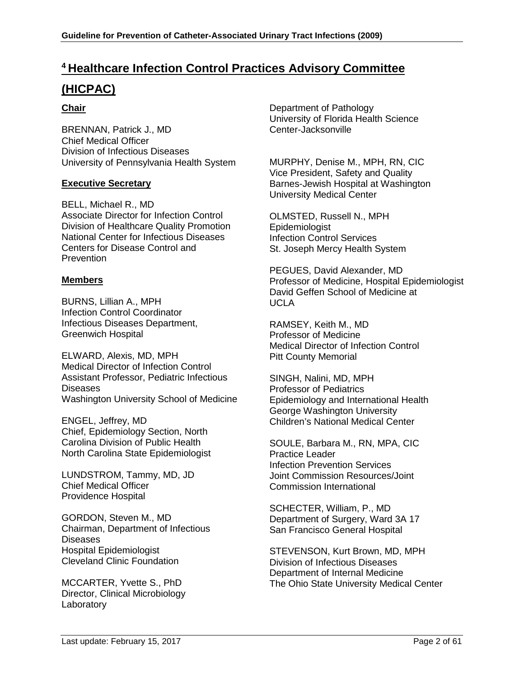# **4 Healthcare Infection Control Practices Advisory Committee (HICPAC)**

#### **Chair**

BRENNAN, Patrick J., MD Chief Medical Officer Division of Infectious Diseases University of Pennsylvania Health System

#### **Executive Secretary**

BELL, Michael R., MD Associate Director for Infection Control Division of Healthcare Quality Promotion National Center for Infectious Diseases Centers for Disease Control and **Prevention** 

#### **Members**

BURNS, Lillian A., MPH Infection Control Coordinator Infectious Diseases Department, Greenwich Hospital

ELWARD, Alexis, MD, MPH Medical Director of Infection Control Assistant Professor, Pediatric Infectious Diseases Washington University School of Medicine

ENGEL, Jeffrey, MD Chief, Epidemiology Section, North Carolina Division of Public Health North Carolina State Epidemiologist

LUNDSTROM, Tammy, MD, JD Chief Medical Officer Providence Hospital

GORDON, Steven M., MD Chairman, Department of Infectious Diseases Hospital Epidemiologist Cleveland Clinic Foundation

MCCARTER, Yvette S., PhD Director, Clinical Microbiology Laboratory

Department of Pathology University of Florida Health Science Center-Jacksonville

MURPHY, Denise M., MPH, RN, CIC Vice President, Safety and Quality Barnes-Jewish Hospital at Washington University Medical Center

OLMSTED, Russell N., MPH **Epidemiologist** Infection Control Services St. Joseph Mercy Health System

PEGUES, David Alexander, MD Professor of Medicine, Hospital Epidemiologist David Geffen School of Medicine at UCLA

RAMSEY, Keith M., MD Professor of Medicine Medical Director of Infection Control Pitt County Memorial

SINGH, Nalini, MD, MPH Professor of Pediatrics Epidemiology and International Health George Washington University Children's National Medical Center

SOULE, Barbara M., RN, MPA, CIC Practice Leader Infection Prevention Services Joint Commission Resources/Joint Commission International

SCHECTER, William, P., MD Department of Surgery, Ward 3A 17 San Francisco General Hospital

STEVENSON, Kurt Brown, MD, MPH Division of Infectious Diseases Department of Internal Medicine The Ohio State University Medical Center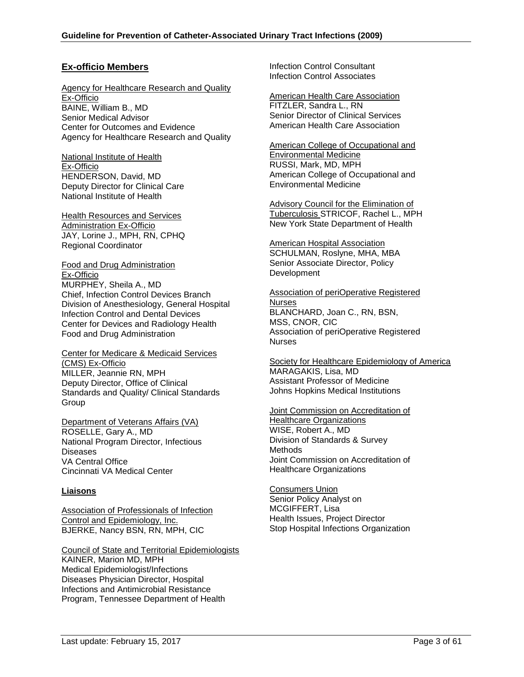#### **Ex-officio Members**

Agency for Healthcare Research and Quality Ex-Officio BAINE, William B., MD Senior Medical Advisor Center for Outcomes and Evidence Agency for Healthcare Research and Quality

National Institute of Health Ex-Officio HENDERSON, David, MD Deputy Director for Clinical Care National Institute of Health

Health Resources and Services Administration Ex-Officio JAY, Lorine J., MPH, RN, CPHQ Regional Coordinator

Food and Drug Administration Ex-Officio MURPHEY, Sheila A., MD Chief, Infection Control Devices Branch Division of Anesthesiology, General Hospital Infection Control and Dental Devices Center for Devices and Radiology Health Food and Drug Administration

Center for Medicare & Medicaid Services (CMS) Ex-Officio MILLER, Jeannie RN, MPH Deputy Director, Office of Clinical Standards and Quality/ Clinical Standards Group

Department of Veterans Affairs (VA) ROSELLE, Gary A., MD National Program Director, Infectious Diseases VA Central Office Cincinnati VA Medical Center

#### **Liaisons**

Association of Professionals of Infection Control and Epidemiology, Inc. BJERKE, Nancy BSN, RN, MPH, CIC

Council of State and Territorial Epidemiologists KAINER, Marion MD, MPH Medical Epidemiologist/Infections Diseases Physician Director, Hospital Infections and Antimicrobial Resistance Program, Tennessee Department of Health

Infection Control Consultant Infection Control Associates

American Health Care Association FITZLER, Sandra L., RN Senior Director of Clinical Services American Health Care Association

American College of Occupational and Environmental Medicine RUSSI, Mark, MD, MPH American College of Occupational and Environmental Medicine

Advisory Council for the Elimination of Tuberculosis STRICOF, Rachel L., MPH New York State Department of Health

American Hospital Association SCHULMAN, Roslyne, MHA, MBA Senior Associate Director, Policy Development

Association of periOperative Registered **Nurses** BLANCHARD, Joan C., RN, BSN, MSS, CNOR, CIC Association of periOperative Registered Nurses

Society for Healthcare Epidemiology of America MARAGAKIS, Lisa, MD Assistant Professor of Medicine Johns Hopkins Medical Institutions

Joint Commission on Accreditation of **Healthcare Organizations** WISE, Robert A., MD Division of Standards & Survey **Methods** Joint Commission on Accreditation of Healthcare Organizations

Consumers Union Senior Policy Analyst on MCGIFFERT, Lisa Health Issues, Project Director Stop Hospital Infections Organization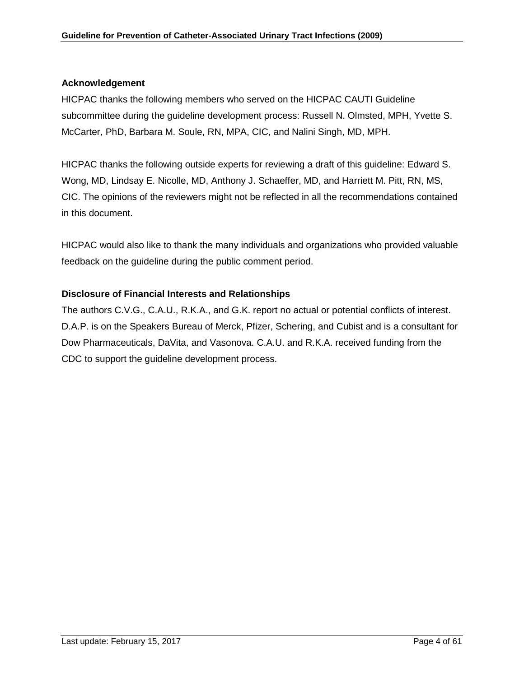#### **Acknowledgement**

HICPAC thanks the following members who served on the HICPAC CAUTI Guideline subcommittee during the guideline development process: Russell N. Olmsted, MPH, Yvette S. McCarter, PhD, Barbara M. Soule, RN, MPA, CIC, and Nalini Singh, MD, MPH.

HICPAC thanks the following outside experts for reviewing a draft of this guideline: Edward S. Wong, MD, Lindsay E. Nicolle, MD, Anthony J. Schaeffer, MD, and Harriett M. Pitt, RN, MS, CIC. The opinions of the reviewers might not be reflected in all the recommendations contained in this document.

HICPAC would also like to thank the many individuals and organizations who provided valuable feedback on the guideline during the public comment period.

#### **Disclosure of Financial Interests and Relationships**

The authors C.V.G., C.A.U., R.K.A., and G.K. report no actual or potential conflicts of interest. D.A.P. is on the Speakers Bureau of Merck, Pfizer, Schering, and Cubist and is a consultant for Dow Pharmaceuticals, DaVita, and Vasonova. C.A.U. and R.K.A. received funding from the CDC to support the guideline development process.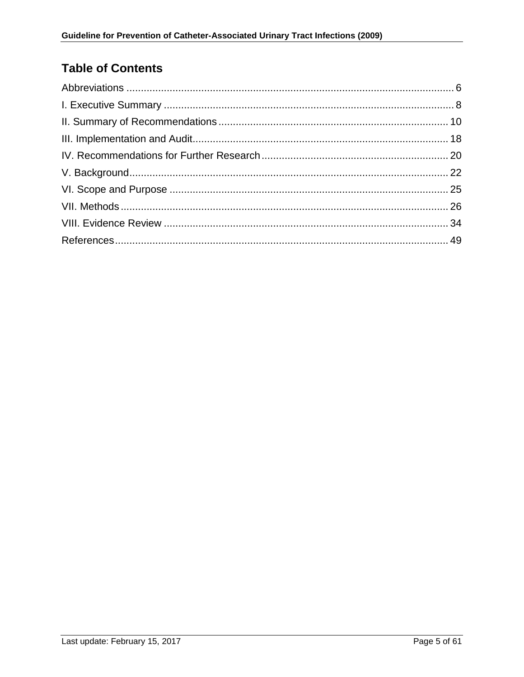# **Table of Contents**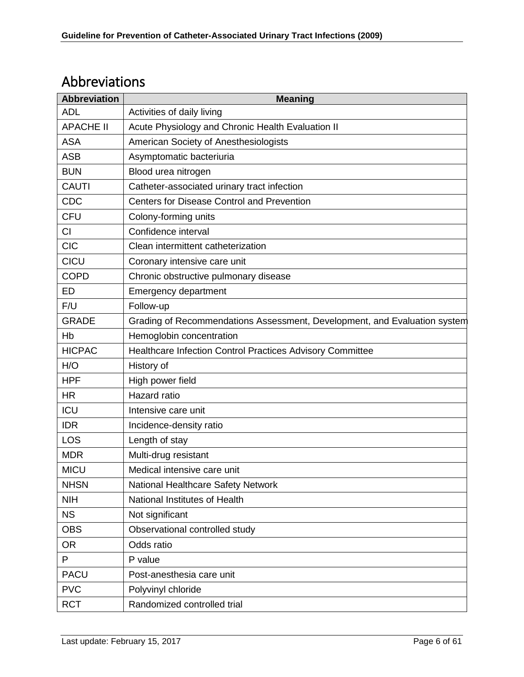| <b>Abbreviation</b> | <b>Meaning</b>                                                            |
|---------------------|---------------------------------------------------------------------------|
| <b>ADL</b>          | Activities of daily living                                                |
| <b>APACHE II</b>    | Acute Physiology and Chronic Health Evaluation II                         |
| <b>ASA</b>          | American Society of Anesthesiologists                                     |
| <b>ASB</b>          | Asymptomatic bacteriuria                                                  |
| <b>BUN</b>          | Blood urea nitrogen                                                       |
| <b>CAUTI</b>        | Catheter-associated urinary tract infection                               |
| <b>CDC</b>          | <b>Centers for Disease Control and Prevention</b>                         |
| <b>CFU</b>          | Colony-forming units                                                      |
| CI                  | Confidence interval                                                       |
| <b>CIC</b>          | Clean intermittent catheterization                                        |
| CICU                | Coronary intensive care unit                                              |
| <b>COPD</b>         | Chronic obstructive pulmonary disease                                     |
| <b>ED</b>           | <b>Emergency department</b>                                               |
| F/U                 | Follow-up                                                                 |
| <b>GRADE</b>        | Grading of Recommendations Assessment, Development, and Evaluation system |
| Hb                  | Hemoglobin concentration                                                  |
| <b>HICPAC</b>       | Healthcare Infection Control Practices Advisory Committee                 |
| H/O                 | History of                                                                |
| <b>HPF</b>          | High power field                                                          |
| HR.                 | Hazard ratio                                                              |
| ICU                 | Intensive care unit                                                       |
| <b>IDR</b>          | Incidence-density ratio                                                   |
| <b>LOS</b>          | Length of stay                                                            |
| <b>MDR</b>          | Multi-drug resistant                                                      |
| <b>MICU</b>         | Medical intensive care unit                                               |
| <b>NHSN</b>         | National Healthcare Safety Network                                        |
| <b>NIH</b>          | National Institutes of Health                                             |
| <b>NS</b>           | Not significant                                                           |
| <b>OBS</b>          | Observational controlled study                                            |
| <b>OR</b>           | Odds ratio                                                                |
| P                   | P value                                                                   |
| <b>PACU</b>         | Post-anesthesia care unit                                                 |
| <b>PVC</b>          | Polyvinyl chloride                                                        |
| <b>RCT</b>          | Randomized controlled trial                                               |

# <span id="page-5-0"></span>Abbreviations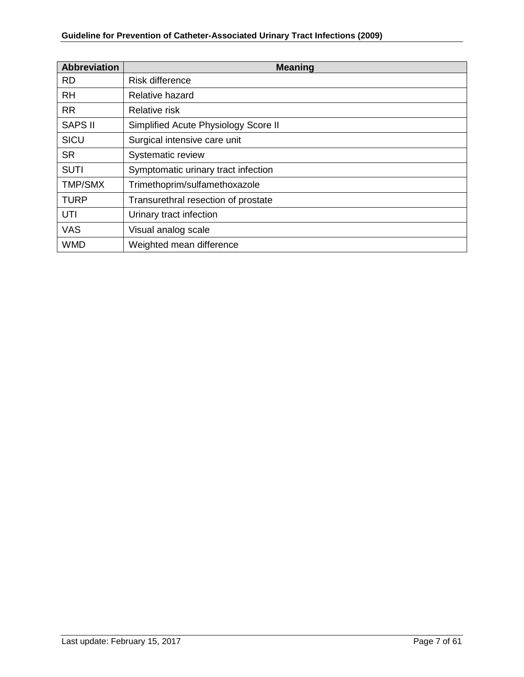| <b>Abbreviation</b> | <b>Meaning</b>                       |
|---------------------|--------------------------------------|
| <b>RD</b>           | <b>Risk difference</b>               |
| <b>RH</b>           | Relative hazard                      |
| <b>RR</b>           | Relative risk                        |
| <b>SAPS II</b>      | Simplified Acute Physiology Score II |
| <b>SICU</b>         | Surgical intensive care unit         |
| <b>SR</b>           | Systematic review                    |
| <b>SUTI</b>         | Symptomatic urinary tract infection  |
| <b>TMP/SMX</b>      | Trimethoprim/sulfamethoxazole        |
| <b>TURP</b>         | Transurethral resection of prostate  |
| UTI                 | Urinary tract infection              |
| <b>VAS</b>          | Visual analog scale                  |
| <b>WMD</b>          | Weighted mean difference             |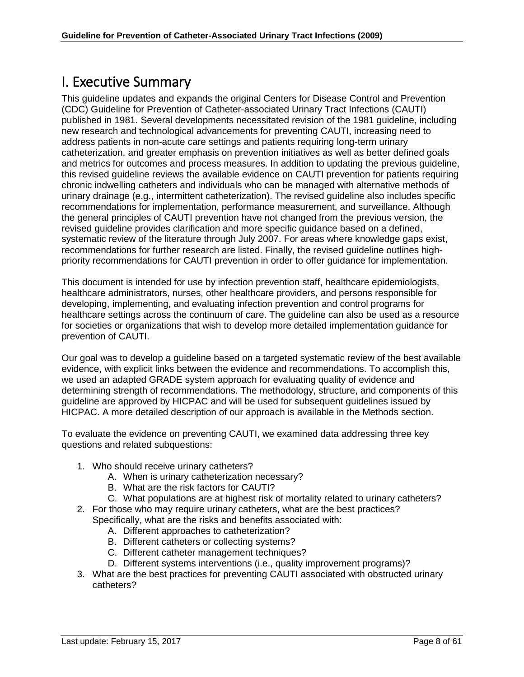# <span id="page-7-0"></span>I. Executive Summary

This guideline updates and expands the original Centers for Disease Control and Prevention (CDC) Guideline for Prevention of Catheter-associated Urinary Tract Infections (CAUTI) published in 1981. Several developments necessitated revision of the 1981 guideline, including new research and technological advancements for preventing CAUTI, increasing need to address patients in non-acute care settings and patients requiring long-term urinary catheterization, and greater emphasis on prevention initiatives as well as better defined goals and metrics for outcomes and process measures. In addition to updating the previous guideline, this revised guideline reviews the available evidence on CAUTI prevention for patients requiring chronic indwelling catheters and individuals who can be managed with alternative methods of urinary drainage (e.g., intermittent catheterization). The revised guideline also includes specific recommendations for implementation, performance measurement, and surveillance. Although the general principles of CAUTI prevention have not changed from the previous version, the revised guideline provides clarification and more specific guidance based on a defined, systematic review of the literature through July 2007. For areas where knowledge gaps exist, recommendations for further research are listed. Finally, the revised guideline outlines highpriority recommendations for CAUTI prevention in order to offer guidance for implementation.

This document is intended for use by infection prevention staff, healthcare epidemiologists, healthcare administrators, nurses, other healthcare providers, and persons responsible for developing, implementing, and evaluating infection prevention and control programs for healthcare settings across the continuum of care. The guideline can also be used as a resource for societies or organizations that wish to develop more detailed implementation guidance for prevention of CAUTI.

Our goal was to develop a guideline based on a targeted systematic review of the best available evidence, with explicit links between the evidence and recommendations. To accomplish this, we used an adapted GRADE system approach for evaluating quality of evidence and determining strength of recommendations. The methodology, structure, and components of this guideline are approved by HICPAC and will be used for subsequent guidelines issued by HICPAC. A more detailed description of our approach is available in the Methods section.

To evaluate the evidence on preventing CAUTI, we examined data addressing three key questions and related subquestions:

- 1. Who should receive urinary catheters?
	- A. When is urinary catheterization necessary?
	- B. What are the risk factors for CAUTI?
	- C. What populations are at highest risk of mortality related to urinary catheters?
- 2. For those who may require urinary catheters, what are the best practices? Specifically, what are the risks and benefits associated with:
	- A. Different approaches to catheterization?
	- B. Different catheters or collecting systems?
	- C. Different catheter management techniques?
	- D. Different systems interventions (i.e., quality improvement programs)?
- 3. What are the best practices for preventing CAUTI associated with obstructed urinary catheters?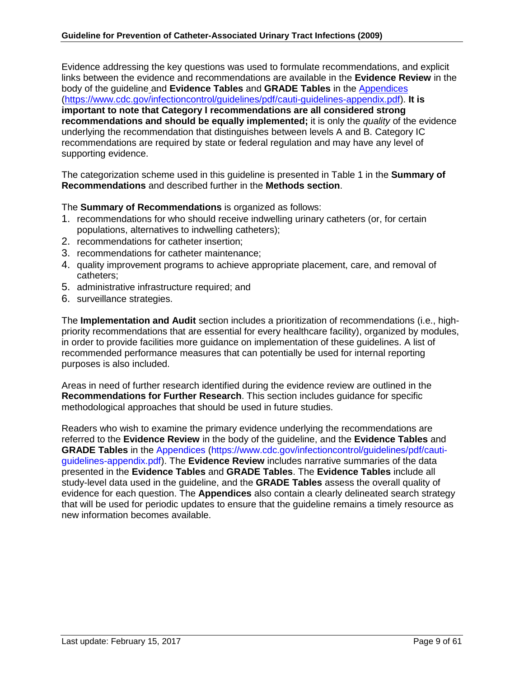Evidence addressing the key questions was used to formulate recommendations, and explicit links between the evidence and recommendations are available in the **Evidence Review** in the body of the guideline and **Evidence Tables** and **GRADE Tables** in the [Appendices](https://www.cdc.gov/infectioncontrol/guidelines/pdf/cauti-guidelines-appendix.pdf) [\(https://www.cdc.gov/infectioncontrol/guidelines/pdf/cauti-guidelines-appendix.pdf\)](https://www.cdc.gov/infectioncontrol/guidelines/pdf/cauti-guidelines-appendix.pdf). **It is important to note that Category I recommendations are all considered strong recommendations and should be equally implemented;** it is only the *quality* of the evidence underlying the recommendation that distinguishes between levels A and B. Category IC recommendations are required by state or federal regulation and may have any level of supporting evidence.

The categorization scheme used in this guideline is presented in Table 1 in the **Summary of Recommendations** and described further in the **Methods section**.

#### The **Summary of Recommendations** is organized as follows:

- 1. recommendations for who should receive indwelling urinary catheters (or, for certain populations, alternatives to indwelling catheters);
- 2. recommendations for catheter insertion;
- 3. recommendations for catheter maintenance;
- 4. quality improvement programs to achieve appropriate placement, care, and removal of catheters;
- 5. administrative infrastructure required; and
- 6. surveillance strategies.

The **Implementation and Audit** section includes a prioritization of recommendations (i.e., highpriority recommendations that are essential for every healthcare facility), organized by modules, in order to provide facilities more guidance on implementation of these guidelines. A list of recommended performance measures that can potentially be used for internal reporting purposes is also included.

Areas in need of further research identified during the evidence review are outlined in the **Recommendations for Further Research**. This section includes guidance for specific methodological approaches that should be used in future studies.

Readers who wish to examine the primary evidence underlying the recommendations are referred to the **Evidence Review** in the body of the guideline, and the **Evidence Tables** and **GRADE Tables** in the [Appendices \(https://www.cdc.gov/infectioncontrol/guidelines/pdf/cauti](https://www.cdc.gov/infectioncontrol/guidelines/pdf/cauti-guidelines-appendix.pdf)[guidelines-appendix.pdf\)](https://www.cdc.gov/infectioncontrol/guidelines/pdf/cauti-guidelines-appendix.pdf). The **Evidence Review** includes narrative summaries of the data presented in the **Evidence Tables** and **GRADE Tables**. The **Evidence Tables** include all study-level data used in the guideline, and the **GRADE Tables** assess the overall quality of evidence for each question. The **Appendices** also contain a clearly delineated search strategy that will be used for periodic updates to ensure that the guideline remains a timely resource as new information becomes available.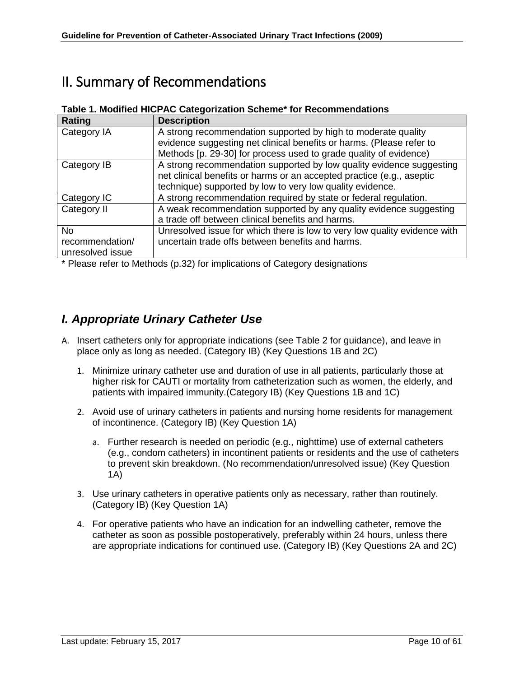# <span id="page-9-0"></span>II. Summary of Recommendations

## **Table 1. Modified HICPAC Categorization Scheme\* for Recommendations**

| <b>Rating</b>    | <b>Description</b>                                                                                |
|------------------|---------------------------------------------------------------------------------------------------|
| Category IA      | A strong recommendation supported by high to moderate quality                                     |
|                  | evidence suggesting net clinical benefits or harms. (Please refer to                              |
|                  | Methods [p. 29-30] for process used to grade quality of evidence)                                 |
| Category IB      | A strong recommendation supported by low quality evidence suggesting                              |
|                  | net clinical benefits or harms or an accepted practice (e.g., aseptic                             |
|                  | technique) supported by low to very low quality evidence.                                         |
| Category IC      | A strong recommendation required by state or federal regulation.                                  |
| Category II      | A weak recommendation supported by any quality evidence suggesting                                |
|                  | a trade off between clinical benefits and harms.                                                  |
| <b>No</b>        | Unresolved issue for which there is low to very low quality evidence with                         |
| recommendation/  | uncertain trade offs between benefits and harms.                                                  |
| unresolved issue |                                                                                                   |
|                  | $\star$ Discussed from the Mathematic (an OO) from the discussed for the monocological section of |

Please refer to Methods (p.32) for implications of Category designations

## *I. Appropriate Urinary Catheter Use*

- A. Insert catheters only for appropriate indications (see Table 2 for guidance), and leave in place only as long as needed. (Category IB) (Key Questions 1B and 2C)
	- 1. Minimize urinary catheter use and duration of use in all patients, particularly those at higher risk for CAUTI or mortality from catheterization such as women, the elderly, and patients with impaired immunity.(Category IB) (Key Questions 1B and 1C)
	- 2. Avoid use of urinary catheters in patients and nursing home residents for management of incontinence. (Category IB) (Key Question 1A)
		- a. Further research is needed on periodic (e.g., nighttime) use of external catheters (e.g., condom catheters) in incontinent patients or residents and the use of catheters to prevent skin breakdown. (No recommendation/unresolved issue) (Key Question 1A)
	- 3. Use urinary catheters in operative patients only as necessary, rather than routinely. (Category IB) (Key Question 1A)
	- 4. For operative patients who have an indication for an indwelling catheter, remove the catheter as soon as possible postoperatively, preferably within 24 hours, unless there are appropriate indications for continued use. (Category IB) (Key Questions 2A and 2C)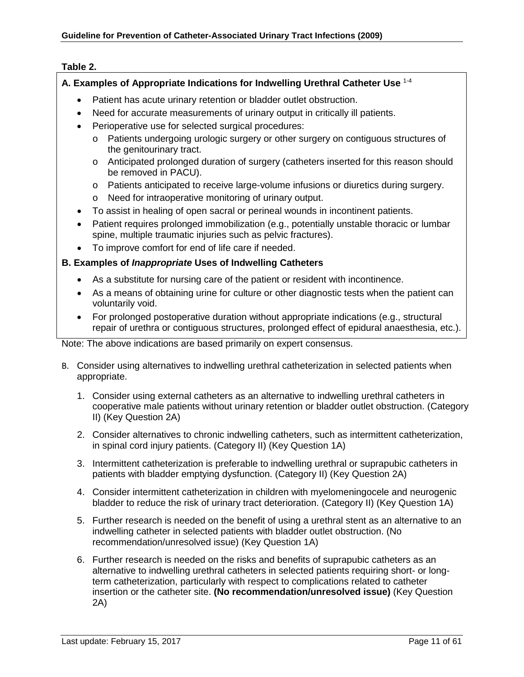#### **Table 2.**

#### **A. Examples of Appropriate Indications for Indwelling Urethral Catheter Use** 1-4

- Patient has acute urinary retention or bladder outlet obstruction.
- Need for accurate measurements of urinary output in critically ill patients.
- Perioperative use for selected surgical procedures:
	- o Patients undergoing urologic surgery or other surgery on contiguous structures of the genitourinary tract.
	- o Anticipated prolonged duration of surgery (catheters inserted for this reason should be removed in PACU).
	- o Patients anticipated to receive large-volume infusions or diuretics during surgery.
	- o Need for intraoperative monitoring of urinary output.
- To assist in healing of open sacral or perineal wounds in incontinent patients.
- Patient requires prolonged immobilization (e.g., potentially unstable thoracic or lumbar spine, multiple traumatic injuries such as pelvic fractures).
- To improve comfort for end of life care if needed.

#### **B. Examples of** *Inappropriate* **Uses of Indwelling Catheters**

- As a substitute for nursing care of the patient or resident with incontinence.
- As a means of obtaining urine for culture or other diagnostic tests when the patient can voluntarily void.
- For prolonged postoperative duration without appropriate indications (e.g., structural repair of urethra or contiguous structures, prolonged effect of epidural anaesthesia, etc.).

Note: The above indications are based primarily on expert consensus.

- B. Consider using alternatives to indwelling urethral catheterization in selected patients when appropriate.
	- 1. Consider using external catheters as an alternative to indwelling urethral catheters in cooperative male patients without urinary retention or bladder outlet obstruction. (Category II) (Key Question 2A)
	- 2. Consider alternatives to chronic indwelling catheters, such as intermittent catheterization, in spinal cord injury patients. (Category II) (Key Question 1A)
	- 3. Intermittent catheterization is preferable to indwelling urethral or suprapubic catheters in patients with bladder emptying dysfunction. (Category II) (Key Question 2A)
	- 4. Consider intermittent catheterization in children with myelomeningocele and neurogenic bladder to reduce the risk of urinary tract deterioration. (Category II) (Key Question 1A)
	- 5. Further research is needed on the benefit of using a urethral stent as an alternative to an indwelling catheter in selected patients with bladder outlet obstruction. (No recommendation/unresolved issue) (Key Question 1A)
	- 6. Further research is needed on the risks and benefits of suprapubic catheters as an alternative to indwelling urethral catheters in selected patients requiring short- or longterm catheterization, particularly with respect to complications related to catheter insertion or the catheter site. **(No recommendation/unresolved issue)** (Key Question 2A)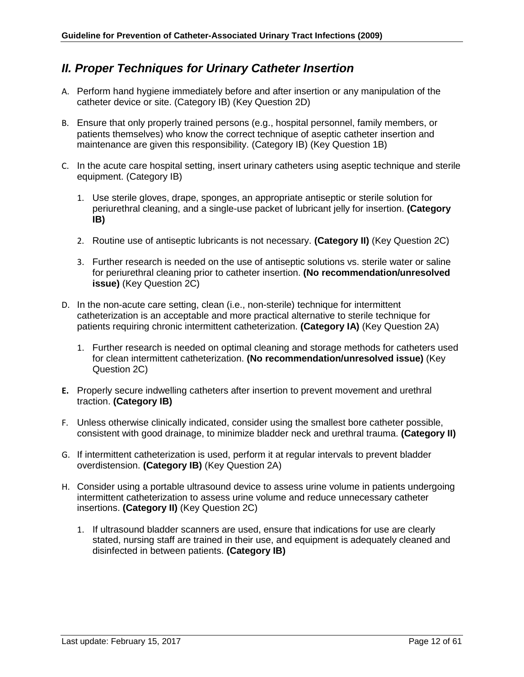### *II. Proper Techniques for Urinary Catheter Insertion*

- A. Perform hand hygiene immediately before and after insertion or any manipulation of the catheter device or site. (Category IB) (Key Question 2D)
- B. Ensure that only properly trained persons (e.g., hospital personnel, family members, or patients themselves) who know the correct technique of aseptic catheter insertion and maintenance are given this responsibility. (Category IB) (Key Question 1B)
- C. In the acute care hospital setting, insert urinary catheters using aseptic technique and sterile equipment. (Category IB)
	- 1. Use sterile gloves, drape, sponges, an appropriate antiseptic or sterile solution for periurethral cleaning, and a single-use packet of lubricant jelly for insertion. **(Category IB)**
	- 2. Routine use of antiseptic lubricants is not necessary. **(Category II)** (Key Question 2C)
	- 3. Further research is needed on the use of antiseptic solutions vs. sterile water or saline for periurethral cleaning prior to catheter insertion. **(No recommendation/unresolved issue)** (Key Question 2C)
- D. In the non-acute care setting, clean (i.e., non-sterile) technique for intermittent catheterization is an acceptable and more practical alternative to sterile technique for patients requiring chronic intermittent catheterization. **(Category IA)** (Key Question 2A)
	- 1. Further research is needed on optimal cleaning and storage methods for catheters used for clean intermittent catheterization. **(No recommendation/unresolved issue)** (Key Question 2C)
- **E.** Properly secure indwelling catheters after insertion to prevent movement and urethral traction. **(Category IB)**
- F. Unless otherwise clinically indicated, consider using the smallest bore catheter possible, consistent with good drainage, to minimize bladder neck and urethral trauma. **(Category II)**
- G. If intermittent catheterization is used, perform it at regular intervals to prevent bladder overdistension. **(Category IB)** (Key Question 2A)
- H. Consider using a portable ultrasound device to assess urine volume in patients undergoing intermittent catheterization to assess urine volume and reduce unnecessary catheter insertions. **(Category II)** (Key Question 2C)
	- 1. If ultrasound bladder scanners are used, ensure that indications for use are clearly stated, nursing staff are trained in their use, and equipment is adequately cleaned and disinfected in between patients. **(Category IB)**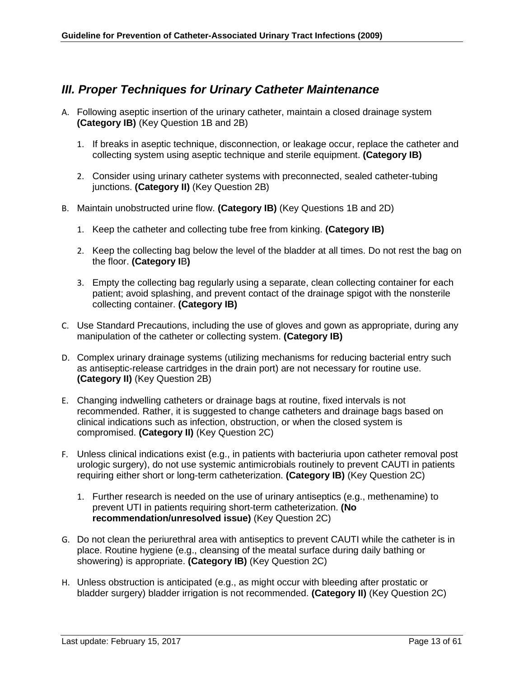## *III. Proper Techniques for Urinary Catheter Maintenance*

- A. Following aseptic insertion of the urinary catheter, maintain a closed drainage system **(Category IB)** (Key Question 1B and 2B)
	- 1. If breaks in aseptic technique, disconnection, or leakage occur, replace the catheter and collecting system using aseptic technique and sterile equipment. **(Category IB)**
	- 2. Consider using urinary catheter systems with preconnected, sealed catheter-tubing junctions. **(Category II)** (Key Question 2B)
- B. Maintain unobstructed urine flow. **(Category IB)** (Key Questions 1B and 2D)
	- 1. Keep the catheter and collecting tube free from kinking. **(Category IB)**
	- 2. Keep the collecting bag below the level of the bladder at all times. Do not rest the bag on the floor. **(Category I**B**)**
	- 3. Empty the collecting bag regularly using a separate, clean collecting container for each patient; avoid splashing, and prevent contact of the drainage spigot with the nonsterile collecting container. **(Category IB)**
- C. Use Standard Precautions, including the use of gloves and gown as appropriate, during any manipulation of the catheter or collecting system. **(Category IB)**
- D. Complex urinary drainage systems (utilizing mechanisms for reducing bacterial entry such as antiseptic-release cartridges in the drain port) are not necessary for routine use. **(Category II)** (Key Question 2B)
- E. Changing indwelling catheters or drainage bags at routine, fixed intervals is not recommended. Rather, it is suggested to change catheters and drainage bags based on clinical indications such as infection, obstruction, or when the closed system is compromised. **(Category II)** (Key Question 2C)
- F. Unless clinical indications exist (e.g., in patients with bacteriuria upon catheter removal post urologic surgery), do not use systemic antimicrobials routinely to prevent CAUTI in patients requiring either short or long-term catheterization. **(Category IB)** (Key Question 2C)
	- 1. Further research is needed on the use of urinary antiseptics (e.g., methenamine) to prevent UTI in patients requiring short-term catheterization. **(No recommendation/unresolved issue)** (Key Question 2C)
- G. Do not clean the periurethral area with antiseptics to prevent CAUTI while the catheter is in place. Routine hygiene (e.g., cleansing of the meatal surface during daily bathing or showering) is appropriate. **(Category IB)** (Key Question 2C)
- H. Unless obstruction is anticipated (e.g., as might occur with bleeding after prostatic or bladder surgery) bladder irrigation is not recommended. **(Category II)** (Key Question 2C)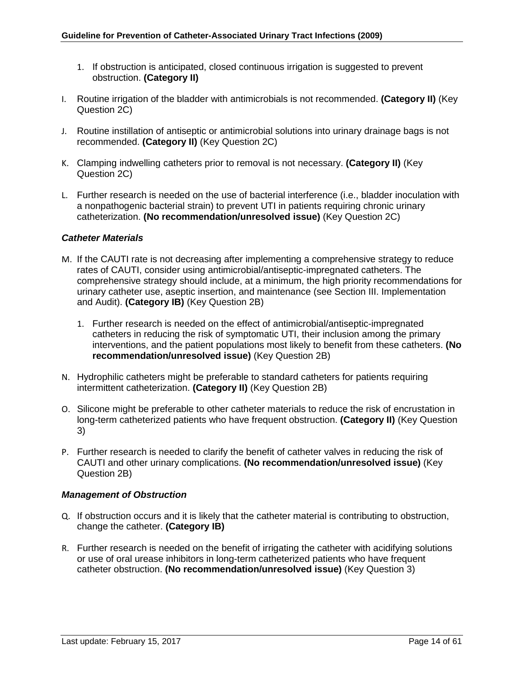- 1. If obstruction is anticipated, closed continuous irrigation is suggested to prevent obstruction. **(Category II)**
- I. Routine irrigation of the bladder with antimicrobials is not recommended. **(Category II)** (Key Question 2C)
- J. Routine instillation of antiseptic or antimicrobial solutions into urinary drainage bags is not recommended. **(Category II)** (Key Question 2C)
- K. Clamping indwelling catheters prior to removal is not necessary. **(Category II)** (Key Question 2C)
- L. Further research is needed on the use of bacterial interference (i.e., bladder inoculation with a nonpathogenic bacterial strain) to prevent UTI in patients requiring chronic urinary catheterization. **(No recommendation/unresolved issue)** (Key Question 2C)

#### *Catheter Materials*

- M. If the CAUTI rate is not decreasing after implementing a comprehensive strategy to reduce rates of CAUTI, consider using antimicrobial/antiseptic-impregnated catheters. The comprehensive strategy should include, at a minimum, the high priority recommendations for urinary catheter use, aseptic insertion, and maintenance (see Section III. Implementation and Audit). **(Category IB)** (Key Question 2B)
	- 1. Further research is needed on the effect of antimicrobial/antiseptic-impregnated catheters in reducing the risk of symptomatic UTI, their inclusion among the primary interventions, and the patient populations most likely to benefit from these catheters. **(No recommendation/unresolved issue)** (Key Question 2B)
- N. Hydrophilic catheters might be preferable to standard catheters for patients requiring intermittent catheterization. **(Category II)** (Key Question 2B)
- O. Silicone might be preferable to other catheter materials to reduce the risk of encrustation in long-term catheterized patients who have frequent obstruction. **(Category II)** (Key Question 3)
- P. Further research is needed to clarify the benefit of catheter valves in reducing the risk of CAUTI and other urinary complications. **(No recommendation/unresolved issue)** (Key Question 2B)

#### *Management of Obstruction*

- Q. If obstruction occurs and it is likely that the catheter material is contributing to obstruction, change the catheter. **(Category IB)**
- R. Further research is needed on the benefit of irrigating the catheter with acidifying solutions or use of oral urease inhibitors in long-term catheterized patients who have frequent catheter obstruction. **(No recommendation/unresolved issue)** (Key Question 3)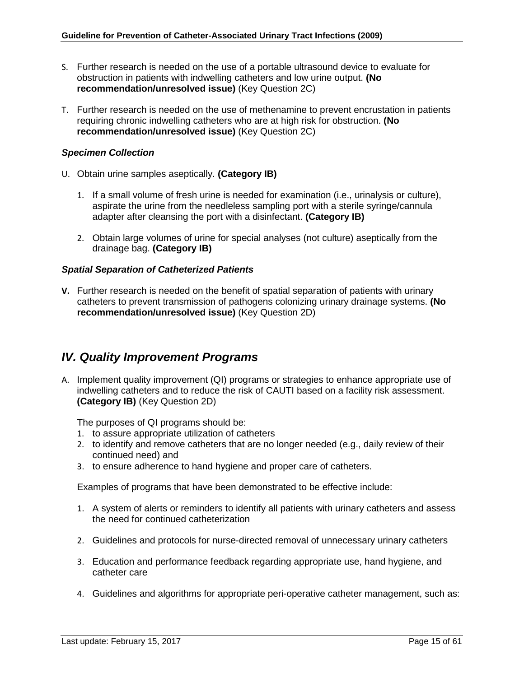- S. Further research is needed on the use of a portable ultrasound device to evaluate for obstruction in patients with indwelling catheters and low urine output. **(No recommendation/unresolved issue)** (Key Question 2C)
- T. Further research is needed on the use of methenamine to prevent encrustation in patients requiring chronic indwelling catheters who are at high risk for obstruction. **(No recommendation/unresolved issue)** (Key Question 2C)

#### *Specimen Collection*

- U. Obtain urine samples aseptically. **(Category IB)**
	- 1. If a small volume of fresh urine is needed for examination (i.e., urinalysis or culture), aspirate the urine from the needleless sampling port with a sterile syringe/cannula adapter after cleansing the port with a disinfectant. **(Category IB)**
	- 2. Obtain large volumes of urine for special analyses (not culture) aseptically from the drainage bag. **(Category IB)**

#### *Spatial Separation of Catheterized Patients*

**V.** Further research is needed on the benefit of spatial separation of patients with urinary catheters to prevent transmission of pathogens colonizing urinary drainage systems. **(No recommendation/unresolved issue)** (Key Question 2D)

### *IV. Quality Improvement Programs*

A. Implement quality improvement (QI) programs or strategies to enhance appropriate use of indwelling catheters and to reduce the risk of CAUTI based on a facility risk assessment. **(Category IB)** (Key Question 2D)

The purposes of QI programs should be:

- 1. to assure appropriate utilization of catheters
- 2. to identify and remove catheters that are no longer needed (e.g., daily review of their continued need) and
- 3. to ensure adherence to hand hygiene and proper care of catheters.

Examples of programs that have been demonstrated to be effective include:

- 1. A system of alerts or reminders to identify all patients with urinary catheters and assess the need for continued catheterization
- 2. Guidelines and protocols for nurse-directed removal of unnecessary urinary catheters
- 3. Education and performance feedback regarding appropriate use, hand hygiene, and catheter care
- 4. Guidelines and algorithms for appropriate peri-operative catheter management, such as: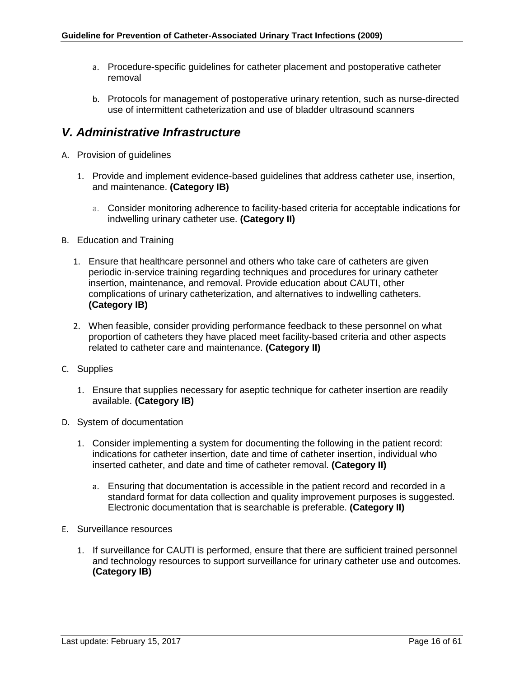- a. Procedure-specific guidelines for catheter placement and postoperative catheter removal
- b. Protocols for management of postoperative urinary retention, such as nurse-directed use of intermittent catheterization and use of bladder ultrasound scanners

## *V. Administrative Infrastructure*

- A. Provision of guidelines
	- 1. Provide and implement evidence-based guidelines that address catheter use, insertion, and maintenance. **(Category IB)**
		- a. Consider monitoring adherence to facility-based criteria for acceptable indications for indwelling urinary catheter use. **(Category II)**
- B. Education and Training
	- 1. Ensure that healthcare personnel and others who take care of catheters are given periodic in-service training regarding techniques and procedures for urinary catheter insertion, maintenance, and removal. Provide education about CAUTI, other complications of urinary catheterization, and alternatives to indwelling catheters. **(Category IB)**
	- 2. When feasible, consider providing performance feedback to these personnel on what proportion of catheters they have placed meet facility-based criteria and other aspects related to catheter care and maintenance. **(Category II)**
- C. Supplies
	- 1. Ensure that supplies necessary for aseptic technique for catheter insertion are readily available. **(Category IB)**
- D. System of documentation
	- 1. Consider implementing a system for documenting the following in the patient record: indications for catheter insertion, date and time of catheter insertion, individual who inserted catheter, and date and time of catheter removal. **(Category II)**
		- a. Ensuring that documentation is accessible in the patient record and recorded in a standard format for data collection and quality improvement purposes is suggested. Electronic documentation that is searchable is preferable. **(Category II)**
- E. Surveillance resources
	- 1. If surveillance for CAUTI is performed, ensure that there are sufficient trained personnel and technology resources to support surveillance for urinary catheter use and outcomes. **(Category IB)**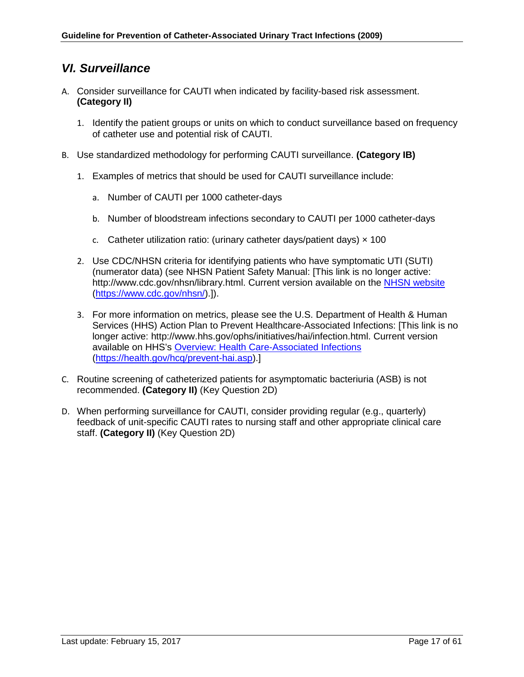### *VI. Surveillance*

- A. Consider surveillance for CAUTI when indicated by facility-based risk assessment. **(Category II)**
	- 1. Identify the patient groups or units on which to conduct surveillance based on frequency of catheter use and potential risk of CAUTI.
- B. Use standardized methodology for performing CAUTI surveillance. **(Category IB)**
	- 1. Examples of metrics that should be used for CAUTI surveillance include:
		- a. Number of CAUTI per 1000 catheter-days
		- b. Number of bloodstream infections secondary to CAUTI per 1000 catheter-days
		- c. Catheter utilization ratio: (urinary catheter days/patient days)  $\times$  100
	- 2. Use CDC/NHSN criteria for identifying patients who have symptomatic UTI (SUTI) (numerator data) (see NHSN Patient Safety Manual: [This link is no longer active: http://www.cdc.gov/nhsn/library.html. Current version available on the [NHSN website](http://www.cdc.gov/nhsn/) [\(https://www.cdc.gov/nhsn/\)](https://www.cdc.gov/nhsn/).]).
	- 3. For more information on metrics, please see the U.S. Department of Health & Human Services (HHS) Action Plan to Prevent Healthcare-Associated Infections: [This link is no longer active: http://www.hhs.gov/ophs/initiatives/hai/infection.html. Current version available on HHS's [Overview: Health Care-Associated Infections](https://health.gov/hcq/prevent-hai.asp) [\(https://health.gov/hcq/prevent-hai.asp\)](https://health.gov/hcq/prevent-hai.asp).]
- C. Routine screening of catheterized patients for asymptomatic bacteriuria (ASB) is not recommended. **(Category II)** (Key Question 2D)
- D. When performing surveillance for CAUTI, consider providing regular (e.g., quarterly) feedback of unit-specific CAUTI rates to nursing staff and other appropriate clinical care staff. **(Category II)** (Key Question 2D)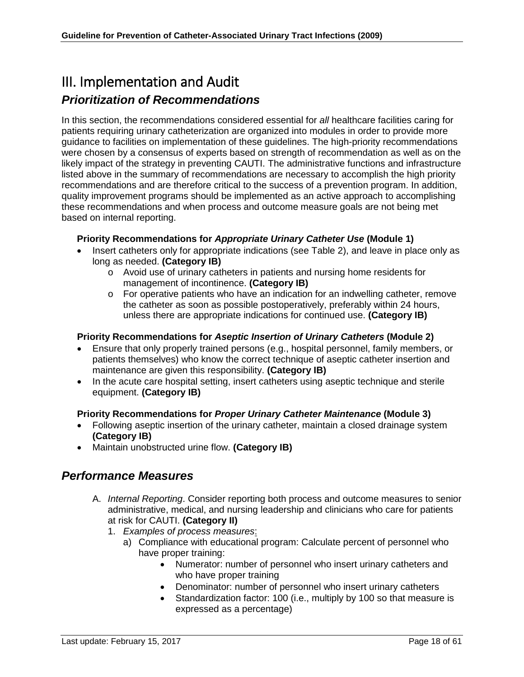# <span id="page-17-0"></span>III. Implementation and Audit

## *Prioritization of Recommendations*

In this section, the recommendations considered essential for *all* healthcare facilities caring for patients requiring urinary catheterization are organized into modules in order to provide more guidance to facilities on implementation of these guidelines. The high-priority recommendations were chosen by a consensus of experts based on strength of recommendation as well as on the likely impact of the strategy in preventing CAUTI. The administrative functions and infrastructure listed above in the summary of recommendations are necessary to accomplish the high priority recommendations and are therefore critical to the success of a prevention program. In addition, quality improvement programs should be implemented as an active approach to accomplishing these recommendations and when process and outcome measure goals are not being met based on internal reporting.

#### **Priority Recommendations for** *Appropriate Urinary Catheter Use* **(Module 1)**

- Insert catheters only for appropriate indications (see Table 2), and leave in place only as long as needed. **(Category IB)**
	- o Avoid use of urinary catheters in patients and nursing home residents for management of incontinence. **(Category IB)**
	- o For operative patients who have an indication for an indwelling catheter, remove the catheter as soon as possible postoperatively, preferably within 24 hours, unless there are appropriate indications for continued use. **(Category IB)**

#### **Priority Recommendations for** *Aseptic Insertion of Urinary Catheters* **(Module 2)**

- Ensure that only properly trained persons (e.g., hospital personnel, family members, or patients themselves) who know the correct technique of aseptic catheter insertion and maintenance are given this responsibility. **(Category IB)**
- In the acute care hospital setting, insert catheters using aseptic technique and sterile equipment. **(Category IB)**

#### **Priority Recommendations for** *Proper Urinary Catheter Maintenance* **(Module 3)**

- Following aseptic insertion of the urinary catheter, maintain a closed drainage system **(Category IB)**
- Maintain unobstructed urine flow. **(Category IB)**

## *Performance Measures*

- A. *Internal Reporting*. Consider reporting both process and outcome measures to senior administrative, medical, and nursing leadership and clinicians who care for patients at risk for CAUTI. **(Category II)**
	- 1. *Examples of process measures*:
		- a) Compliance with educational program: Calculate percent of personnel who have proper training:
			- Numerator: number of personnel who insert urinary catheters and who have proper training
			- Denominator: number of personnel who insert urinary catheters
			- Standardization factor: 100 (i.e., multiply by 100 so that measure is expressed as a percentage)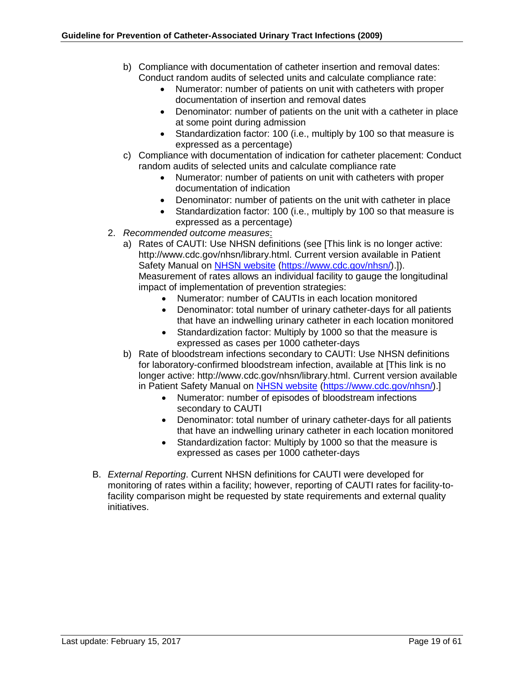- b) Compliance with documentation of catheter insertion and removal dates: Conduct random audits of selected units and calculate compliance rate:
	- Numerator: number of patients on unit with catheters with proper documentation of insertion and removal dates
	- Denominator: number of patients on the unit with a catheter in place at some point during admission
	- Standardization factor: 100 (i.e., multiply by 100 so that measure is expressed as a percentage)
- c) Compliance with documentation of indication for catheter placement: Conduct random audits of selected units and calculate compliance rate
	- Numerator: number of patients on unit with catheters with proper documentation of indication
	- Denominator: number of patients on the unit with catheter in place
	- Standardization factor: 100 (i.e., multiply by 100 so that measure is expressed as a percentage)
- 2. *Recommended outcome measures*:
	- a) Rates of CAUTI: Use NHSN definitions (see [This link is no longer active: http://www.cdc.gov/nhsn/library.html. Current version available in Patient Safety Manual on [NHSN website](http://www.cdc.gov/nhsn/) [\(https://www.cdc.gov/nhsn/\)](https://www.cdc.gov/nhsn/).]). Measurement of rates allows an individual facility to gauge the longitudinal impact of implementation of prevention strategies:
		- Numerator: number of CAUTIs in each location monitored
		- Denominator: total number of urinary catheter-days for all patients that have an indwelling urinary catheter in each location monitored
		- Standardization factor: Multiply by 1000 so that the measure is expressed as cases per 1000 catheter-days
	- b) Rate of bloodstream infections secondary to CAUTI: Use NHSN definitions for laboratory-confirmed bloodstream infection, available at [This link is no longer active: http://www.cdc.gov/nhsn/library.html. Current version available in Patient Safety Manual on [NHSN website](http://www.cdc.gov/nhsn/) [\(https://www.cdc.gov/nhsn/\)](https://www.cdc.gov/nhsn/).]
		- Numerator: number of episodes of bloodstream infections secondary to CAUTI
		- Denominator: total number of urinary catheter-days for all patients that have an indwelling urinary catheter in each location monitored
		- Standardization factor: Multiply by 1000 so that the measure is expressed as cases per 1000 catheter-days
- B. *External Reporting*. Current NHSN definitions for CAUTI were developed for monitoring of rates within a facility; however, reporting of CAUTI rates for facility-tofacility comparison might be requested by state requirements and external quality initiatives.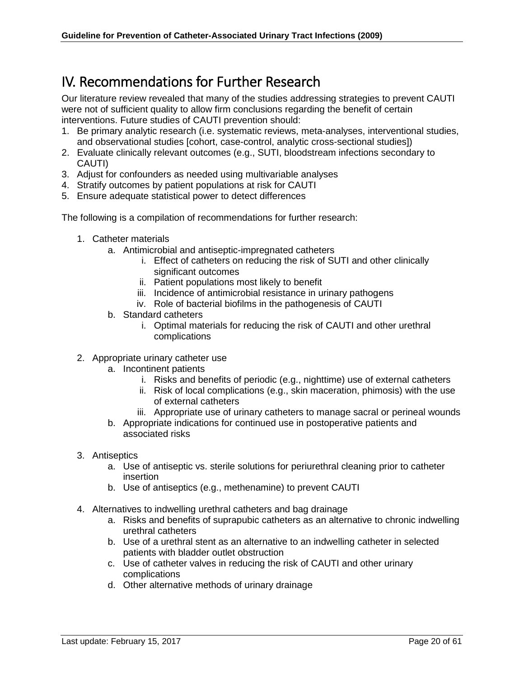# <span id="page-19-0"></span>IV. Recommendations for Further Research

Our literature review revealed that many of the studies addressing strategies to prevent CAUTI were not of sufficient quality to allow firm conclusions regarding the benefit of certain interventions. Future studies of CAUTI prevention should:

- 1. Be primary analytic research (i.e. systematic reviews, meta-analyses, interventional studies, and observational studies [cohort, case-control, analytic cross-sectional studies])
- 2. Evaluate clinically relevant outcomes (e.g., SUTI, bloodstream infections secondary to CAUTI)
- 3. Adjust for confounders as needed using multivariable analyses
- 4. Stratify outcomes by patient populations at risk for CAUTI
- 5. Ensure adequate statistical power to detect differences

The following is a compilation of recommendations for further research:

- 1. Catheter materials
	- a. Antimicrobial and antiseptic-impregnated catheters
		- i. Effect of catheters on reducing the risk of SUTI and other clinically significant outcomes
		- ii. Patient populations most likely to benefit
		- iii. Incidence of antimicrobial resistance in urinary pathogens
		- iv. Role of bacterial biofilms in the pathogenesis of CAUTI
	- b. Standard catheters
		- i. Optimal materials for reducing the risk of CAUTI and other urethral complications
- 2. Appropriate urinary catheter use
	- a. Incontinent patients
		- i. Risks and benefits of periodic (e.g., nighttime) use of external catheters
		- ii. Risk of local complications (e.g., skin maceration, phimosis) with the use of external catheters
		- iii. Appropriate use of urinary catheters to manage sacral or perineal wounds
	- b. Appropriate indications for continued use in postoperative patients and associated risks
- 3. Antiseptics
	- a. Use of antiseptic vs. sterile solutions for periurethral cleaning prior to catheter insertion
	- b. Use of antiseptics (e.g., methenamine) to prevent CAUTI
- 4. Alternatives to indwelling urethral catheters and bag drainage
	- a. Risks and benefits of suprapubic catheters as an alternative to chronic indwelling urethral catheters
	- b. Use of a urethral stent as an alternative to an indwelling catheter in selected patients with bladder outlet obstruction
	- c. Use of catheter valves in reducing the risk of CAUTI and other urinary complications
	- d. Other alternative methods of urinary drainage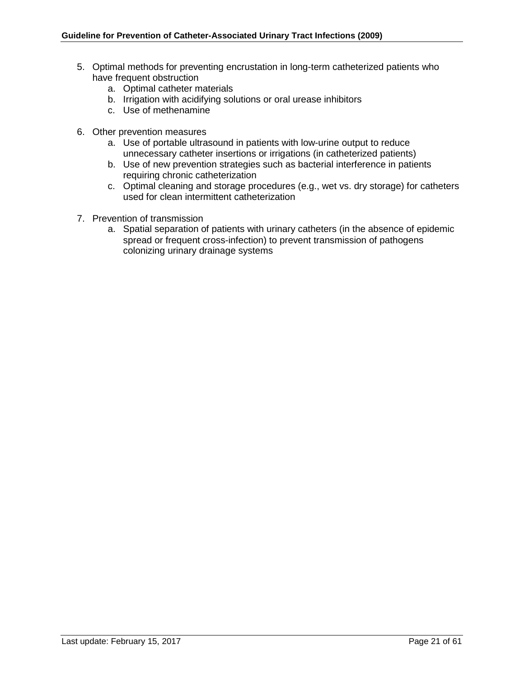- 5. Optimal methods for preventing encrustation in long-term catheterized patients who have frequent obstruction
	- a. Optimal catheter materials
	- b. Irrigation with acidifying solutions or oral urease inhibitors
	- c. Use of methenamine
- 6. Other prevention measures
	- a. Use of portable ultrasound in patients with low-urine output to reduce unnecessary catheter insertions or irrigations (in catheterized patients)
	- b. Use of new prevention strategies such as bacterial interference in patients requiring chronic catheterization
	- c. Optimal cleaning and storage procedures (e.g., wet vs. dry storage) for catheters used for clean intermittent catheterization
- 7. Prevention of transmission
	- a. Spatial separation of patients with urinary catheters (in the absence of epidemic spread or frequent cross-infection) to prevent transmission of pathogens colonizing urinary drainage systems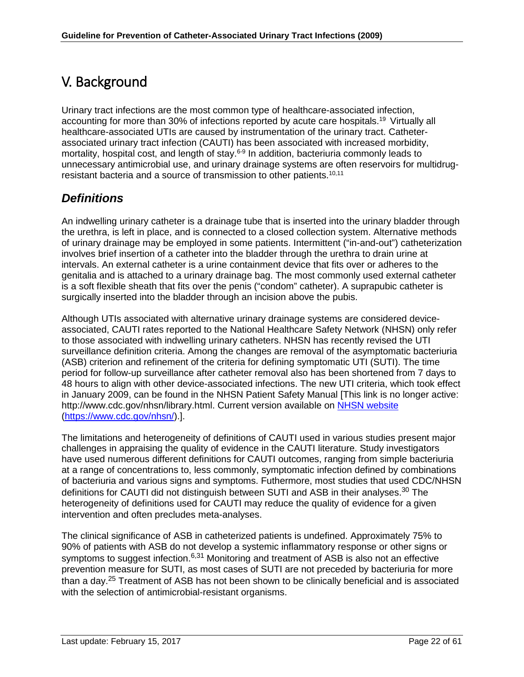# <span id="page-21-0"></span>V. Background

Urinary tract infections are the most common type of healthcare-associated infection, accounting for more than 30% of infections reported by acute care hospitals.19 Virtually all healthcare-associated UTIs are caused by instrumentation of the urinary tract. Catheterassociated urinary tract infection (CAUTI) has been associated with increased morbidity, mortality, hospital cost, and length of stay.<sup>6-9</sup> In addition, bacteriuria commonly leads to unnecessary antimicrobial use, and urinary drainage systems are often reservoirs for multidrugresistant bacteria and a source of transmission to other patients.<sup>10,11</sup>

# *Definitions*

An indwelling urinary catheter is a drainage tube that is inserted into the urinary bladder through the urethra, is left in place, and is connected to a closed collection system. Alternative methods of urinary drainage may be employed in some patients. Intermittent ("in-and-out") catheterization involves brief insertion of a catheter into the bladder through the urethra to drain urine at intervals. An external catheter is a urine containment device that fits over or adheres to the genitalia and is attached to a urinary drainage bag. The most commonly used external catheter is a soft flexible sheath that fits over the penis ("condom" catheter). A suprapubic catheter is surgically inserted into the bladder through an incision above the pubis.

Although UTIs associated with alternative urinary drainage systems are considered deviceassociated, CAUTI rates reported to the National Healthcare Safety Network (NHSN) only refer to those associated with indwelling urinary catheters. NHSN has recently revised the UTI surveillance definition criteria. Among the changes are removal of the asymptomatic bacteriuria (ASB) criterion and refinement of the criteria for defining symptomatic UTI (SUTI). The time period for follow-up surveillance after catheter removal also has been shortened from 7 days to 48 hours to align with other device-associated infections. The new UTI criteria, which took effect in January 2009, can be found in the NHSN Patient Safety Manual [This link is no longer active: http://www.cdc.gov/nhsn/library.html. Current version available on [NHSN website](http://www.cdc.gov/nhsn/) [\(https://www.cdc.gov/nhsn/\)](https://www.cdc.gov/nhsn/).].

The limitations and heterogeneity of definitions of CAUTI used in various studies present major challenges in appraising the quality of evidence in the CAUTI literature. Study investigators have used numerous different definitions for CAUTI outcomes, ranging from simple bacteriuria at a range of concentrations to, less commonly, symptomatic infection defined by combinations of bacteriuria and various signs and symptoms. Futhermore, most studies that used CDC/NHSN definitions for CAUTI did not distinguish between SUTI and ASB in their analyses.<sup>30</sup> The heterogeneity of definitions used for CAUTI may reduce the quality of evidence for a given intervention and often precludes meta-analyses.

The clinical significance of ASB in catheterized patients is undefined. Approximately 75% to 90% of patients with ASB do not develop a systemic inflammatory response or other signs or symptoms to suggest infection.<sup>6,31</sup> Monitoring and treatment of ASB is also not an effective prevention measure for SUTI, as most cases of SUTI are not preceded by bacteriuria for more than a day.<sup>25</sup> Treatment of ASB has not been shown to be clinically beneficial and is associated with the selection of antimicrobial-resistant organisms.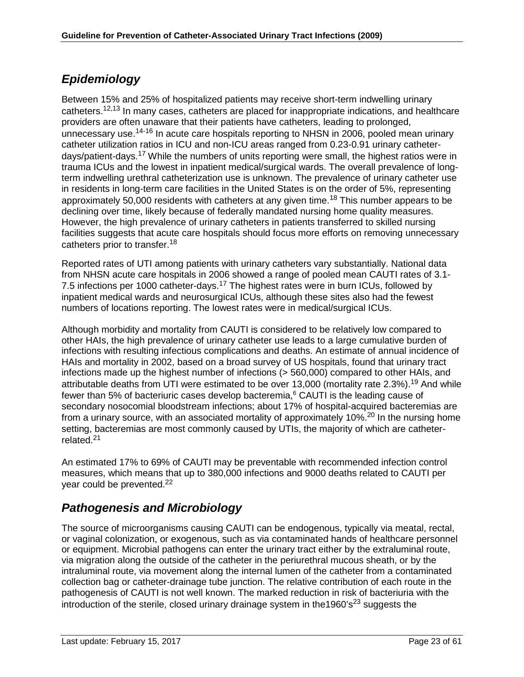# *Epidemiology*

Between 15% and 25% of hospitalized patients may receive short-term indwelling urinary catheters.12,13 In many cases, catheters are placed for inappropriate indications, and healthcare providers are often unaware that their patients have catheters, leading to prolonged, unnecessary use.<sup>14-16</sup> In acute care hospitals reporting to NHSN in 2006, pooled mean urinary catheter utilization ratios in ICU and non-ICU areas ranged from 0.23-0.91 urinary catheterdays/patient-days.<sup>17</sup> While the numbers of units reporting were small, the highest ratios were in trauma ICUs and the lowest in inpatient medical/surgical wards. The overall prevalence of longterm indwelling urethral catheterization use is unknown. The prevalence of urinary catheter use in residents in long-term care facilities in the United States is on the order of 5%, representing approximately 50,000 residents with catheters at any given time.<sup>18</sup> This number appears to be declining over time, likely because of federally mandated nursing home quality measures. However, the high prevalence of urinary catheters in patients transferred to skilled nursing facilities suggests that acute care hospitals should focus more efforts on removing unnecessary catheters prior to transfer.<sup>18</sup>

Reported rates of UTI among patients with urinary catheters vary substantially. National data from NHSN acute care hospitals in 2006 showed a range of pooled mean CAUTI rates of 3.1- 7.5 infections per 1000 catheter-days.<sup>17</sup> The highest rates were in burn ICUs, followed by inpatient medical wards and neurosurgical ICUs, although these sites also had the fewest numbers of locations reporting. The lowest rates were in medical/surgical ICUs.

Although morbidity and mortality from CAUTI is considered to be relatively low compared to other HAIs, the high prevalence of urinary catheter use leads to a large cumulative burden of infections with resulting infectious complications and deaths. An estimate of annual incidence of HAIs and mortality in 2002, based on a broad survey of US hospitals, found that urinary tract infections made up the highest number of infections (> 560,000) compared to other HAIs, and attributable deaths from UTI were estimated to be over 13,000 (mortality rate 2.3%).<sup>19</sup> And while fewer than 5% of bacteriuric cases develop bacteremia, $6$  CAUTI is the leading cause of secondary nosocomial bloodstream infections; about 17% of hospital-acquired bacteremias are from a urinary source, with an associated mortality of approximately 10%.<sup>20</sup> In the nursing home setting, bacteremias are most commonly caused by UTIs, the majority of which are catheterrelated.<sup>21</sup>

An estimated 17% to 69% of CAUTI may be preventable with recommended infection control measures, which means that up to 380,000 infections and 9000 deaths related to CAUTI per year could be prevented.<sup>22</sup>

# *Pathogenesis and Microbiology*

The source of microorganisms causing CAUTI can be endogenous, typically via meatal, rectal, or vaginal colonization, or exogenous, such as via contaminated hands of healthcare personnel or equipment. Microbial pathogens can enter the urinary tract either by the extraluminal route, via migration along the outside of the catheter in the periurethral mucous sheath, or by the intraluminal route, via movement along the internal lumen of the catheter from a contaminated collection bag or catheter-drainage tube junction. The relative contribution of each route in the pathogenesis of CAUTI is not well known. The marked reduction in risk of bacteriuria with the introduction of the sterile, closed urinary drainage system in the  $1960's<sup>23</sup>$  suggests the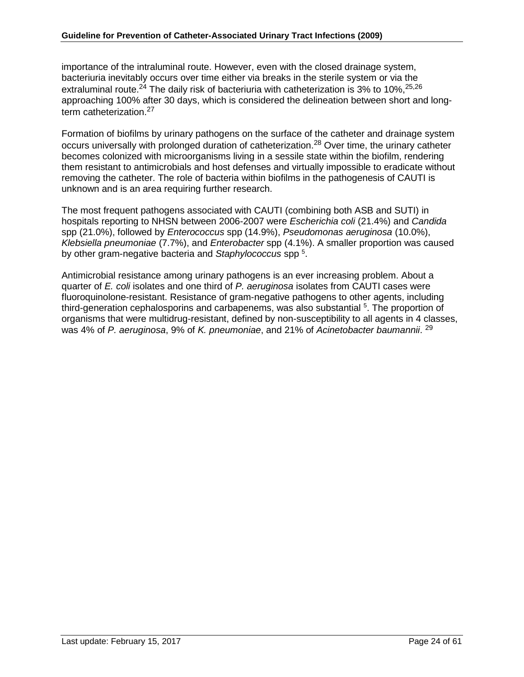importance of the intraluminal route. However, even with the closed drainage system, bacteriuria inevitably occurs over time either via breaks in the sterile system or via the extraluminal route.<sup>24</sup> The daily risk of bacteriuria with catheterization is 3% to 10%,  $25,26$ approaching 100% after 30 days, which is considered the delineation between short and longterm catheterization.<sup>27</sup>

Formation of biofilms by urinary pathogens on the surface of the catheter and drainage system occurs universally with prolonged duration of catheterization.<sup>28</sup> Over time, the urinary catheter becomes colonized with microorganisms living in a sessile state within the biofilm, rendering them resistant to antimicrobials and host defenses and virtually impossible to eradicate without removing the catheter. The role of bacteria within biofilms in the pathogenesis of CAUTI is unknown and is an area requiring further research.

The most frequent pathogens associated with CAUTI (combining both ASB and SUTI) in hospitals reporting to NHSN between 2006-2007 were *Escherichia coli* (21.4%) and *Candida* spp (21.0%), followed by *Enterococcus* spp (14.9%), *Pseudomonas aeruginosa* (10.0%), *Klebsiella pneumoniae* (7.7%), and *Enterobacter* spp (4.1%). A smaller proportion was caused by other gram-negative bacteria and *Staphylococcus* spp <sup>5</sup> .

Antimicrobial resistance among urinary pathogens is an ever increasing problem. About a quarter of *E. coli* isolates and one third of *P. aeruginosa* isolates from CAUTI cases were fluoroquinolone-resistant. Resistance of gram-negative pathogens to other agents, including third-generation cephalosporins and carbapenems, was also substantial <sup>5</sup>. The proportion of organisms that were multidrug-resistant, defined by non-susceptibility to all agents in 4 classes, was 4% of *P. aeruginosa*, 9% of *K. pneumoniae*, and 21% of *Acinetobacter baumannii*. <sup>29</sup>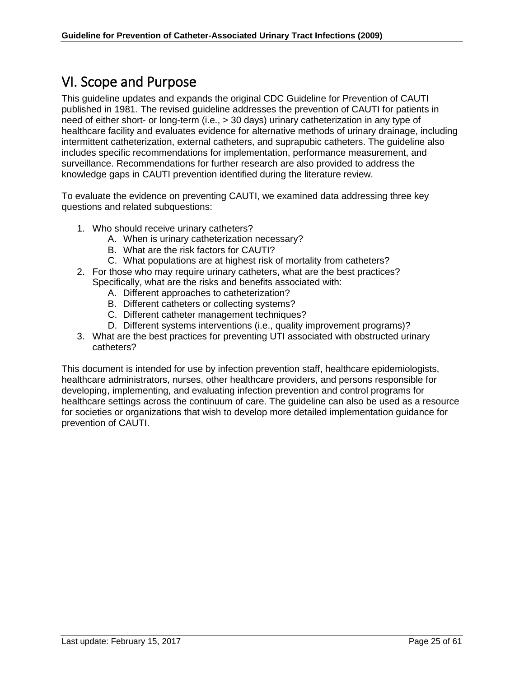# <span id="page-24-0"></span>VI. Scope and Purpose

This guideline updates and expands the original CDC Guideline for Prevention of CAUTI published in 1981. The revised guideline addresses the prevention of CAUTI for patients in need of either short- or long-term (i.e., > 30 days) urinary catheterization in any type of healthcare facility and evaluates evidence for alternative methods of urinary drainage, including intermittent catheterization, external catheters, and suprapubic catheters. The guideline also includes specific recommendations for implementation, performance measurement, and surveillance. Recommendations for further research are also provided to address the knowledge gaps in CAUTI prevention identified during the literature review.

To evaluate the evidence on preventing CAUTI, we examined data addressing three key questions and related subquestions:

- 1. Who should receive urinary catheters?
	- A. When is urinary catheterization necessary?
	- B. What are the risk factors for CAUTI?
	- C. What populations are at highest risk of mortality from catheters?
- 2. For those who may require urinary catheters, what are the best practices? Specifically, what are the risks and benefits associated with:
	- A. Different approaches to catheterization?
	- B. Different catheters or collecting systems?
	- C. Different catheter management techniques?
	- D. Different systems interventions (i.e., quality improvement programs)?
- 3. What are the best practices for preventing UTI associated with obstructed urinary catheters?

This document is intended for use by infection prevention staff, healthcare epidemiologists, healthcare administrators, nurses, other healthcare providers, and persons responsible for developing, implementing, and evaluating infection prevention and control programs for healthcare settings across the continuum of care. The guideline can also be used as a resource for societies or organizations that wish to develop more detailed implementation guidance for prevention of CAUTI.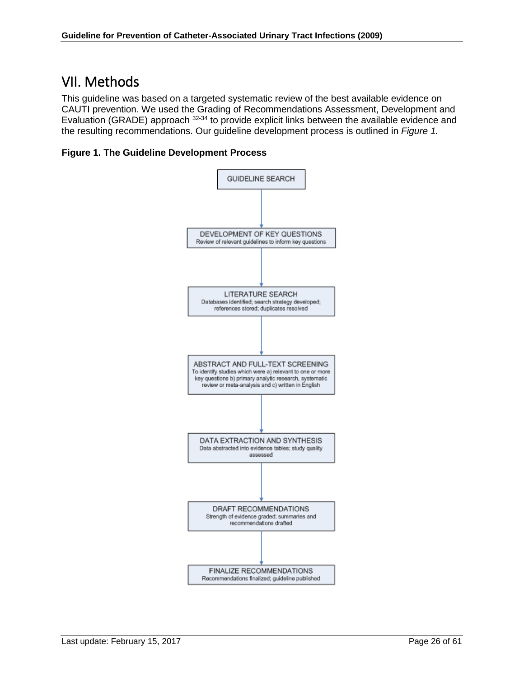# <span id="page-25-0"></span>VII. Methods

This guideline was based on a targeted systematic review of the best available evidence on CAUTI prevention. We used the Grading of Recommendations Assessment, Development and Evaluation (GRADE) approach 32-34 to provide explicit links between the available evidence and the resulting recommendations. Our guideline development process is outlined in *Figure 1.*

#### **Figure 1. The Guideline Development Process**

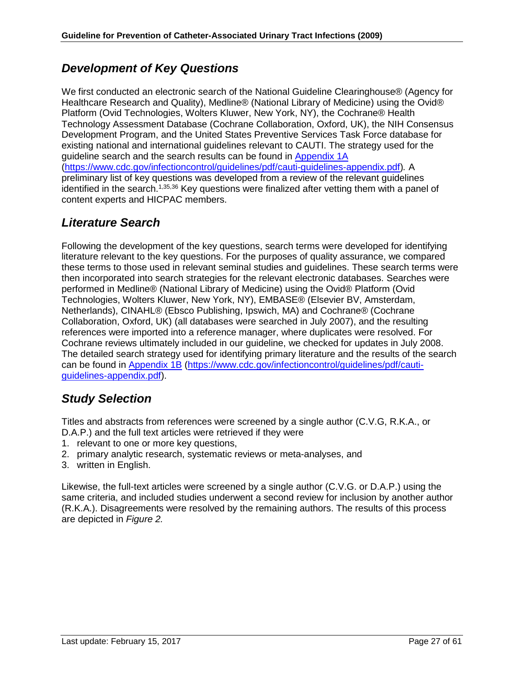## *Development of Key Questions*

We first conducted an electronic search of the National Guideline Clearinghouse® (Agency for Healthcare Research and Quality), Medline® (National Library of Medicine) using the Ovid® Platform (Ovid Technologies, Wolters Kluwer, New York, NY), the Cochrane® Health Technology Assessment Database (Cochrane Collaboration, Oxford, UK), the NIH Consensus Development Program, and the United States Preventive Services Task Force database for existing national and international guidelines relevant to CAUTI. The strategy used for the guideline search and the search results can be found in [Appendix 1A](https://www.cdc.gov/infectioncontrol/guidelines/pdf/cauti-guidelines-appendix.pdf) [\(https://www.cdc.gov/infectioncontrol/guidelines/pdf/cauti-guidelines-appendix.pdf\)](https://www.cdc.gov/infectioncontrol/guidelines/pdf/cauti-guidelines-appendix.pdf)*.* A preliminary list of key questions was developed from a review of the relevant guidelines identified in the search.<sup>1,35,36</sup> Key questions were finalized after vetting them with a panel of content experts and HICPAC members.

## *Literature Search*

Following the development of the key questions, search terms were developed for identifying literature relevant to the key questions. For the purposes of quality assurance, we compared these terms to those used in relevant seminal studies and guidelines. These search terms were then incorporated into search strategies for the relevant electronic databases. Searches were performed in Medline® (National Library of Medicine) using the Ovid® Platform (Ovid Technologies, Wolters Kluwer, New York, NY), EMBASE® (Elsevier BV, Amsterdam, Netherlands), CINAHL® (Ebsco Publishing, Ipswich, MA) and Cochrane® (Cochrane Collaboration, Oxford, UK) (all databases were searched in July 2007), and the resulting references were imported into a reference manager, where duplicates were resolved. For Cochrane reviews ultimately included in our guideline, we checked for updates in July 2008. The detailed search strategy used for identifying primary literature and the results of the search can be found in [Appendix 1B \(https://www.cdc.gov/infectioncontrol/guidelines/pdf/cauti](https://www.cdc.gov/infectioncontrol/guidelines/pdf/cauti-guidelines-appendix.pdf)[guidelines-appendix.pdf\)](https://www.cdc.gov/infectioncontrol/guidelines/pdf/cauti-guidelines-appendix.pdf).

## *Study Selection*

Titles and abstracts from references were screened by a single author (C.V.G, R.K.A., or D.A.P.) and the full text articles were retrieved if they were

- 1. relevant to one or more key questions,
- 2. primary analytic research, systematic reviews or meta-analyses, and
- 3. written in English.

Likewise, the full-text articles were screened by a single author (C.V.G. or D.A.P.) using the same criteria, and included studies underwent a second review for inclusion by another author (R.K.A.). Disagreements were resolved by the remaining authors. The results of this process are depicted in *Figure 2.*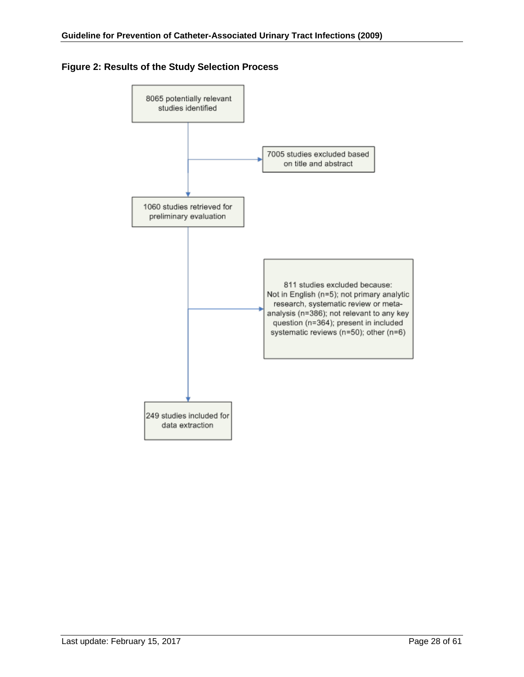

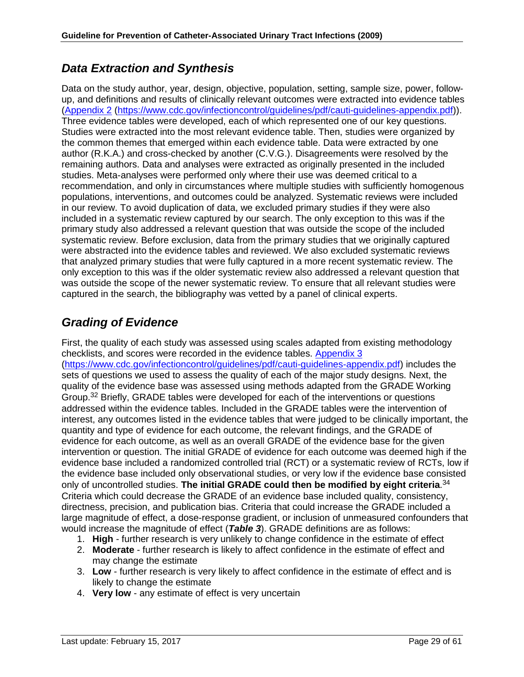## *Data Extraction and Synthesis*

Data on the study author, year, design, objective, population, setting, sample size, power, followup, and definitions and results of clinically relevant outcomes were extracted into evidence tables [\(Appendix 2 \(https://www.cdc.gov/infectioncontrol/guidelines/pdf/cauti-guidelines-appendix.pdf\)](https://www.cdc.gov/infectioncontrol/guidelines/pdf/cauti-guidelines-appendix.pdf)). Three evidence tables were developed, each of which represented one of our key questions. Studies were extracted into the most relevant evidence table. Then, studies were organized by the common themes that emerged within each evidence table. Data were extracted by one author (R.K.A.) and cross-checked by another (C.V.G.). Disagreements were resolved by the remaining authors. Data and analyses were extracted as originally presented in the included studies. Meta-analyses were performed only where their use was deemed critical to a recommendation, and only in circumstances where multiple studies with sufficiently homogenous populations, interventions, and outcomes could be analyzed. Systematic reviews were included in our review. To avoid duplication of data, we excluded primary studies if they were also included in a systematic review captured by our search. The only exception to this was if the primary study also addressed a relevant question that was outside the scope of the included systematic review. Before exclusion, data from the primary studies that we originally captured were abstracted into the evidence tables and reviewed. We also excluded systematic reviews that analyzed primary studies that were fully captured in a more recent systematic review. The only exception to this was if the older systematic review also addressed a relevant question that was outside the scope of the newer systematic review. To ensure that all relevant studies were captured in the search, the bibliography was vetted by a panel of clinical experts.

## *Grading of Evidence*

First, the quality of each study was assessed using scales adapted from existing methodology checklists, and scores were recorded in the evidence tables. [Appendix 3](https://www.cdc.gov/infectioncontrol/guidelines/pdf/cauti-guidelines-appendix.pdf) [\(https://www.cdc.gov/infectioncontrol/guidelines/pdf/cauti-guidelines-appendix.pdf\)](https://www.cdc.gov/infectioncontrol/guidelines/pdf/cauti-guidelines-appendix.pdf) includes the sets of questions we used to assess the quality of each of the major study designs. Next, the quality of the evidence base was assessed using methods adapted from the GRADE Working Group.<sup>32</sup> Briefly, GRADE tables were developed for each of the interventions or questions addressed within the evidence tables. Included in the GRADE tables were the intervention of interest, any outcomes listed in the evidence tables that were judged to be clinically important, the quantity and type of evidence for each outcome, the relevant findings, and the GRADE of evidence for each outcome, as well as an overall GRADE of the evidence base for the given intervention or question. The initial GRADE of evidence for each outcome was deemed high if the evidence base included a randomized controlled trial (RCT) or a systematic review of RCTs, low if the evidence base included only observational studies, or very low if the evidence base consisted only of uncontrolled studies. **The initial GRADE could then be modified by eight criteria**. 34 Criteria which could decrease the GRADE of an evidence base included quality, consistency, directness, precision, and publication bias. Criteria that could increase the GRADE included a large magnitude of effect, a dose-response gradient, or inclusion of unmeasured confounders that would increase the magnitude of effect (*Table 3*). GRADE definitions are as follows:

- 1. **High** further research is very unlikely to change confidence in the estimate of effect
- 2. **Moderate** further research is likely to affect confidence in the estimate of effect and may change the estimate
- 3. **Low** further research is very likely to affect confidence in the estimate of effect and is likely to change the estimate
- 4. **Very low**  any estimate of effect is very uncertain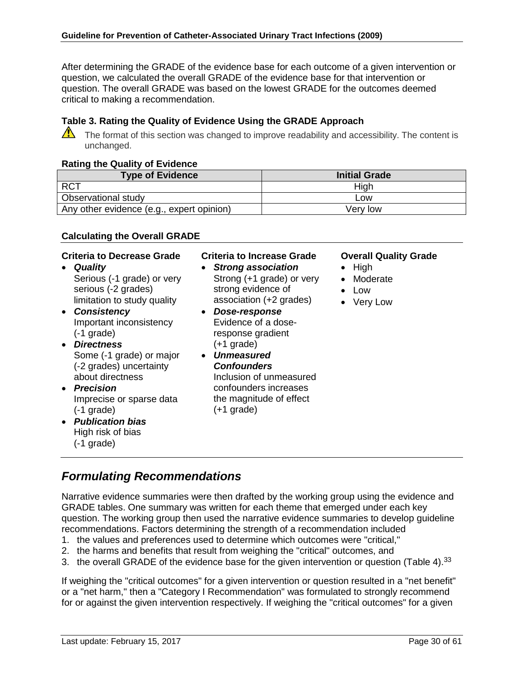After determining the GRADE of the evidence base for each outcome of a given intervention or question, we calculated the overall GRADE of the evidence base for that intervention or question. The overall GRADE was based on the lowest GRADE for the outcomes deemed critical to making a recommendation.

#### **Table 3. Rating the Quality of Evidence Using the GRADE Approach**

 $\triangle$  The format of this section was changed to improve readability and accessibility. The content is unchanged.

#### **Rating the Quality of Evidence**

| <b>Type of Evidence</b>                   | <b>Initial Grade</b> |
|-------------------------------------------|----------------------|
| <b>RCT</b>                                | High                 |
| Observational study                       | <b>LOW</b>           |
| Any other evidence (e.g., expert opinion) | Very low             |

#### **Calculating the Overall GRADE**

| <b>Criteria to Decrease Grade</b>                                                                                                                                                                                                                                                                                                                                                                                               | <b>Criteria to Increase Grade</b>                                                                                                                                                                                                                                                                                                                          | <b>Overall Quality Grade</b>                                           |
|---------------------------------------------------------------------------------------------------------------------------------------------------------------------------------------------------------------------------------------------------------------------------------------------------------------------------------------------------------------------------------------------------------------------------------|------------------------------------------------------------------------------------------------------------------------------------------------------------------------------------------------------------------------------------------------------------------------------------------------------------------------------------------------------------|------------------------------------------------------------------------|
| <b>Quality</b><br>Serious (-1 grade) or very<br>serious (-2 grades)<br>limitation to study quality<br>• Consistency<br>Important inconsistency<br>(-1 grade)<br><b>Directness</b><br>$\bullet$<br>Some (-1 grade) or major<br>(-2 grades) uncertainty<br>about directness<br><b>Precision</b><br>$\bullet$<br>Imprecise or sparse data<br>(-1 grade)<br><b>Publication bias</b><br>$\bullet$<br>High risk of bias<br>(-1 grade) | <b>Strong association</b><br>Strong (+1 grade) or very<br>strong evidence of<br>association (+2 grades)<br>Dose-response<br>$\bullet$<br>Evidence of a dose-<br>response gradient<br>$(+1)$ grade)<br><b>Unmeasured</b><br>$\bullet$<br><b>Confounders</b><br>Inclusion of unmeasured<br>confounders increases<br>the magnitude of effect<br>$(+1)$ grade) | $\bullet$ High<br>Moderate<br>$\bullet$<br>$\bullet$ Low<br>• Very Low |
|                                                                                                                                                                                                                                                                                                                                                                                                                                 |                                                                                                                                                                                                                                                                                                                                                            |                                                                        |

## *Formulating Recommendations*

Narrative evidence summaries were then drafted by the working group using the evidence and GRADE tables. One summary was written for each theme that emerged under each key question. The working group then used the narrative evidence summaries to develop guideline recommendations. Factors determining the strength of a recommendation included

- 1. the values and preferences used to determine which outcomes were "critical,"
- 2. the harms and benefits that result from weighing the "critical" outcomes, and
- 3. the overall GRADE of the evidence base for the given intervention or question (Table 4).<sup>33</sup>

If weighing the "critical outcomes" for a given intervention or question resulted in a "net benefit" or a "net harm," then a "Category I Recommendation" was formulated to strongly recommend for or against the given intervention respectively. If weighing the "critical outcomes" for a given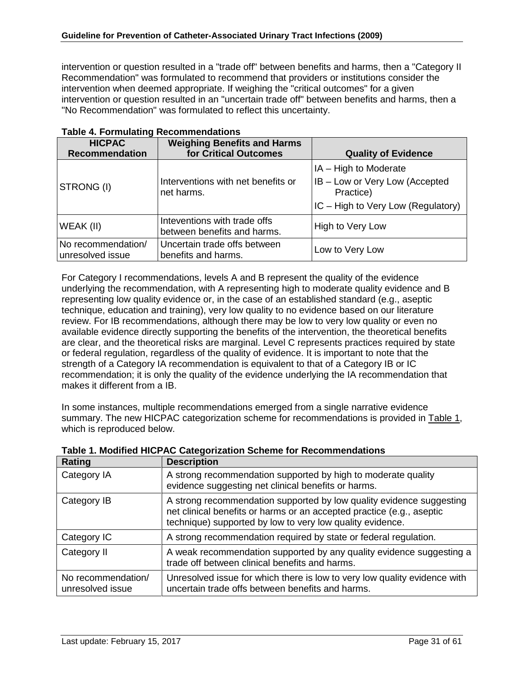intervention or question resulted in a "trade off" between benefits and harms, then a "Category II Recommendation" was formulated to recommend that providers or institutions consider the intervention when deemed appropriate. If weighing the "critical outcomes" for a given intervention or question resulted in an "uncertain trade off" between benefits and harms, then a "No Recommendation" was formulated to reflect this uncertainty.

| <b>HICPAC</b><br><b>Recommendation</b> | <b>Weighing Benefits and Harms</b><br>for Critical Outcomes | <b>Quality of Evidence</b>                  |
|----------------------------------------|-------------------------------------------------------------|---------------------------------------------|
|                                        |                                                             |                                             |
|                                        |                                                             | IA - High to Moderate                       |
| STRONG (I)                             | Interventions with net benefits or<br>net harms.            | IB - Low or Very Low (Accepted<br>Practice) |
|                                        |                                                             | IC - High to Very Low (Regulatory)          |
| WEAK (II)                              | Inteventions with trade offs<br>between benefits and harms. | <b>High to Very Low</b>                     |
| No recommendation/<br>unresolved issue | Uncertain trade offs between<br>benefits and harms.         | Low to Very Low                             |

For Category I recommendations, levels A and B represent the quality of the evidence underlying the recommendation, with A representing high to moderate quality evidence and B representing low quality evidence or, in the case of an established standard (e.g., aseptic technique, education and training), very low quality to no evidence based on our literature review. For IB recommendations, although there may be low to very low quality or even no available evidence directly supporting the benefits of the intervention, the theoretical benefits are clear, and the theoretical risks are marginal. Level C represents practices required by state or federal regulation, regardless of the quality of evidence. It is important to note that the strength of a Category IA recommendation is equivalent to that of a Category IB or IC recommendation; it is only the quality of the evidence underlying the IA recommendation that makes it different from a IB.

In some instances, multiple recommendations emerged from a single narrative evidence summary. The new HICPAC categorization scheme for recommendations is provided in Table 1, which is reproduced below.

| Rating                                 | <b>Description</b>                                                                                                                                                                                         |
|----------------------------------------|------------------------------------------------------------------------------------------------------------------------------------------------------------------------------------------------------------|
| Category IA                            | A strong recommendation supported by high to moderate quality<br>evidence suggesting net clinical benefits or harms.                                                                                       |
| Category IB                            | A strong recommendation supported by low quality evidence suggesting<br>net clinical benefits or harms or an accepted practice (e.g., aseptic<br>technique) supported by low to very low quality evidence. |
| Category IC                            | A strong recommendation required by state or federal regulation.                                                                                                                                           |
| Category II                            | A weak recommendation supported by any quality evidence suggesting a<br>trade off between clinical benefits and harms.                                                                                     |
| No recommendation/<br>unresolved issue | Unresolved issue for which there is low to very low quality evidence with<br>uncertain trade offs between benefits and harms.                                                                              |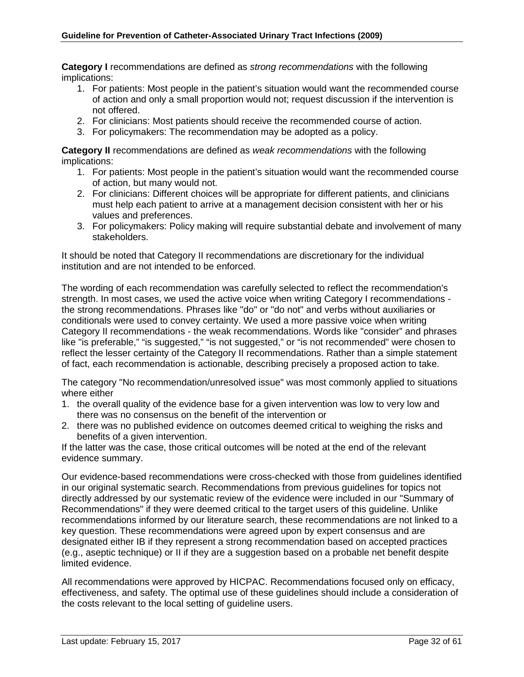**Category I** recommendations are defined as *strong recommendations* with the following implications:

- 1. For patients: Most people in the patient's situation would want the recommended course of action and only a small proportion would not; request discussion if the intervention is not offered.
- 2. For clinicians: Most patients should receive the recommended course of action.
- 3. For policymakers: The recommendation may be adopted as a policy.

**Category II** recommendations are defined as *weak recommendations* with the following implications:

- 1. For patients: Most people in the patient's situation would want the recommended course of action, but many would not.
- 2. For clinicians: Different choices will be appropriate for different patients, and clinicians must help each patient to arrive at a management decision consistent with her or his values and preferences.
- 3. For policymakers: Policy making will require substantial debate and involvement of many stakeholders.

It should be noted that Category II recommendations are discretionary for the individual institution and are not intended to be enforced.

The wording of each recommendation was carefully selected to reflect the recommendation's strength. In most cases, we used the active voice when writing Category I recommendations the strong recommendations. Phrases like "do" or "do not" and verbs without auxiliaries or conditionals were used to convey certainty. We used a more passive voice when writing Category II recommendations - the weak recommendations. Words like "consider" and phrases like "is preferable," "is suggested," "is not suggested," or "is not recommended" were chosen to reflect the lesser certainty of the Category II recommendations. Rather than a simple statement of fact, each recommendation is actionable, describing precisely a proposed action to take.

The category "No recommendation/unresolved issue" was most commonly applied to situations where either

- 1. the overall quality of the evidence base for a given intervention was low to very low and there was no consensus on the benefit of the intervention or
- 2. there was no published evidence on outcomes deemed critical to weighing the risks and benefits of a given intervention.

If the latter was the case, those critical outcomes will be noted at the end of the relevant evidence summary.

Our evidence-based recommendations were cross-checked with those from guidelines identified in our original systematic search. Recommendations from previous guidelines for topics not directly addressed by our systematic review of the evidence were included in our "Summary of Recommendations" if they were deemed critical to the target users of this guideline. Unlike recommendations informed by our literature search, these recommendations are not linked to a key question. These recommendations were agreed upon by expert consensus and are designated either IB if they represent a strong recommendation based on accepted practices (e.g., aseptic technique) or II if they are a suggestion based on a probable net benefit despite limited evidence.

All recommendations were approved by HICPAC. Recommendations focused only on efficacy, effectiveness, and safety. The optimal use of these guidelines should include a consideration of the costs relevant to the local setting of guideline users.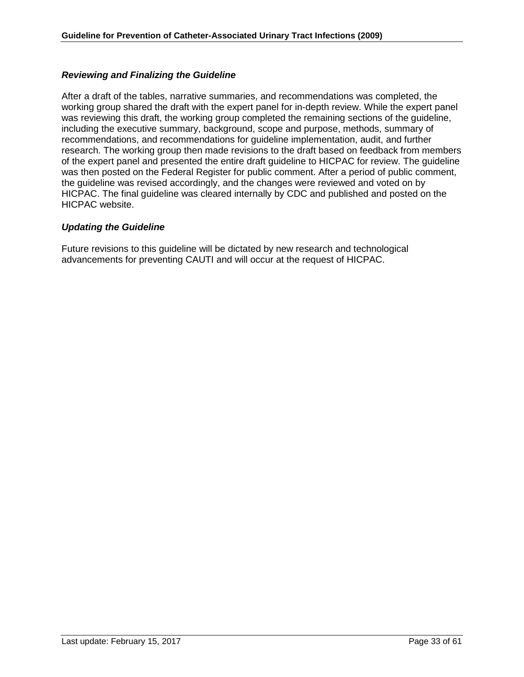#### *Reviewing and Finalizing the Guideline*

After a draft of the tables, narrative summaries, and recommendations was completed, the working group shared the draft with the expert panel for in-depth review. While the expert panel was reviewing this draft, the working group completed the remaining sections of the guideline, including the executive summary, background, scope and purpose, methods, summary of recommendations, and recommendations for guideline implementation, audit, and further research. The working group then made revisions to the draft based on feedback from members of the expert panel and presented the entire draft guideline to HICPAC for review. The guideline was then posted on the Federal Register for public comment. After a period of public comment, the guideline was revised accordingly, and the changes were reviewed and voted on by HICPAC. The final guideline was cleared internally by CDC and published and posted on the HICPAC website.

#### *Updating the Guideline*

Future revisions to this guideline will be dictated by new research and technological advancements for preventing CAUTI and will occur at the request of HICPAC.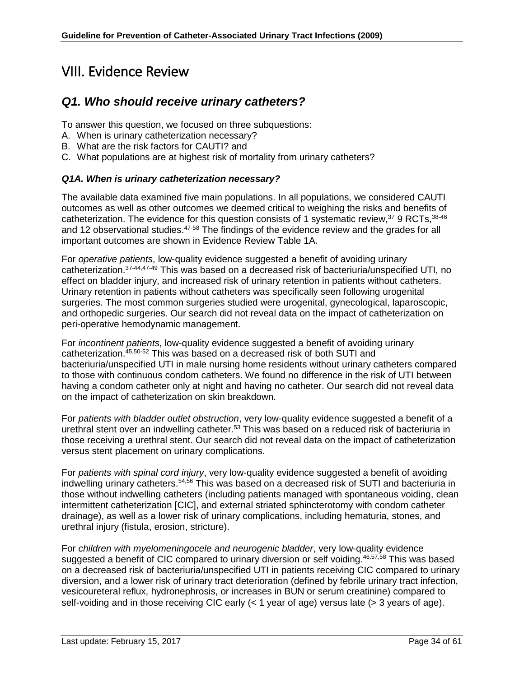# <span id="page-33-0"></span>VIII. Evidence Review

### *Q1. Who should receive urinary catheters?*

To answer this question, we focused on three subquestions:

- A. When is urinary catheterization necessary?
- B. What are the risk factors for CAUTI? and
- C. What populations are at highest risk of mortality from urinary catheters?

#### *Q1A. When is urinary catheterization necessary?*

The available data examined five main populations. In all populations, we considered CAUTI outcomes as well as other outcomes we deemed critical to weighing the risks and benefits of catheterization. The evidence for this question consists of 1 systematic review,<sup>37</sup> 9 RCTs,<sup>38-46</sup> and 12 observational studies.<sup>47-58</sup> The findings of the evidence review and the grades for all important outcomes are shown in Evidence Review Table 1A.

For *operative patients*, low-quality evidence suggested a benefit of avoiding urinary catheterization. 37-44,47-49 This was based on a decreased risk of bacteriuria/unspecified UTI, no effect on bladder injury, and increased risk of urinary retention in patients without catheters. Urinary retention in patients without catheters was specifically seen following urogenital surgeries. The most common surgeries studied were urogenital, gynecological, laparoscopic, and orthopedic surgeries. Our search did not reveal data on the impact of catheterization on peri-operative hemodynamic management.

For *incontinent patients*, low-quality evidence suggested a benefit of avoiding urinary catheterization. 45,50-52 This was based on a decreased risk of both SUTI and bacteriuria/unspecified UTI in male nursing home residents without urinary catheters compared to those with continuous condom catheters. We found no difference in the risk of UTI between having a condom catheter only at night and having no catheter. Our search did not reveal data on the impact of catheterization on skin breakdown.

For *patients with bladder outlet obstruction*, very low-quality evidence suggested a benefit of a urethral stent over an indwelling catheter. <sup>53</sup> This was based on a reduced risk of bacteriuria in those receiving a urethral stent. Our search did not reveal data on the impact of catheterization versus stent placement on urinary complications.

For *patients with spinal cord injury*, very low-quality evidence suggested a benefit of avoiding indwelling urinary catheters.<sup>54,56</sup> This was based on a decreased risk of SUTI and bacteriuria in those without indwelling catheters (including patients managed with spontaneous voiding, clean intermittent catheterization [CIC], and external striated sphincterotomy with condom catheter drainage), as well as a lower risk of urinary complications, including hematuria, stones, and urethral injury (fistula, erosion, stricture).

For *children with myelomeningocele and neurogenic bladder*, very low-quality evidence suggested a benefit of CIC compared to urinary diversion or self voiding.<sup>46,57,58</sup> This was based on a decreased risk of bacteriuria/unspecified UTI in patients receiving CIC compared to urinary diversion, and a lower risk of urinary tract deterioration (defined by febrile urinary tract infection, vesicoureteral reflux, hydronephrosis, or increases in BUN or serum creatinine) compared to self-voiding and in those receiving CIC early (< 1 year of age) versus late (> 3 years of age).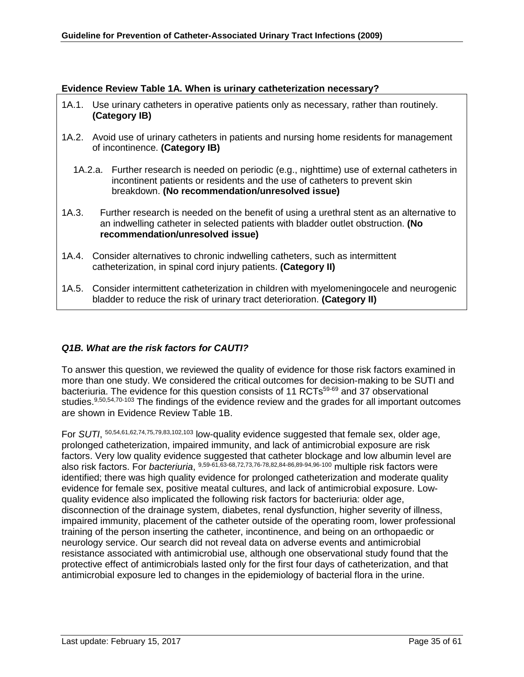#### **Evidence Review Table 1A. When is urinary catheterization necessary?**

- 1A.1. Use urinary catheters in operative patients only as necessary, rather than routinely. **(Category IB)**
- 1A.2. Avoid use of urinary catheters in patients and nursing home residents for management of incontinence. **(Category IB)**
	- 1A.2.a. Further research is needed on periodic (e.g., nighttime) use of external catheters in incontinent patients or residents and the use of catheters to prevent skin breakdown. **(No recommendation/unresolved issue)**
- 1A.3. Further research is needed on the benefit of using a urethral stent as an alternative to an indwelling catheter in selected patients with bladder outlet obstruction. **(No recommendation/unresolved issue)**
- 1A.4. Consider alternatives to chronic indwelling catheters, such as intermittent catheterization, in spinal cord injury patients. **(Category II)**
- 1A.5. Consider intermittent catheterization in children with myelomeningocele and neurogenic bladder to reduce the risk of urinary tract deterioration. **(Category II)**

#### *Q1B. What are the risk factors for CAUTI?*

To answer this question, we reviewed the quality of evidence for those risk factors examined in more than one study. We considered the critical outcomes for decision-making to be SUTI and bacteriuria. The evidence for this question consists of 11 RCTs<sup>59-69</sup> and 37 observational studies.<sup>9,50,54,70-103</sup> The findings of the evidence review and the grades for all important outcomes are shown in Evidence Review Table 1B.

For *SUTI*, <sup>50,54,61,62,74,75,79,83,102,103 low-quality evidence suggested that female sex, older age,</sup> prolonged catheterization, impaired immunity, and lack of antimicrobial exposure are risk factors. Very low quality evidence suggested that catheter blockage and low albumin level are also risk factors. For *bacteriuria*, 9,59-61,63-68,72,73,76-78,82,84-86,89-94,96-100 multiple risk factors were identified; there was high quality evidence for prolonged catheterization and moderate quality evidence for female sex, positive meatal cultures, and lack of antimicrobial exposure. Lowquality evidence also implicated the following risk factors for bacteriuria: older age, disconnection of the drainage system, diabetes, renal dysfunction, higher severity of illness, impaired immunity, placement of the catheter outside of the operating room, lower professional training of the person inserting the catheter, incontinence, and being on an orthopaedic or neurology service. Our search did not reveal data on adverse events and antimicrobial resistance associated with antimicrobial use, although one observational study found that the protective effect of antimicrobials lasted only for the first four days of catheterization, and that antimicrobial exposure led to changes in the epidemiology of bacterial flora in the urine.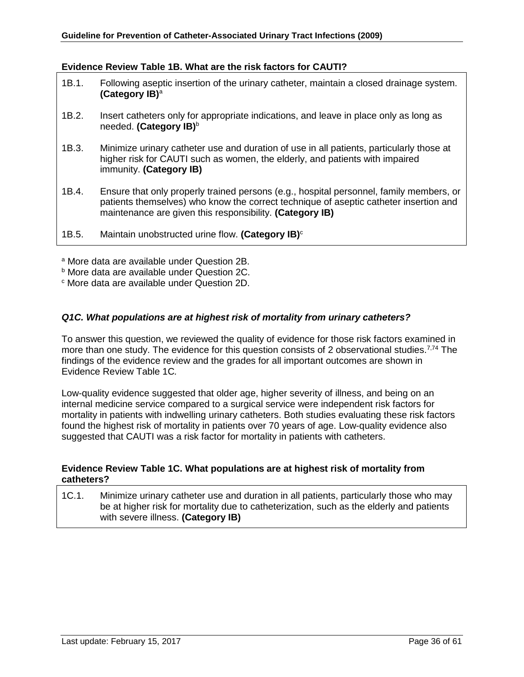#### **Evidence Review Table 1B. What are the risk factors for CAUTI?**

- 1B.1. Following aseptic insertion of the urinary catheter, maintain a closed drainage system. **(Category IB)**<sup>a</sup>
- 1B.2. Insert catheters only for appropriate indications, and leave in place only as long as needed. **(Category IB)**<sup>b</sup>
- 1B.3. Minimize urinary catheter use and duration of use in all patients, particularly those at higher risk for CAUTI such as women, the elderly, and patients with impaired immunity. **(Category IB)**
- 1B.4. Ensure that only properly trained persons (e.g., hospital personnel, family members, or patients themselves) who know the correct technique of aseptic catheter insertion and maintenance are given this responsibility. **(Category IB)**
- 1B.5. Maintain unobstructed urine flow. **(Category IB)**<sup>c</sup>

- <sup>a</sup> More data are available under Question 2B.<br><sup>b</sup> More data are available under Question 2C.<br><sup>c</sup> More data are available under Question 2D.
- 

#### *Q1C. What populations are at highest risk of mortality from urinary catheters?*

To answer this question, we reviewed the quality of evidence for those risk factors examined in more than one study. The evidence for this question consists of 2 observational studies.<sup>7,74</sup> The findings of the evidence review and the grades for all important outcomes are shown in Evidence Review Table 1C*.*

Low-quality evidence suggested that older age, higher severity of illness, and being on an internal medicine service compared to a surgical service were independent risk factors for mortality in patients with indwelling urinary catheters. Both studies evaluating these risk factors found the highest risk of mortality in patients over 70 years of age. Low-quality evidence also suggested that CAUTI was a risk factor for mortality in patients with catheters.

#### **Evidence Review Table 1C. What populations are at highest risk of mortality from catheters?**

1C.1. Minimize urinary catheter use and duration in all patients, particularly those who may be at higher risk for mortality due to catheterization, such as the elderly and patients with severe illness. **(Category IB)**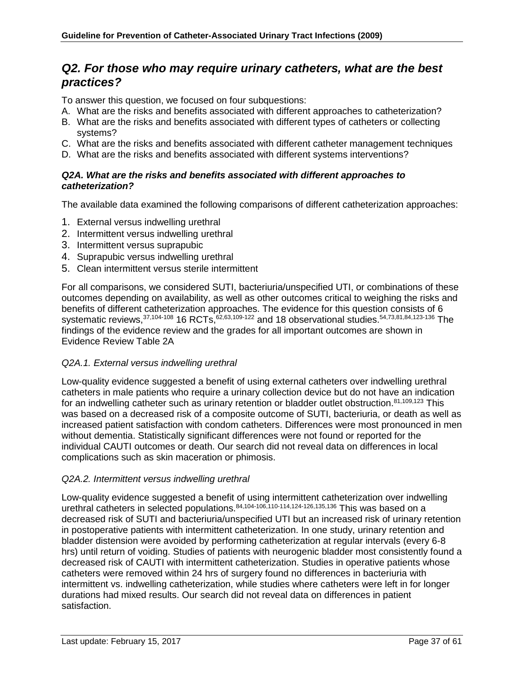### *Q2. For those who may require urinary catheters, what are the best practices?*

To answer this question, we focused on four subquestions:

- A. What are the risks and benefits associated with different approaches to catheterization?
- B. What are the risks and benefits associated with different types of catheters or collecting systems?
- C. What are the risks and benefits associated with different catheter management techniques
- D. What are the risks and benefits associated with different systems interventions?

#### *Q2A. What are the risks and benefits associated with different approaches to catheterization?*

The available data examined the following comparisons of different catheterization approaches:

- 1. External versus indwelling urethral
- 2. Intermittent versus indwelling urethral
- 3. Intermittent versus suprapubic
- 4. Suprapubic versus indwelling urethral
- 5. Clean intermittent versus sterile intermittent

For all comparisons, we considered SUTI, bacteriuria/unspecified UTI, or combinations of these outcomes depending on availability, as well as other outcomes critical to weighing the risks and benefits of different catheterization approaches. The evidence for this question consists of 6 systematic reviews,<sup>37,104-108</sup> 16 RCTs,<sup>62,63,109-122</sup> and 18 observational studies.<sup>54,73,81,84,123-136</sup> The findings of the evidence review and the grades for all important outcomes are shown in Evidence Review Table 2A

#### *Q2A.1. External versus indwelling urethral*

Low-quality evidence suggested a benefit of using external catheters over indwelling urethral catheters in male patients who require a urinary collection device but do not have an indication for an indwelling catheter such as urinary retention or bladder outlet obstruction.<sup>81,109,123</sup> This was based on a decreased risk of a composite outcome of SUTI, bacteriuria, or death as well as increased patient satisfaction with condom catheters. Differences were most pronounced in men without dementia. Statistically significant differences were not found or reported for the individual CAUTI outcomes or death. Our search did not reveal data on differences in local complications such as skin maceration or phimosis.

#### *Q2A.2. Intermittent versus indwelling urethral*

Low-quality evidence suggested a benefit of using intermittent catheterization over indwelling urethral catheters in selected populations.<sup>84,104-106,110-114,124-126,135,136</sup> This was based on a decreased risk of SUTI and bacteriuria/unspecified UTI but an increased risk of urinary retention in postoperative patients with intermittent catheterization. In one study, urinary retention and bladder distension were avoided by performing catheterization at regular intervals (every 6-8 hrs) until return of voiding. Studies of patients with neurogenic bladder most consistently found a decreased risk of CAUTI with intermittent catheterization. Studies in operative patients whose catheters were removed within 24 hrs of surgery found no differences in bacteriuria with intermittent vs. indwelling catheterization, while studies where catheters were left in for longer durations had mixed results. Our search did not reveal data on differences in patient satisfaction.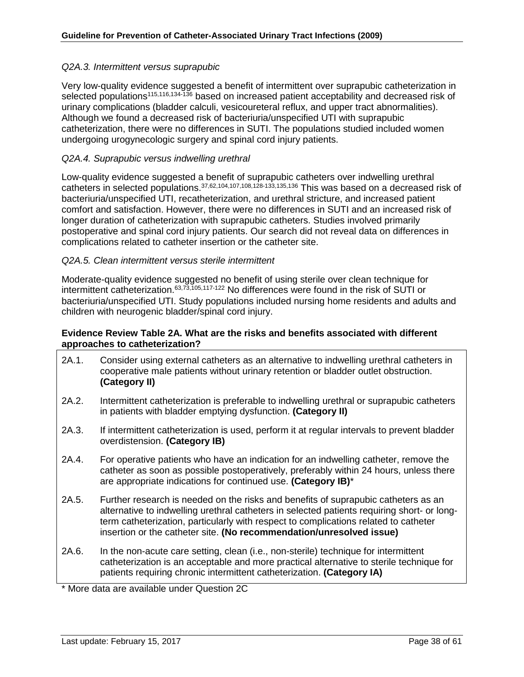#### *Q2A.3. Intermittent versus suprapubic*

Very low-quality evidence suggested a benefit of intermittent over suprapubic catheterization in selected populations<sup>115,116,134-136</sup> based on increased patient acceptability and decreased risk of urinary complications (bladder calculi, vesicoureteral reflux, and upper tract abnormalities). Although we found a decreased risk of bacteriuria/unspecified UTI with suprapubic catheterization, there were no differences in SUTI. The populations studied included women undergoing urogynecologic surgery and spinal cord injury patients.

#### *Q2A.4. Suprapubic versus indwelling urethral*

Low-quality evidence suggested a benefit of suprapubic catheters over indwelling urethral catheters in selected populations.<sup>37,62,104,107,108,128-133,135,136</sup> This was based on a decreased risk of bacteriuria/unspecified UTI, recatheterization, and urethral stricture, and increased patient comfort and satisfaction. However, there were no differences in SUTI and an increased risk of longer duration of catheterization with suprapubic catheters. Studies involved primarily postoperative and spinal cord injury patients. Our search did not reveal data on differences in complications related to catheter insertion or the catheter site.

#### *Q2A.5. Clean intermittent versus sterile intermittent*

Moderate-quality evidence suggested no benefit of using sterile over clean technique for intermittent catheterization.<sup>63,73,105,117-122</sup> No differences were found in the risk of SUTI or bacteriuria/unspecified UTI. Study populations included nursing home residents and adults and children with neurogenic bladder/spinal cord injury.

#### **Evidence Review Table 2A. What are the risks and benefits associated with different approaches to catheterization?**

- 2A.1. Consider using external catheters as an alternative to indwelling urethral catheters in cooperative male patients without urinary retention or bladder outlet obstruction. **(Category II)**
- 2A.2. Intermittent catheterization is preferable to indwelling urethral or suprapubic catheters in patients with bladder emptying dysfunction. **(Category II)**
- 2A.3. If intermittent catheterization is used, perform it at regular intervals to prevent bladder overdistension. **(Category IB)**
- 2A.4. For operative patients who have an indication for an indwelling catheter, remove the catheter as soon as possible postoperatively, preferably within 24 hours, unless there are appropriate indications for continued use. **(Category IB)**\*
- 2A.5. Further research is needed on the risks and benefits of suprapubic catheters as an alternative to indwelling urethral catheters in selected patients requiring short- or longterm catheterization, particularly with respect to complications related to catheter insertion or the catheter site. **(No recommendation/unresolved issue)**
- 2A.6. In the non-acute care setting, clean (i.e., non-sterile) technique for intermittent catheterization is an acceptable and more practical alternative to sterile technique for patients requiring chronic intermittent catheterization. **(Category IA)**

\* More data are available under Question 2C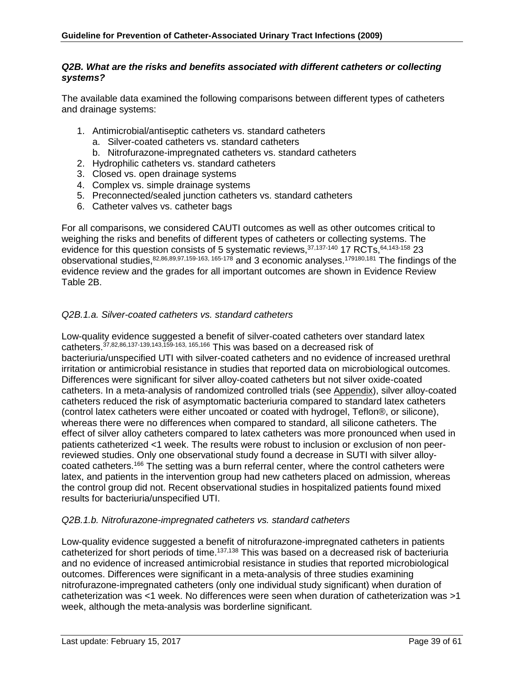#### *Q2B. What are the risks and benefits associated with different catheters or collecting systems?*

The available data examined the following comparisons between different types of catheters and drainage systems:

- 1. Antimicrobial/antiseptic catheters vs. standard catheters
	- a. Silver-coated catheters vs. standard catheters
	- b. Nitrofurazone-impregnated catheters vs. standard catheters
- 2. Hydrophilic catheters vs. standard catheters
- 3. Closed vs. open drainage systems
- 4. Complex vs. simple drainage systems
- 5. Preconnected/sealed junction catheters vs. standard catheters
- 6. Catheter valves vs. catheter bags

For all comparisons, we considered CAUTI outcomes as well as other outcomes critical to weighing the risks and benefits of different types of catheters or collecting systems. The evidence for this question consists of 5 systematic reviews,<sup>37,137-140</sup> 17 RCTs,<sup>64,143-158</sup> 23 observational studies, 82,86,89,97,159-163, 165-178 and 3 economic analyses.<sup>179180,181</sup> The findings of the evidence review and the grades for all important outcomes are shown in Evidence Review Table 2B.

#### *Q2B.1.a. Silver-coated catheters vs. standard catheters*

Low-quality evidence suggested a benefit of silver-coated catheters over standard latex catheters. 37,82,86,137-139,143,159-163, 165,166 This was based on a decreased risk of bacteriuria/unspecified UTI with silver-coated catheters and no evidence of increased urethral irritation or antimicrobial resistance in studies that reported data on microbiological outcomes. Differences were significant for silver alloy-coated catheters but not silver oxide-coated catheters. In a meta-analysis of randomized controlled trials (see Appendix), silver alloy-coated catheters reduced the risk of asymptomatic bacteriuria compared to standard latex catheters (control latex catheters were either uncoated or coated with hydrogel, Teflon®, or silicone), whereas there were no differences when compared to standard, all silicone catheters. The effect of silver alloy catheters compared to latex catheters was more pronounced when used in patients catheterized <1 week. The results were robust to inclusion or exclusion of non peerreviewed studies. Only one observational study found a decrease in SUTI with silver alloycoated catheters.<sup>166</sup> The setting was a burn referral center, where the control catheters were latex, and patients in the intervention group had new catheters placed on admission, whereas the control group did not. Recent observational studies in hospitalized patients found mixed results for bacteriuria/unspecified UTI.

#### *Q2B.1.b. Nitrofurazone-impregnated catheters vs. standard catheters*

Low-quality evidence suggested a benefit of nitrofurazone-impregnated catheters in patients catheterized for short periods of time.<sup>137,138</sup> This was based on a decreased risk of bacteriuria and no evidence of increased antimicrobial resistance in studies that reported microbiological outcomes. Differences were significant in a meta-analysis of three studies examining nitrofurazone-impregnated catheters (only one individual study significant) when duration of catheterization was <1 week. No differences were seen when duration of catheterization was >1 week, although the meta-analysis was borderline significant.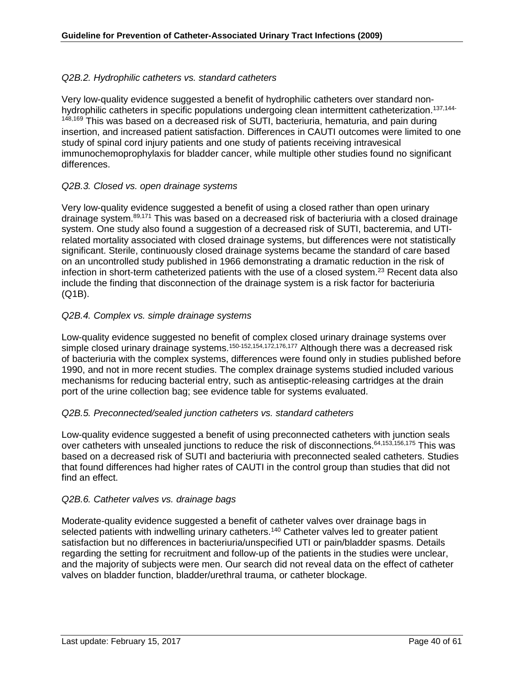#### *Q2B.2. Hydrophilic catheters vs. standard catheters*

Very low-quality evidence suggested a benefit of hydrophilic catheters over standard nonhydrophilic catheters in specific populations undergoing clean intermittent catheterization.<sup>137,144-</sup>  $148,169$  This was based on a decreased risk of SUTI, bacteriuria, hematuria, and pain during insertion, and increased patient satisfaction. Differences in CAUTI outcomes were limited to one study of spinal cord injury patients and one study of patients receiving intravesical immunochemoprophylaxis for bladder cancer, while multiple other studies found no significant differences.

#### *Q2B.3. Closed vs. open drainage systems*

Very low-quality evidence suggested a benefit of using a closed rather than open urinary drainage system.<sup>89,171</sup> This was based on a decreased risk of bacteriuria with a closed drainage system. One study also found a suggestion of a decreased risk of SUTI, bacteremia, and UTIrelated mortality associated with closed drainage systems, but differences were not statistically significant. Sterile, continuously closed drainage systems became the standard of care based on an uncontrolled study published in 1966 demonstrating a dramatic reduction in the risk of infection in short-term catheterized patients with the use of a closed system. <sup>23</sup> Recent data also include the finding that disconnection of the drainage system is a risk factor for bacteriuria (Q1B).

#### *Q2B.4. Complex vs. simple drainage systems*

Low-quality evidence suggested no benefit of complex closed urinary drainage systems over simple closed urinary drainage systems.<sup>150-152,154,172,176,177</sup> Although there was a decreased risk of bacteriuria with the complex systems, differences were found only in studies published before 1990, and not in more recent studies. The complex drainage systems studied included various mechanisms for reducing bacterial entry, such as antiseptic-releasing cartridges at the drain port of the urine collection bag; see evidence table for systems evaluated.

#### *Q2B.5. Preconnected/sealed junction catheters vs. standard catheters*

Low-quality evidence suggested a benefit of using preconnected catheters with junction seals over catheters with unsealed junctions to reduce the risk of disconnections.<sup>64,153,156,175</sup> This was based on a decreased risk of SUTI and bacteriuria with preconnected sealed catheters. Studies that found differences had higher rates of CAUTI in the control group than studies that did not find an effect.

#### *Q2B.6. Catheter valves vs. drainage bags*

Moderate-quality evidence suggested a benefit of catheter valves over drainage bags in selected patients with indwelling urinary catheters.<sup>140</sup> Catheter valves led to greater patient satisfaction but no differences in bacteriuria/unspecified UTI or pain/bladder spasms. Details regarding the setting for recruitment and follow-up of the patients in the studies were unclear, and the majority of subjects were men. Our search did not reveal data on the effect of catheter valves on bladder function, bladder/urethral trauma, or catheter blockage.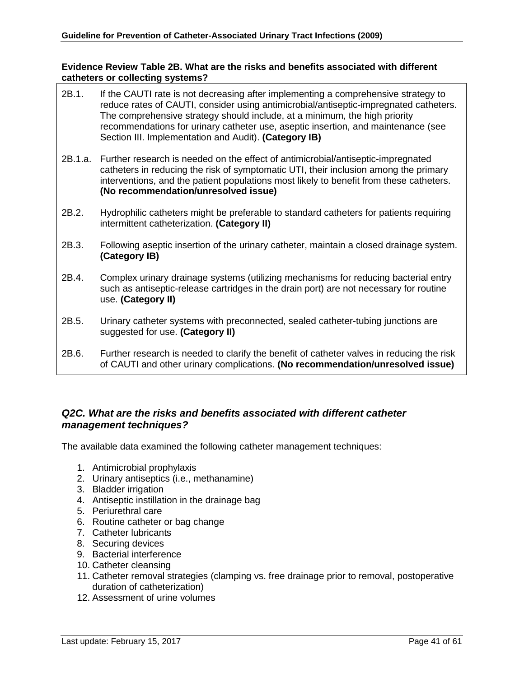#### **Evidence Review Table 2B. What are the risks and benefits associated with different catheters or collecting systems?**

- 2B.1. If the CAUTI rate is not decreasing after implementing a comprehensive strategy to reduce rates of CAUTI, consider using antimicrobial/antiseptic-impregnated catheters. The comprehensive strategy should include, at a minimum, the high priority recommendations for urinary catheter use, aseptic insertion, and maintenance (see Section III. Implementation and Audit). **(Category IB)**
- 2B.1.a. Further research is needed on the effect of antimicrobial/antiseptic-impregnated catheters in reducing the risk of symptomatic UTI, their inclusion among the primary interventions, and the patient populations most likely to benefit from these catheters. **(No recommendation/unresolved issue)**
- 2B.2. Hydrophilic catheters might be preferable to standard catheters for patients requiring intermittent catheterization. **(Category II)**
- 2B.3. Following aseptic insertion of the urinary catheter, maintain a closed drainage system. **(Category IB)**
- 2B.4. Complex urinary drainage systems (utilizing mechanisms for reducing bacterial entry such as antiseptic-release cartridges in the drain port) are not necessary for routine use. **(Category II)**
- 2B.5. Urinary catheter systems with preconnected, sealed catheter-tubing junctions are suggested for use. **(Category II)**
- 2B.6. Further research is needed to clarify the benefit of catheter valves in reducing the risk of CAUTI and other urinary complications. **(No recommendation/unresolved issue)**

#### *Q2C. What are the risks and benefits associated with different catheter management techniques?*

The available data examined the following catheter management techniques:

- 1. Antimicrobial prophylaxis
- 2. Urinary antiseptics (i.e., methanamine)
- 3. Bladder irrigation
- 4. Antiseptic instillation in the drainage bag
- 5. Periurethral care
- 6. Routine catheter or bag change
- 7. Catheter lubricants
- 8. Securing devices
- 9. Bacterial interference
- 10. Catheter cleansing
- 11. Catheter removal strategies (clamping vs. free drainage prior to removal, postoperative duration of catheterization)
- 12. Assessment of urine volumes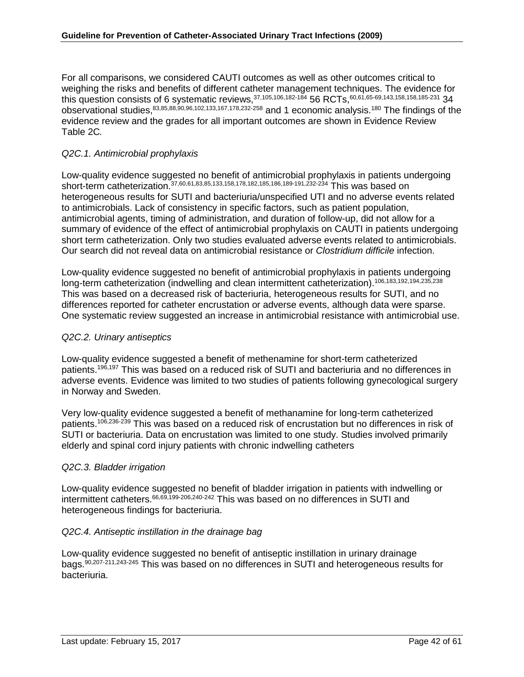For all comparisons, we considered CAUTI outcomes as well as other outcomes critical to weighing the risks and benefits of different catheter management techniques. The evidence for this question consists of 6 systematic reviews, 37,105,106,182-184 56 RCTs, 60,61,65-69,143,158,158,185-231 34 observational studies,<sup>83,85,88,90,96,102,133,167,178,232-258</sup> and 1 economic analysis.<sup>180</sup> The findings of the evidence review and the grades for all important outcomes are shown in Evidence Review Table 2C*.*

#### *Q2C.1. Antimicrobial prophylaxis*

Low-quality evidence suggested no benefit of antimicrobial prophylaxis in patients undergoing short-term catheterization. 37,60,61,83,85,133,158,178,182,185,186,189-191,232-234 This was based on heterogeneous results for SUTI and bacteriuria/unspecified UTI and no adverse events related to antimicrobials. Lack of consistency in specific factors, such as patient population, antimicrobial agents, timing of administration, and duration of follow-up, did not allow for a summary of evidence of the effect of antimicrobial prophylaxis on CAUTI in patients undergoing short term catheterization. Only two studies evaluated adverse events related to antimicrobials. Our search did not reveal data on antimicrobial resistance or *Clostridium difficile* infection.

Low-quality evidence suggested no benefit of antimicrobial prophylaxis in patients undergoing long-term catheterization (indwelling and clean intermittent catheterization).<sup>106,183,192,194,235,238</sup> This was based on a decreased risk of bacteriuria, heterogeneous results for SUTI, and no differences reported for catheter encrustation or adverse events, although data were sparse. One systematic review suggested an increase in antimicrobial resistance with antimicrobial use.

#### *Q2C.2. Urinary antiseptics*

Low-quality evidence suggested a benefit of methenamine for short-term catheterized patients. 196,197 This was based on a reduced risk of SUTI and bacteriuria and no differences in adverse events. Evidence was limited to two studies of patients following gynecological surgery in Norway and Sweden.

Very low-quality evidence suggested a benefit of methanamine for long-term catheterized patients.<sup>106,236-239</sup> This was based on a reduced risk of encrustation but no differences in risk of SUTI or bacteriuria. Data on encrustation was limited to one study. Studies involved primarily elderly and spinal cord injury patients with chronic indwelling catheters

#### *Q2C.3. Bladder irrigation*

Low-quality evidence suggested no benefit of bladder irrigation in patients with indwelling or intermittent catheters. 66,69,199-206,240-242 This was based on no differences in SUTI and heterogeneous findings for bacteriuria.

#### *Q2C.4. Antiseptic instillation in the drainage bag*

Low-quality evidence suggested no benefit of antiseptic instillation in urinary drainage bags. 90,207-211,243-245 This was based on no differences in SUTI and heterogeneous results for bacteriuria.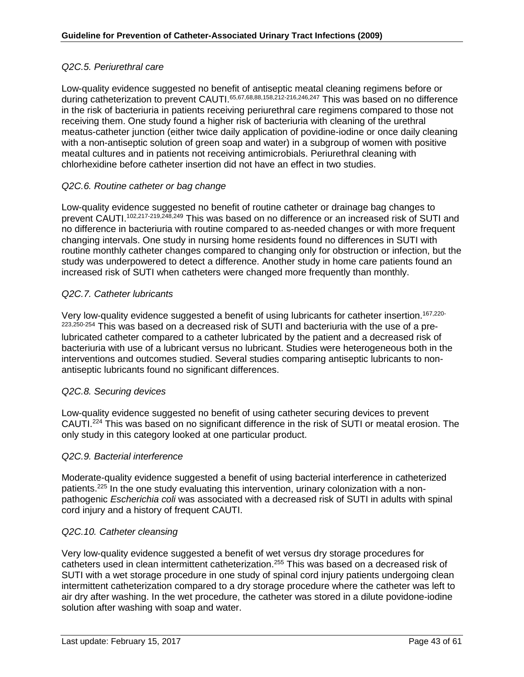#### *Q2C.5. Periurethral care*

Low-quality evidence suggested no benefit of antiseptic meatal cleaning regimens before or during catheterization to prevent CAUTI. 65,67,68,88,158,212-216,246,247 This was based on no difference in the risk of bacteriuria in patients receiving periurethral care regimens compared to those not receiving them. One study found a higher risk of bacteriuria with cleaning of the urethral meatus-catheter junction (either twice daily application of povidine-iodine or once daily cleaning with a non-antiseptic solution of green soap and water) in a subgroup of women with positive meatal cultures and in patients not receiving antimicrobials. Periurethral cleaning with chlorhexidine before catheter insertion did not have an effect in two studies.

#### *Q2C.6. Routine catheter or bag change*

Low-quality evidence suggested no benefit of routine catheter or drainage bag changes to prevent CAUTI. 102,217-219,248,249 This was based on no difference or an increased risk of SUTI and no difference in bacteriuria with routine compared to as-needed changes or with more frequent changing intervals. One study in nursing home residents found no differences in SUTI with routine monthly catheter changes compared to changing only for obstruction or infection, but the study was underpowered to detect a difference. Another study in home care patients found an increased risk of SUTI when catheters were changed more frequently than monthly.

#### *Q2C.7. Catheter lubricants*

Very low-quality evidence suggested a benefit of using lubricants for catheter insertion.<sup>167,220-</sup>  $223,250-254$  This was based on a decreased risk of SUTI and bacteriuria with the use of a prelubricated catheter compared to a catheter lubricated by the patient and a decreased risk of bacteriuria with use of a lubricant versus no lubricant. Studies were heterogeneous both in the interventions and outcomes studied. Several studies comparing antiseptic lubricants to nonantiseptic lubricants found no significant differences.

#### *Q2C.8. Securing devices*

Low-quality evidence suggested no benefit of using catheter securing devices to prevent CAUTI.<sup>224</sup> This was based on no significant difference in the risk of SUTI or meatal erosion. The only study in this category looked at one particular product.

#### *Q2C.9. Bacterial interference*

Moderate-quality evidence suggested a benefit of using bacterial interference in catheterized patients.<sup>225</sup> In the one study evaluating this intervention, urinary colonization with a nonpathogenic *Escherichia coli* was associated with a decreased risk of SUTI in adults with spinal cord injury and a history of frequent CAUTI.

#### *Q2C.10. Catheter cleansing*

Very low-quality evidence suggested a benefit of wet versus dry storage procedures for catheters used in clean intermittent catheterization. <sup>255</sup> This was based on a decreased risk of SUTI with a wet storage procedure in one study of spinal cord injury patients undergoing clean intermittent catheterization compared to a dry storage procedure where the catheter was left to air dry after washing. In the wet procedure, the catheter was stored in a dilute povidone-iodine solution after washing with soap and water.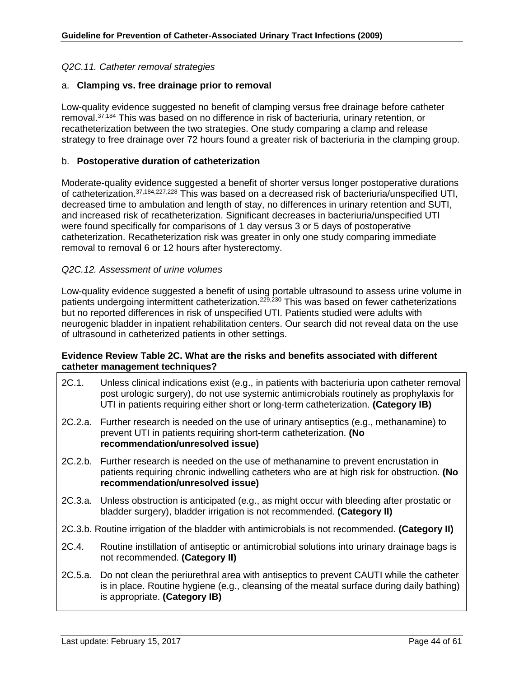#### *Q2C.11. Catheter removal strategies*

#### a. **Clamping vs. free drainage prior to removal**

Low-quality evidence suggested no benefit of clamping versus free drainage before catheter removal.<sup>37,184</sup> This was based on no difference in risk of bacteriuria, urinary retention, or recatheterization between the two strategies. One study comparing a clamp and release strategy to free drainage over 72 hours found a greater risk of bacteriuria in the clamping group.

#### b. **Postoperative duration of catheterization**

Moderate-quality evidence suggested a benefit of shorter versus longer postoperative durations of catheterization.<sup>37,184,227,228</sup> This was based on a decreased risk of bacteriuria/unspecified UTI, decreased time to ambulation and length of stay, no differences in urinary retention and SUTI, and increased risk of recatheterization. Significant decreases in bacteriuria/unspecified UTI were found specifically for comparisons of 1 day versus 3 or 5 days of postoperative catheterization. Recatheterization risk was greater in only one study comparing immediate removal to removal 6 or 12 hours after hysterectomy.

#### *Q2C.12. Assessment of urine volumes*

Low-quality evidence suggested a benefit of using portable ultrasound to assess urine volume in patients undergoing intermittent catheterization.<sup>229,230</sup> This was based on fewer catheterizations but no reported differences in risk of unspecified UTI. Patients studied were adults with neurogenic bladder in inpatient rehabilitation centers. Our search did not reveal data on the use of ultrasound in catheterized patients in other settings.

#### **Evidence Review Table 2C. What are the risks and benefits associated with different catheter management techniques?**

- 2C.1. Unless clinical indications exist (e.g., in patients with bacteriuria upon catheter removal post urologic surgery), do not use systemic antimicrobials routinely as prophylaxis for UTI in patients requiring either short or long-term catheterization. **(Category IB)**
- 2C.2.a. Further research is needed on the use of urinary antiseptics (e.g., methanamine) to prevent UTI in patients requiring short-term catheterization. **(No recommendation/unresolved issue)**
- 2C.2.b. Further research is needed on the use of methanamine to prevent encrustation in patients requiring chronic indwelling catheters who are at high risk for obstruction. **(No recommendation/unresolved issue)**
- 2C.3.a. Unless obstruction is anticipated (e.g., as might occur with bleeding after prostatic or bladder surgery), bladder irrigation is not recommended. **(Category II)**
- 2C.3.b. Routine irrigation of the bladder with antimicrobials is not recommended. **(Category II)**
- 2C.4. Routine instillation of antiseptic or antimicrobial solutions into urinary drainage bags is not recommended. **(Category II)**
- 2C.5.a. Do not clean the periurethral area with antiseptics to prevent CAUTI while the catheter is in place. Routine hygiene (e.g., cleansing of the meatal surface during daily bathing) is appropriate. **(Category IB)**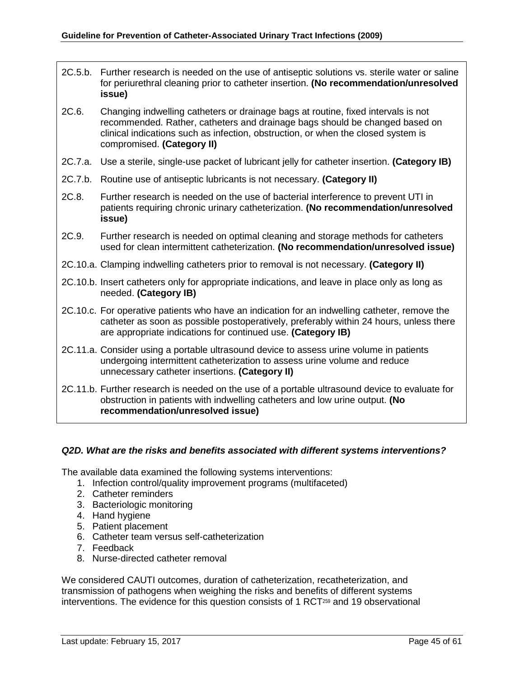- 2C.5.b. Further research is needed on the use of antiseptic solutions vs. sterile water or saline for periurethral cleaning prior to catheter insertion. **(No recommendation/unresolved issue)**
- 2C.6. Changing indwelling catheters or drainage bags at routine, fixed intervals is not recommended. Rather, catheters and drainage bags should be changed based on clinical indications such as infection, obstruction, or when the closed system is compromised. **(Category II)**
- 2C.7.a. Use a sterile, single-use packet of lubricant jelly for catheter insertion. **(Category IB)**
- 2C.7.b. Routine use of antiseptic lubricants is not necessary. **(Category II)**
- 2C.8. Further research is needed on the use of bacterial interference to prevent UTI in patients requiring chronic urinary catheterization. **(No recommendation/unresolved issue)**
- 2C.9. Further research is needed on optimal cleaning and storage methods for catheters used for clean intermittent catheterization. **(No recommendation/unresolved issue)**
- 2C.10.a. Clamping indwelling catheters prior to removal is not necessary. **(Category II)**
- 2C.10.b. Insert catheters only for appropriate indications, and leave in place only as long as needed. **(Category IB)**
- 2C.10.c. For operative patients who have an indication for an indwelling catheter, remove the catheter as soon as possible postoperatively, preferably within 24 hours, unless there are appropriate indications for continued use. **(Category IB)**
- 2C.11.a. Consider using a portable ultrasound device to assess urine volume in patients undergoing intermittent catheterization to assess urine volume and reduce unnecessary catheter insertions. **(Category II)**
- 2C.11.b. Further research is needed on the use of a portable ultrasound device to evaluate for obstruction in patients with indwelling catheters and low urine output. **(No recommendation/unresolved issue)**

#### *Q2D. What are the risks and benefits associated with different systems interventions?*

The available data examined the following systems interventions:

- 1. Infection control/quality improvement programs (multifaceted)
- 2. Catheter reminders
- 3. Bacteriologic monitoring
- 4. Hand hygiene
- 5. Patient placement
- 6. Catheter team versus self-catheterization
- 7. Feedback
- 8. Nurse-directed catheter removal

We considered CAUTI outcomes, duration of catheterization, recatheterization, and transmission of pathogens when weighing the risks and benefits of different systems interventions. The evidence for this question consists of 1 RCT<sup>259</sup> and 19 observational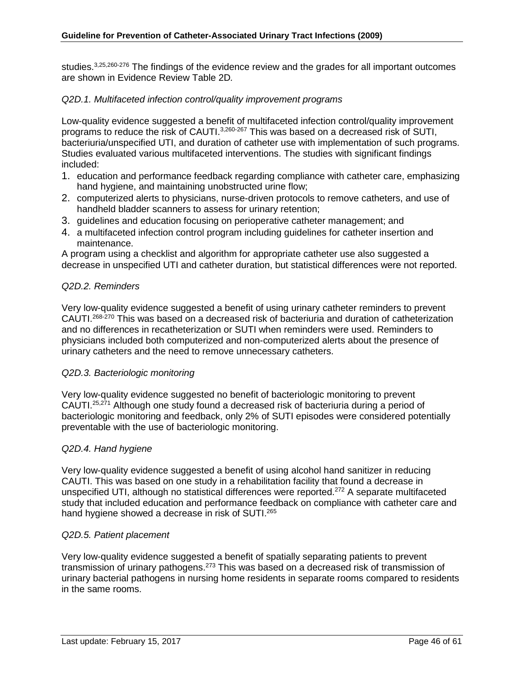studies.<sup>3,25,260-276</sup> The findings of the evidence review and the grades for all important outcomes are shown in Evidence Review Table 2D*.* 

#### *Q2D.1. Multifaceted infection control/quality improvement programs*

Low-quality evidence suggested a benefit of multifaceted infection control/quality improvement programs to reduce the risk of CAUTI.<sup>3,260-267</sup> This was based on a decreased risk of SUTI, bacteriuria/unspecified UTI, and duration of catheter use with implementation of such programs. Studies evaluated various multifaceted interventions. The studies with significant findings included:

- 1. education and performance feedback regarding compliance with catheter care, emphasizing hand hygiene, and maintaining unobstructed urine flow;
- 2. computerized alerts to physicians, nurse-driven protocols to remove catheters, and use of handheld bladder scanners to assess for urinary retention;
- 3. guidelines and education focusing on perioperative catheter management; and
- 4. a multifaceted infection control program including guidelines for catheter insertion and maintenance.

A program using a checklist and algorithm for appropriate catheter use also suggested a decrease in unspecified UTI and catheter duration, but statistical differences were not reported.

#### *Q2D.2. Reminders*

Very low-quality evidence suggested a benefit of using urinary catheter reminders to prevent CAUTI.<sup>268-270</sup> This was based on a decreased risk of bacteriuria and duration of catheterization and no differences in recatheterization or SUTI when reminders were used. Reminders to physicians included both computerized and non-computerized alerts about the presence of urinary catheters and the need to remove unnecessary catheters.

#### *Q2D.3. Bacteriologic monitoring*

Very low-quality evidence suggested no benefit of bacteriologic monitoring to prevent CAUTI.<sup>25,271</sup> Although one study found a decreased risk of bacteriuria during a period of bacteriologic monitoring and feedback, only 2% of SUTI episodes were considered potentially preventable with the use of bacteriologic monitoring.

#### *Q2D.4. Hand hygiene*

Very low-quality evidence suggested a benefit of using alcohol hand sanitizer in reducing CAUTI. This was based on one study in a rehabilitation facility that found a decrease in unspecified UTI, although no statistical differences were reported.<sup>272</sup> A separate multifaceted study that included education and performance feedback on compliance with catheter care and hand hygiene showed a decrease in risk of SUTI.<sup>265</sup>

#### *Q2D.5. Patient placement*

Very low-quality evidence suggested a benefit of spatially separating patients to prevent transmission of urinary pathogens.<sup>273</sup> This was based on a decreased risk of transmission of urinary bacterial pathogens in nursing home residents in separate rooms compared to residents in the same rooms.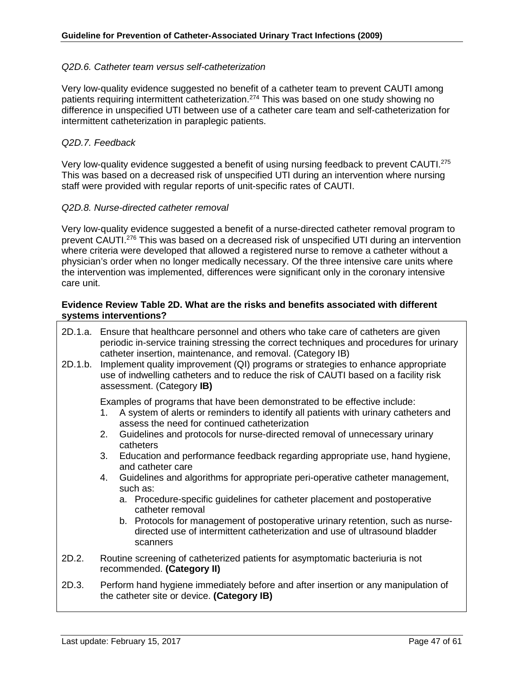#### *Q2D.6. Catheter team versus self-catheterization*

Very low-quality evidence suggested no benefit of a catheter team to prevent CAUTI among patients requiring intermittent catheterization. <sup>274</sup> This was based on one study showing no difference in unspecified UTI between use of a catheter care team and self-catheterization for intermittent catheterization in paraplegic patients.

#### *Q2D.7. Feedback*

Very low-quality evidence suggested a benefit of using nursing feedback to prevent CAUTI.<sup>275</sup> This was based on a decreased risk of unspecified UTI during an intervention where nursing staff were provided with regular reports of unit-specific rates of CAUTI.

#### *Q2D.8. Nurse-directed catheter removal*

Very low-quality evidence suggested a benefit of a nurse-directed catheter removal program to prevent CAUTI.<sup>276</sup> This was based on a decreased risk of unspecified UTI during an intervention where criteria were developed that allowed a registered nurse to remove a catheter without a physician's order when no longer medically necessary. Of the three intensive care units where the intervention was implemented, differences were significant only in the coronary intensive care unit.

#### **Evidence Review Table 2D. What are the risks and benefits associated with different systems interventions?**

- 2D.1.a. Ensure that healthcare personnel and others who take care of catheters are given periodic in-service training stressing the correct techniques and procedures for urinary catheter insertion, maintenance, and removal. (Category IB)
- 2D.1.b. Implement quality improvement (QI) programs or strategies to enhance appropriate use of indwelling catheters and to reduce the risk of CAUTI based on a facility risk assessment. (Category **IB)**

Examples of programs that have been demonstrated to be effective include:

- 1. A system of alerts or reminders to identify all patients with urinary catheters and assess the need for continued catheterization
- 2. Guidelines and protocols for nurse-directed removal of unnecessary urinary catheters
- 3. Education and performance feedback regarding appropriate use, hand hygiene, and catheter care
- 4. Guidelines and algorithms for appropriate peri-operative catheter management, such as:
	- a. Procedure-specific guidelines for catheter placement and postoperative catheter removal
	- b. Protocols for management of postoperative urinary retention, such as nursedirected use of intermittent catheterization and use of ultrasound bladder scanners
- 2D.2. Routine screening of catheterized patients for asymptomatic bacteriuria is not recommended. **(Category II)**
- 2D.3. Perform hand hygiene immediately before and after insertion or any manipulation of the catheter site or device. **(Category IB)**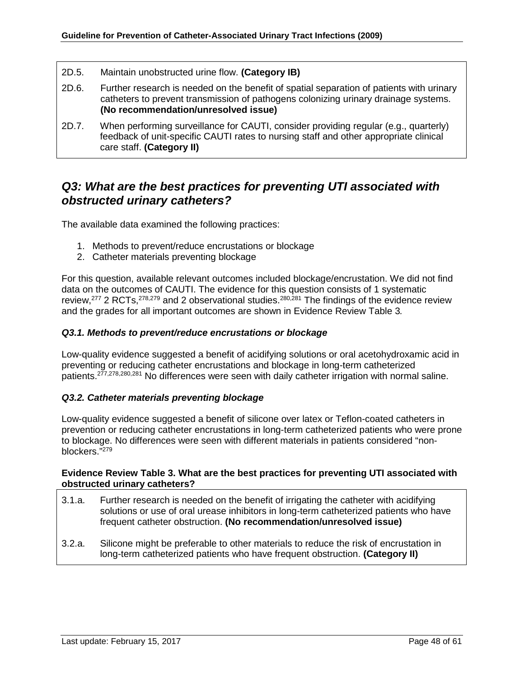- 2D.5. Maintain unobstructed urine flow. **(Category IB)**
- 2D.6. Further research is needed on the benefit of spatial separation of patients with urinary catheters to prevent transmission of pathogens colonizing urinary drainage systems. **(No recommendation/unresolved issue)**
- 2D.7. When performing surveillance for CAUTI, consider providing regular (e.g., quarterly) feedback of unit-specific CAUTI rates to nursing staff and other appropriate clinical care staff. **(Category II)**

### *Q3: What are the best practices for preventing UTI associated with obstructed urinary catheters?*

The available data examined the following practices:

- 1. Methods to prevent/reduce encrustations or blockage
- 2. Catheter materials preventing blockage

For this question, available relevant outcomes included blockage/encrustation. We did not find data on the outcomes of CAUTI. The evidence for this question consists of 1 systematic review,<sup>277</sup> 2 RCTs,<sup>278,279</sup> and 2 observational studies.<sup>280,281</sup> The findings of the evidence review and the grades for all important outcomes are shown in Evidence Review Table 3*.* 

#### *Q3.1. Methods to prevent/reduce encrustations or blockage*

Low-quality evidence suggested a benefit of acidifying solutions or oral acetohydroxamic acid in preventing or reducing catheter encrustations and blockage in long-term catheterized patients.<sup>277,278,280,281</sup> No differences were seen with daily catheter irrigation with normal saline.

#### *Q3.2. Catheter materials preventing blockage*

Low-quality evidence suggested a benefit of silicone over latex or Teflon-coated catheters in prevention or reducing catheter encrustations in long-term catheterized patients who were prone to blockage. No differences were seen with different materials in patients considered "nonblockers."<sup>279</sup>

#### **Evidence Review Table 3. What are the best practices for preventing UTI associated with obstructed urinary catheters?**

- 3.1.a. Further research is needed on the benefit of irrigating the catheter with acidifying solutions or use of oral urease inhibitors in long-term catheterized patients who have frequent catheter obstruction. **(No recommendation/unresolved issue)**
- 3.2.a. Silicone might be preferable to other materials to reduce the risk of encrustation in long-term catheterized patients who have frequent obstruction. **(Category II)**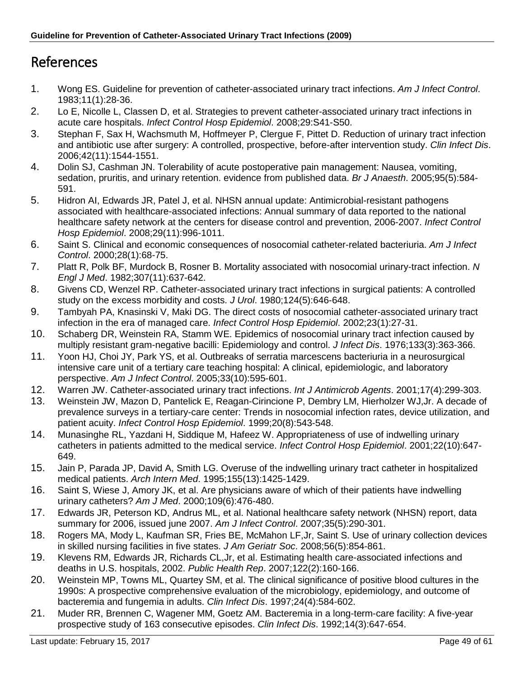# <span id="page-48-0"></span>References

- 1. Wong ES. Guideline for prevention of catheter-associated urinary tract infections. *Am J Infect Control*. 1983;11(1):28-36.
- 2. Lo E, Nicolle L, Classen D, et al. Strategies to prevent catheter-associated urinary tract infections in acute care hospitals. *Infect Control Hosp Epidemiol*. 2008;29:S41-S50.
- 3. Stephan F, Sax H, Wachsmuth M, Hoffmeyer P, Clergue F, Pittet D. Reduction of urinary tract infection and antibiotic use after surgery: A controlled, prospective, before-after intervention study. *Clin Infect Dis*. 2006;42(11):1544-1551.
- 4. Dolin SJ, Cashman JN. Tolerability of acute postoperative pain management: Nausea, vomiting, sedation, pruritis, and urinary retention. evidence from published data. *Br J Anaesth*. 2005;95(5):584- 591.
- 5. Hidron AI, Edwards JR, Patel J, et al. NHSN annual update: Antimicrobial-resistant pathogens associated with healthcare-associated infections: Annual summary of data reported to the national healthcare safety network at the centers for disease control and prevention, 2006-2007. *Infect Control Hosp Epidemiol*. 2008;29(11):996-1011.
- 6. Saint S. Clinical and economic consequences of nosocomial catheter-related bacteriuria. *Am J Infect Control*. 2000;28(1):68-75.
- 7. Platt R, Polk BF, Murdock B, Rosner B. Mortality associated with nosocomial urinary-tract infection. *N Engl J Med*. 1982;307(11):637-642.
- 8. Givens CD, Wenzel RP. Catheter-associated urinary tract infections in surgical patients: A controlled study on the excess morbidity and costs. *J Urol*. 1980;124(5):646-648.
- 9. Tambyah PA, Knasinski V, Maki DG. The direct costs of nosocomial catheter-associated urinary tract infection in the era of managed care. *Infect Control Hosp Epidemiol*. 2002;23(1):27-31.
- 10. Schaberg DR, Weinstein RA, Stamm WE. Epidemics of nosocomial urinary tract infection caused by multiply resistant gram-negative bacilli: Epidemiology and control. *J Infect Dis*. 1976;133(3):363-366.
- 11. Yoon HJ, Choi JY, Park YS, et al. Outbreaks of serratia marcescens bacteriuria in a neurosurgical intensive care unit of a tertiary care teaching hospital: A clinical, epidemiologic, and laboratory perspective. *Am J Infect Control*. 2005;33(10):595-601.
- 12. Warren JW. Catheter-associated urinary tract infections. *Int J Antimicrob Agents*. 2001;17(4):299-303.
- Weinstein JW, Mazon D, Pantelick E, Reagan-Cirincione P, Dembry LM, Hierholzer WJ,Jr. A decade of prevalence surveys in a tertiary-care center: Trends in nosocomial infection rates, device utilization, and patient acuity. *Infect Control Hosp Epidemiol*. 1999;20(8):543-548.
- 14. Munasinghe RL, Yazdani H, Siddique M, Hafeez W. Appropriateness of use of indwelling urinary catheters in patients admitted to the medical service. *Infect Control Hosp Epidemiol*. 2001;22(10):647- 649.
- 15. Jain P, Parada JP, David A, Smith LG. Overuse of the indwelling urinary tract catheter in hospitalized medical patients. *Arch Intern Med*. 1995;155(13):1425-1429.
- 16. Saint S, Wiese J, Amory JK, et al. Are physicians aware of which of their patients have indwelling urinary catheters? *Am J Med*. 2000;109(6):476-480.
- 17. Edwards JR, Peterson KD, Andrus ML, et al. National healthcare safety network (NHSN) report, data summary for 2006, issued june 2007. *Am J Infect Control*. 2007;35(5):290-301.
- 18. Rogers MA, Mody L, Kaufman SR, Fries BE, McMahon LF,Jr, Saint S. Use of urinary collection devices in skilled nursing facilities in five states. *J Am Geriatr Soc*. 2008;56(5):854-861.
- 19. Klevens RM, Edwards JR, Richards CL,Jr, et al. Estimating health care-associated infections and deaths in U.S. hospitals, 2002. *Public Health Rep*. 2007;122(2):160-166.
- 20. Weinstein MP, Towns ML, Quartey SM, et al. The clinical significance of positive blood cultures in the 1990s: A prospective comprehensive evaluation of the microbiology, epidemiology, and outcome of bacteremia and fungemia in adults. *Clin Infect Dis*. 1997;24(4):584-602.
- 21. Muder RR, Brennen C, Wagener MM, Goetz AM. Bacteremia in a long-term-care facility: A five-year prospective study of 163 consecutive episodes. *Clin Infect Dis*. 1992;14(3):647-654.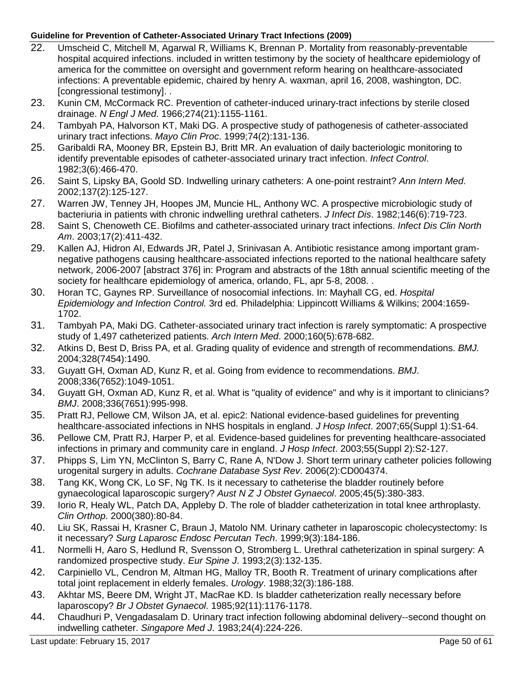- 22. Umscheid C, Mitchell M, Agarwal R, Williams K, Brennan P. Mortality from reasonably-preventable hospital acquired infections. included in written testimony by the society of healthcare epidemiology of america for the committee on oversight and government reform hearing on healthcare-associated infections: A preventable epidemic, chaired by henry A. waxman, april 16, 2008, washington, DC. [congressional testimony]. .
- 23. Kunin CM, McCormack RC. Prevention of catheter-induced urinary-tract infections by sterile closed drainage. *N Engl J Med*. 1966;274(21):1155-1161.
- 24. Tambyah PA, Halvorson KT, Maki DG. A prospective study of pathogenesis of catheter-associated urinary tract infections. *Mayo Clin Proc*. 1999;74(2):131-136.
- 25. Garibaldi RA, Mooney BR, Epstein BJ, Britt MR. An evaluation of daily bacteriologic monitoring to identify preventable episodes of catheter-associated urinary tract infection. *Infect Control*. 1982;3(6):466-470.
- 26. Saint S, Lipsky BA, Goold SD. Indwelling urinary catheters: A one-point restraint? *Ann Intern Med*. 2002;137(2):125-127.
- 27. Warren JW, Tenney JH, Hoopes JM, Muncie HL, Anthony WC. A prospective microbiologic study of bacteriuria in patients with chronic indwelling urethral catheters. *J Infect Dis*. 1982;146(6):719-723.
- 28. Saint S, Chenoweth CE. Biofilms and catheter-associated urinary tract infections. *Infect Dis Clin North Am*. 2003;17(2):411-432.
- 29. Kallen AJ, Hidron AI, Edwards JR, Patel J, Srinivasan A. Antibiotic resistance among important gramnegative pathogens causing healthcare-associated infections reported to the national healthcare safety network, 2006-2007 [abstract 376] in: Program and abstracts of the 18th annual scientific meeting of the society for healthcare epidemiology of america, orlando, FL, apr 5-8, 2008. .
- 30. Horan TC, Gaynes RP. Surveillance of nosocomial infections. In: Mayhall CG, ed. *Hospital Epidemiology and Infection Control.* 3rd ed. Philadelphia: Lippincott Williams & Wilkins; 2004:1659- 1702.
- 31. Tambyah PA, Maki DG. Catheter-associated urinary tract infection is rarely symptomatic: A prospective study of 1,497 catheterized patients. *Arch Intern Med*. 2000;160(5):678-682.
- 32. Atkins D, Best D, Briss PA, et al. Grading quality of evidence and strength of recommendations. *BMJ.* 2004;328(7454):1490.
- 33. Guyatt GH, Oxman AD, Kunz R, et al. Going from evidence to recommendations. *BMJ*. 2008;336(7652):1049-1051.
- 34. Guyatt GH, Oxman AD, Kunz R, et al. What is "quality of evidence" and why is it important to clinicians? *BMJ*. 2008;336(7651):995-998.
- 35. Pratt RJ, Pellowe CM, Wilson JA, et al. epic2: National evidence-based guidelines for preventing healthcare-associated infections in NHS hospitals in england. *J Hosp Infect*. 2007;65(Suppl 1):S1-64.
- 36. Pellowe CM, Pratt RJ, Harper P, et al. Evidence-based guidelines for preventing healthcare-associated infections in primary and community care in england. *J Hosp Infect*. 2003;55(Suppl 2):S2-127.
- 37. Phipps S, Lim YN, McClinton S, Barry C, Rane A, N'Dow J. Short term urinary catheter policies following urogenital surgery in adults. *Cochrane Database Syst Rev*. 2006(2):CD004374.
- 38. Tang KK, Wong CK, Lo SF, Ng TK. Is it necessary to catheterise the bladder routinely before gynaecological laparoscopic surgery? *Aust N Z J Obstet Gynaecol*. 2005;45(5):380-383.
- 39. Iorio R, Healy WL, Patch DA, Appleby D. The role of bladder catheterization in total knee arthroplasty. *Clin Orthop*. 2000(380):80-84.
- 40. Liu SK, Rassai H, Krasner C, Braun J, Matolo NM. Urinary catheter in laparoscopic cholecystectomy: Is it necessary? *Surg Laparosc Endosc Percutan Tech*. 1999;9(3):184-186.
- 41. Normelli H, Aaro S, Hedlund R, Svensson O, Stromberg L. Urethral catheterization in spinal surgery: A randomized prospective study. *Eur Spine J*. 1993;2(3):132-135.
- 42. Carpiniello VL, Cendron M, Altman HG, Malloy TR, Booth R. Treatment of urinary complications after total joint replacement in elderly females. *Urology*. 1988;32(3):186-188.
- 43. Akhtar MS, Beere DM, Wright JT, MacRae KD. Is bladder catheterization really necessary before laparoscopy? *Br J Obstet Gynaecol*. 1985;92(11):1176-1178.
- 44. Chaudhuri P, Vengadasalam D. Urinary tract infection following abdominal delivery--second thought on indwelling catheter. *Singapore Med J*. 1983;24(4):224-226.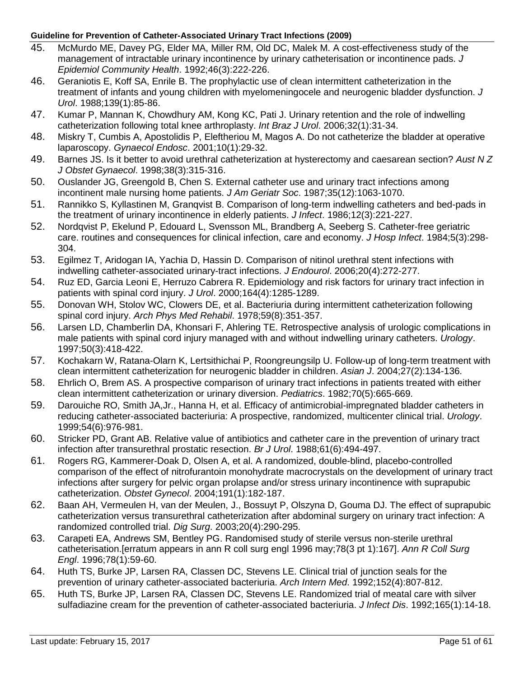- 45. McMurdo ME, Davey PG, Elder MA, Miller RM, Old DC, Malek M. A cost-effectiveness study of the management of intractable urinary incontinence by urinary catheterisation or incontinence pads. *J Epidemiol Community Health*. 1992;46(3):222-226.
- 46. Geraniotis E, Koff SA, Enrile B. The prophylactic use of clean intermittent catheterization in the treatment of infants and young children with myelomeningocele and neurogenic bladder dysfunction. *J Urol*. 1988;139(1):85-86.
- 47. Kumar P, Mannan K, Chowdhury AM, Kong KC, Pati J. Urinary retention and the role of indwelling catheterization following total knee arthroplasty. *Int Braz J Urol*. 2006;32(1):31-34.
- 48. Miskry T, Cumbis A, Apostolidis P, Eleftheriou M, Magos A. Do not catheterize the bladder at operative laparoscopy. *Gynaecol Endosc*. 2001;10(1):29-32.
- 49. Barnes JS. Is it better to avoid urethral catheterization at hysterectomy and caesarean section? *Aust N Z J Obstet Gynaecol*. 1998;38(3):315-316.
- 50. Ouslander JG, Greengold B, Chen S. External catheter use and urinary tract infections among incontinent male nursing home patients. *J Am Geriatr Soc*. 1987;35(12):1063-1070.
- 51. Rannikko S, Kyllastinen M, Granqvist B. Comparison of long-term indwelling catheters and bed-pads in the treatment of urinary incontinence in elderly patients. *J Infect*. 1986;12(3):221-227.
- 52. Nordqvist P, Ekelund P, Edouard L, Svensson ML, Brandberg A, Seeberg S. Catheter-free geriatric care. routines and consequences for clinical infection, care and economy. *J Hosp Infect*. 1984;5(3):298- 304.
- 53. Egilmez T, Aridogan IA, Yachia D, Hassin D. Comparison of nitinol urethral stent infections with indwelling catheter-associated urinary-tract infections. *J Endourol*. 2006;20(4):272-277.
- 54. Ruz ED, Garcia Leoni E, Herruzo Cabrera R. Epidemiology and risk factors for urinary tract infection in patients with spinal cord injury. *J Urol*. 2000;164(4):1285-1289.
- 55. Donovan WH, Stolov WC, Clowers DE, et al. Bacteriuria during intermittent catheterization following spinal cord injury. *Arch Phys Med Rehabil*. 1978;59(8):351-357.
- 56. Larsen LD, Chamberlin DA, Khonsari F, Ahlering TE. Retrospective analysis of urologic complications in male patients with spinal cord injury managed with and without indwelling urinary catheters. *Urology*. 1997;50(3):418-422.
- 57. Kochakarn W, Ratana-Olarn K, Lertsithichai P, Roongreungsilp U. Follow-up of long-term treatment with clean intermittent catheterization for neurogenic bladder in children. *Asian J*. 2004;27(2):134-136.
- 58. Ehrlich O, Brem AS. A prospective comparison of urinary tract infections in patients treated with either clean intermittent catheterization or urinary diversion. *Pediatrics*. 1982;70(5):665-669.
- 59. Darouiche RO, Smith JA,Jr., Hanna H, et al. Efficacy of antimicrobial-impregnated bladder catheters in reducing catheter-associated bacteriuria: A prospective, randomized, multicenter clinical trial. *Urology*. 1999;54(6):976-981.
- 60. Stricker PD, Grant AB. Relative value of antibiotics and catheter care in the prevention of urinary tract infection after transurethral prostatic resection. *Br J Urol*. 1988;61(6):494-497.
- 61. Rogers RG, Kammerer-Doak D, Olsen A, et al. A randomized, double-blind, placebo-controlled comparison of the effect of nitrofurantoin monohydrate macrocrystals on the development of urinary tract infections after surgery for pelvic organ prolapse and/or stress urinary incontinence with suprapubic catheterization. *Obstet Gynecol*. 2004;191(1):182-187.
- 62. Baan AH, Vermeulen H, van der Meulen, J., Bossuyt P, Olszyna D, Gouma DJ. The effect of suprapubic catheterization versus transurethral catheterization after abdominal surgery on urinary tract infection: A randomized controlled trial. *Dig Surg*. 2003;20(4):290-295.
- 63. Carapeti EA, Andrews SM, Bentley PG. Randomised study of sterile versus non-sterile urethral catheterisation.[erratum appears in ann R coll surg engl 1996 may;78(3 pt 1):167]. *Ann R Coll Surg Engl*. 1996;78(1):59-60.
- 64. Huth TS, Burke JP, Larsen RA, Classen DC, Stevens LE. Clinical trial of junction seals for the prevention of urinary catheter-associated bacteriuria. *Arch Intern Med*. 1992;152(4):807-812.
- 65. Huth TS, Burke JP, Larsen RA, Classen DC, Stevens LE. Randomized trial of meatal care with silver sulfadiazine cream for the prevention of catheter-associated bacteriuria. *J Infect Dis*. 1992;165(1):14-18.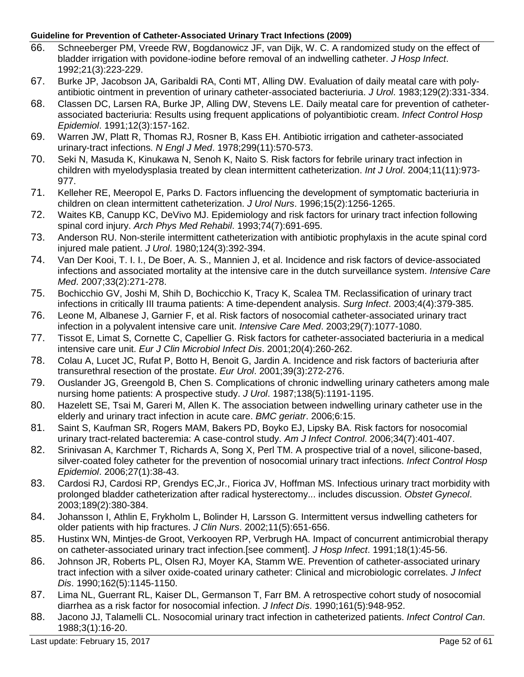- 66. Schneeberger PM, Vreede RW, Bogdanowicz JF, van Dijk, W. C. A randomized study on the effect of bladder irrigation with povidone-iodine before removal of an indwelling catheter. *J Hosp Infect*. 1992;21(3):223-229.
- 67. Burke JP, Jacobson JA, Garibaldi RA, Conti MT, Alling DW. Evaluation of daily meatal care with polyantibiotic ointment in prevention of urinary catheter-associated bacteriuria. *J Urol*. 1983;129(2):331-334.
- 68. Classen DC, Larsen RA, Burke JP, Alling DW, Stevens LE. Daily meatal care for prevention of catheterassociated bacteriuria: Results using frequent applications of polyantibiotic cream. *Infect Control Hosp Epidemiol*. 1991;12(3):157-162.
- 69. Warren JW, Platt R, Thomas RJ, Rosner B, Kass EH. Antibiotic irrigation and catheter-associated urinary-tract infections. *N Engl J Med*. 1978;299(11):570-573.
- 70. Seki N, Masuda K, Kinukawa N, Senoh K, Naito S. Risk factors for febrile urinary tract infection in children with myelodysplasia treated by clean intermittent catheterization. *Int J Urol*. 2004;11(11):973- 977.
- 71. Kelleher RE, Meeropol E, Parks D. Factors influencing the development of symptomatic bacteriuria in children on clean intermittent catheterization. *J Urol Nurs*. 1996;15(2):1256-1265.
- 72. Waites KB, Canupp KC, DeVivo MJ. Epidemiology and risk factors for urinary tract infection following spinal cord injury. *Arch Phys Med Rehabil*. 1993;74(7):691-695.
- 73. Anderson RU. Non-sterile intermittent catheterization with antibiotic prophylaxis in the acute spinal cord injured male patient. *J Urol*. 1980;124(3):392-394.
- 74. Van Der Kooi, T. I. I., De Boer, A. S., Mannien J, et al. Incidence and risk factors of device-associated infections and associated mortality at the intensive care in the dutch surveillance system. *Intensive Care Med*. 2007;33(2):271-278.
- 75. Bochicchio GV, Joshi M, Shih D, Bochicchio K, Tracy K, Scalea TM. Reclassification of urinary tract infections in critically III trauma patients: A time-dependent analysis. *Surg Infect*. 2003;4(4):379-385.
- 76. Leone M, Albanese J, Garnier F, et al. Risk factors of nosocomial catheter-associated urinary tract infection in a polyvalent intensive care unit. *Intensive Care Med*. 2003;29(7):1077-1080.
- 77. Tissot E, Limat S, Cornette C, Capellier G. Risk factors for catheter-associated bacteriuria in a medical intensive care unit. *Eur J Clin Microbiol Infect Dis*. 2001;20(4):260-262.
- 78. Colau A, Lucet JC, Rufat P, Botto H, Benoit G, Jardin A. Incidence and risk factors of bacteriuria after transurethral resection of the prostate. *Eur Urol*. 2001;39(3):272-276.
- 79. Ouslander JG, Greengold B, Chen S. Complications of chronic indwelling urinary catheters among male nursing home patients: A prospective study. *J Urol*. 1987;138(5):1191-1195.
- 80. Hazelett SE, Tsai M, Gareri M, Allen K. The association between indwelling urinary catheter use in the elderly and urinary tract infection in acute care. *BMC geriatr*. 2006;6:15.
- 81. Saint S, Kaufman SR, Rogers MAM, Bakers PD, Boyko EJ, Lipsky BA. Risk factors for nosocomial urinary tract-related bacteremia: A case-control study. *Am J Infect Control*. 2006;34(7):401-407.
- 82. Srinivasan A, Karchmer T, Richards A, Song X, Perl TM. A prospective trial of a novel, silicone-based, silver-coated foley catheter for the prevention of nosocomial urinary tract infections. *Infect Control Hosp Epidemiol*. 2006;27(1):38-43.
- 83. Cardosi RJ, Cardosi RP, Grendys EC, Jr., Fiorica JV, Hoffman MS. Infectious urinary tract morbidity with prolonged bladder catheterization after radical hysterectomy... includes discussion. *Obstet Gynecol*. 2003;189(2):380-384.
- 84. Johansson I, Athlin E, Frykholm L, Bolinder H, Larsson G. Intermittent versus indwelling catheters for older patients with hip fractures. *J Clin Nurs*. 2002;11(5):651-656.
- 85. Hustinx WN, Mintjes-de Groot, Verkooyen RP, Verbrugh HA. Impact of concurrent antimicrobial therapy on catheter-associated urinary tract infection.[see comment]. *J Hosp Infect*. 1991;18(1):45-56.
- 86. Johnson JR, Roberts PL, Olsen RJ, Moyer KA, Stamm WE. Prevention of catheter-associated urinary tract infection with a silver oxide-coated urinary catheter: Clinical and microbiologic correlates. *J Infect Dis*. 1990;162(5):1145-1150.
- 87. Lima NL, Guerrant RL, Kaiser DL, Germanson T, Farr BM. A retrospective cohort study of nosocomial diarrhea as a risk factor for nosocomial infection. *J Infect Dis*. 1990;161(5):948-952.
- 88. Jacono JJ, Talamelli CL. Nosocomial urinary tract infection in catheterized patients. *Infect Control Can*. 1988;3(1):16-20.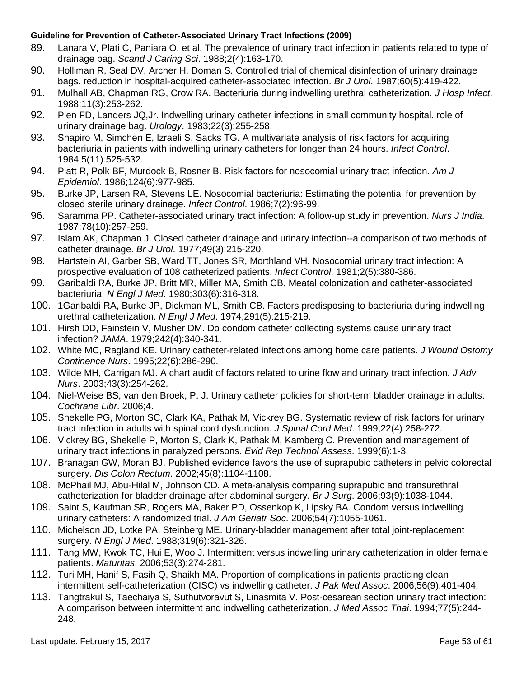- 89. Lanara V, Plati C, Paniara O, et al. The prevalence of urinary tract infection in patients related to type of drainage bag. *Scand J Caring Sci*. 1988;2(4):163-170.
- 90. Holliman R, Seal DV, Archer H, Doman S. Controlled trial of chemical disinfection of urinary drainage bags. reduction in hospital-acquired catheter-associated infection. *Br J Urol*. 1987;60(5):419-422.
- 91. Mulhall AB, Chapman RG, Crow RA. Bacteriuria during indwelling urethral catheterization. *J Hosp Infect*. 1988;11(3):253-262.
- 92. Pien FD, Landers JQ,Jr. Indwelling urinary catheter infections in small community hospital. role of urinary drainage bag. *Urology*. 1983;22(3):255-258.
- 93. Shapiro M, Simchen E, Izraeli S, Sacks TG. A multivariate analysis of risk factors for acquiring bacteriuria in patients with indwelling urinary catheters for longer than 24 hours. *Infect Control*. 1984;5(11):525-532.
- 94. Platt R, Polk BF, Murdock B, Rosner B. Risk factors for nosocomial urinary tract infection. *Am J Epidemiol*. 1986;124(6):977-985.
- 95. Burke JP, Larsen RA, Stevens LE. Nosocomial bacteriuria: Estimating the potential for prevention by closed sterile urinary drainage. *Infect Control*. 1986;7(2):96-99.
- 96. Saramma PP. Catheter-associated urinary tract infection: A follow-up study in prevention. *Nurs J India*. 1987;78(10):257-259.
- 97. Islam AK, Chapman J. Closed catheter drainage and urinary infection--a comparison of two methods of catheter drainage. *Br J Urol*. 1977;49(3):215-220.
- 98. Hartstein AI, Garber SB, Ward TT, Jones SR, Morthland VH. Nosocomial urinary tract infection: A prospective evaluation of 108 catheterized patients. *Infect Control*. 1981;2(5):380-386.
- 99. Garibaldi RA, Burke JP, Britt MR, Miller MA, Smith CB. Meatal colonization and catheter-associated bacteriuria. *N Engl J Med*. 1980;303(6):316-318.
- 100. 1Garibaldi RA, Burke JP, Dickman ML, Smith CB. Factors predisposing to bacteriuria during indwelling urethral catheterization. *N Engl J Med*. 1974;291(5):215-219.
- 101. Hirsh DD, Fainstein V, Musher DM. Do condom catheter collecting systems cause urinary tract infection? *JAMA*. 1979;242(4):340-341.
- 102. White MC, Ragland KE. Urinary catheter-related infections among home care patients. *J Wound Ostomy Continence Nurs*. 1995;22(6):286-290.
- 103. Wilde MH, Carrigan MJ. A chart audit of factors related to urine flow and urinary tract infection. *J Adv Nurs*. 2003;43(3):254-262.
- 104. Niel-Weise BS, van den Broek, P. J. Urinary catheter policies for short-term bladder drainage in adults. *Cochrane Libr*. 2006;4.
- 105. Shekelle PG, Morton SC, Clark KA, Pathak M, Vickrey BG. Systematic review of risk factors for urinary tract infection in adults with spinal cord dysfunction. *J Spinal Cord Med*. 1999;22(4):258-272.
- 106. Vickrey BG, Shekelle P, Morton S, Clark K, Pathak M, Kamberg C. Prevention and management of urinary tract infections in paralyzed persons. *Evid Rep Technol Assess*. 1999(6):1-3.
- 107. Branagan GW, Moran BJ. Published evidence favors the use of suprapubic catheters in pelvic colorectal surgery. *Dis Colon Rectum*. 2002;45(8):1104-1108.
- 108. McPhail MJ, Abu-Hilal M, Johnson CD. A meta-analysis comparing suprapubic and transurethral catheterization for bladder drainage after abdominal surgery. *Br J Surg*. 2006;93(9):1038-1044.
- 109. Saint S, Kaufman SR, Rogers MA, Baker PD, Ossenkop K, Lipsky BA. Condom versus indwelling urinary catheters: A randomized trial. *J Am Geriatr Soc*. 2006;54(7):1055-1061.
- 110. Michelson JD, Lotke PA, Steinberg ME. Urinary-bladder management after total joint-replacement surgery. *N Engl J Med*. 1988;319(6):321-326.
- 111. Tang MW, Kwok TC, Hui E, Woo J. Intermittent versus indwelling urinary catheterization in older female patients. *Maturitas*. 2006;53(3):274-281.
- 112. Turi MH, Hanif S, Fasih Q, Shaikh MA. Proportion of complications in patients practicing clean intermittent self-catheterization (CISC) vs indwelling catheter. *J Pak Med Assoc*. 2006;56(9):401-404.
- 113. Tangtrakul S, Taechaiya S, Suthutvoravut S, Linasmita V. Post-cesarean section urinary tract infection: A comparison between intermittent and indwelling catheterization. *J Med Assoc Thai*. 1994;77(5):244- 248.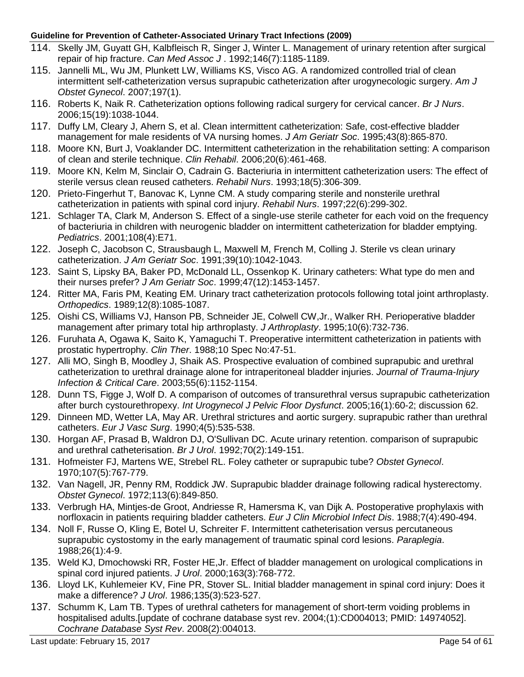- 114. Skelly JM, Guyatt GH, Kalbfleisch R, Singer J, Winter L. Management of urinary retention after surgical repair of hip fracture. *Can Med Assoc J* . 1992;146(7):1185-1189.
- 115. Jannelli ML, Wu JM, Plunkett LW, Williams KS, Visco AG. A randomized controlled trial of clean intermittent self-catheterization versus suprapubic catheterization after urogynecologic surgery. *Am J Obstet Gynecol*. 2007;197(1).
- 116. Roberts K, Naik R. Catheterization options following radical surgery for cervical cancer. *Br J Nurs*. 2006;15(19):1038-1044.
- 117. Duffy LM, Cleary J, Ahern S, et al. Clean intermittent catheterization: Safe, cost-effective bladder management for male residents of VA nursing homes. *J Am Geriatr Soc*. 1995;43(8):865-870.
- 118. Moore KN, Burt J, Voaklander DC. Intermittent catheterization in the rehabilitation setting: A comparison of clean and sterile technique. *Clin Rehabil*. 2006;20(6):461-468.
- 119. Moore KN, Kelm M, Sinclair O, Cadrain G. Bacteriuria in intermittent catheterization users: The effect of sterile versus clean reused catheters. *Rehabil Nurs*. 1993;18(5):306-309.
- 120. Prieto-Fingerhut T, Banovac K, Lynne CM. A study comparing sterile and nonsterile urethral catheterization in patients with spinal cord injury. *Rehabil Nurs*. 1997;22(6):299-302.
- 121. Schlager TA, Clark M, Anderson S. Effect of a single-use sterile catheter for each void on the frequency of bacteriuria in children with neurogenic bladder on intermittent catheterization for bladder emptying. *Pediatrics*. 2001;108(4):E71.
- 122. Joseph C, Jacobson C, Strausbaugh L, Maxwell M, French M, Colling J. Sterile vs clean urinary catheterization. *J Am Geriatr Soc*. 1991;39(10):1042-1043.
- 123. Saint S, Lipsky BA, Baker PD, McDonald LL, Ossenkop K. Urinary catheters: What type do men and their nurses prefer? *J Am Geriatr Soc*. 1999;47(12):1453-1457.
- 124. Ritter MA, Faris PM, Keating EM. Urinary tract catheterization protocols following total joint arthroplasty. *Orthopedics*. 1989;12(8):1085-1087.
- 125. Oishi CS, Williams VJ, Hanson PB, Schneider JE, Colwell CW,Jr., Walker RH. Perioperative bladder management after primary total hip arthroplasty. *J Arthroplasty*. 1995;10(6):732-736.
- 126. Furuhata A, Ogawa K, Saito K, Yamaguchi T. Preoperative intermittent catheterization in patients with prostatic hypertrophy. *Clin Ther*. 1988;10 Spec No:47-51.
- 127. Alli MO, Singh B, Moodley J, Shaik AS. Prospective evaluation of combined suprapubic and urethral catheterization to urethral drainage alone for intraperitoneal bladder injuries. *Journal of Trauma-Injury Infection & Critical Care*. 2003;55(6):1152-1154.
- 128. Dunn TS, Figge J, Wolf D. A comparison of outcomes of transurethral versus suprapubic catheterization after burch cystourethropexy. *Int Urogynecol J Pelvic Floor Dysfunct*. 2005;16(1):60-2; discussion 62.
- 129. Dinneen MD, Wetter LA, May AR. Urethral strictures and aortic surgery. suprapubic rather than urethral catheters. *Eur J Vasc Surg*. 1990;4(5):535-538.
- 130. Horgan AF, Prasad B, Waldron DJ, O'Sullivan DC. Acute urinary retention. comparison of suprapubic and urethral catheterisation. *Br J Urol*. 1992;70(2):149-151.
- 131. Hofmeister FJ, Martens WE, Strebel RL. Foley catheter or suprapubic tube? *Obstet Gynecol*. 1970;107(5):767-779.
- 132. Van Nagell, JR, Penny RM, Roddick JW. Suprapubic bladder drainage following radical hysterectomy. *Obstet Gynecol*. 1972;113(6):849-850.
- 133. Verbrugh HA, Mintjes-de Groot, Andriesse R, Hamersma K, van Dijk A. Postoperative prophylaxis with norfloxacin in patients requiring bladder catheters. *Eur J Clin Microbiol Infect Dis*. 1988;7(4):490-494.
- 134. Noll F, Russe O, Kling E, Botel U, Schreiter F. Intermittent catheterisation versus percutaneous suprapubic cystostomy in the early management of traumatic spinal cord lesions. *Paraplegia*. 1988;26(1):4-9.
- 135. Weld KJ, Dmochowski RR, Foster HE,Jr. Effect of bladder management on urological complications in spinal cord injured patients. *J Urol*. 2000;163(3):768-772.
- 136. Lloyd LK, Kuhlemeier KV, Fine PR, Stover SL. Initial bladder management in spinal cord injury: Does it make a difference? *J Urol*. 1986;135(3):523-527.
- 137. Schumm K, Lam TB. Types of urethral catheters for management of short-term voiding problems in hospitalised adults.[update of cochrane database syst rev. 2004;(1):CD004013; PMID: 14974052]. *Cochrane Database Syst Rev*. 2008(2):004013.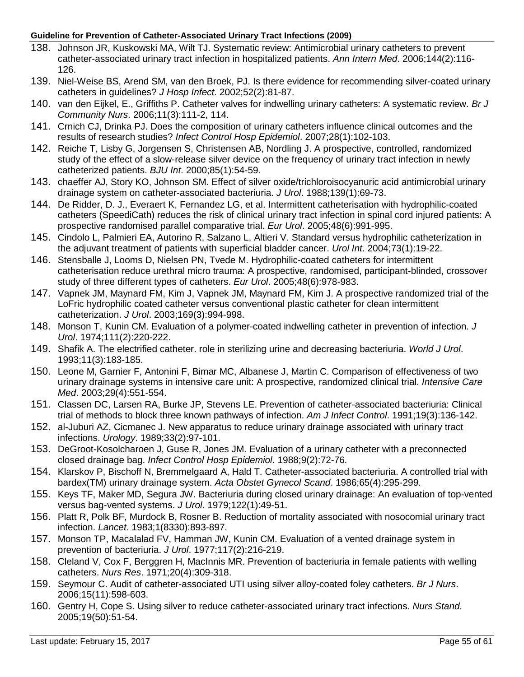- 138. Johnson JR, Kuskowski MA, Wilt TJ. Systematic review: Antimicrobial urinary catheters to prevent catheter-associated urinary tract infection in hospitalized patients. *Ann Intern Med*. 2006;144(2):116- 126.
- 139. Niel-Weise BS, Arend SM, van den Broek, PJ. Is there evidence for recommending silver-coated urinary catheters in guidelines? *J Hosp Infect*. 2002;52(2):81-87.
- 140. van den Eijkel, E., Griffiths P. Catheter valves for indwelling urinary catheters: A systematic review. *Br J Community Nurs*. 2006;11(3):111-2, 114.
- 141. Crnich CJ, Drinka PJ. Does the composition of urinary catheters influence clinical outcomes and the results of research studies? *Infect Control Hosp Epidemiol*. 2007;28(1):102-103.
- 142. Reiche T, Lisby G, Jorgensen S, Christensen AB, Nordling J. A prospective, controlled, randomized study of the effect of a slow-release silver device on the frequency of urinary tract infection in newly catheterized patients. *BJU Int*. 2000;85(1):54-59.
- 143. chaeffer AJ, Story KO, Johnson SM. Effect of silver oxide/trichloroisocyanuric acid antimicrobial urinary drainage system on catheter-associated bacteriuria. *J Urol*. 1988;139(1):69-73.
- 144. De Ridder, D. J., Everaert K, Fernandez LG, et al. Intermittent catheterisation with hydrophilic-coated catheters (SpeediCath) reduces the risk of clinical urinary tract infection in spinal cord injured patients: A prospective randomised parallel comparative trial. *Eur Urol*. 2005;48(6):991-995.
- 145. Cindolo L, Palmieri EA, Autorino R, Salzano L, Altieri V. Standard versus hydrophilic catheterization in the adjuvant treatment of patients with superficial bladder cancer. *Urol Int*. 2004;73(1):19-22.
- 146. Stensballe J, Looms D, Nielsen PN, Tvede M. Hydrophilic-coated catheters for intermittent catheterisation reduce urethral micro trauma: A prospective, randomised, participant-blinded, crossover study of three different types of catheters. *Eur Urol*. 2005;48(6):978-983.
- 147. Vapnek JM, Maynard FM, Kim J, Vapnek JM, Maynard FM, Kim J. A prospective randomized trial of the LoFric hydrophilic coated catheter versus conventional plastic catheter for clean intermittent catheterization. *J Urol*. 2003;169(3):994-998.
- 148. Monson T, Kunin CM. Evaluation of a polymer-coated indwelling catheter in prevention of infection. *J Urol*. 1974;111(2):220-222.
- 149. Shafik A. The electrified catheter. role in sterilizing urine and decreasing bacteriuria. *World J Urol*. 1993;11(3):183-185.
- 150. Leone M, Garnier F, Antonini F, Bimar MC, Albanese J, Martin C. Comparison of effectiveness of two urinary drainage systems in intensive care unit: A prospective, randomized clinical trial. *Intensive Care Med*. 2003;29(4):551-554.
- 151. Classen DC, Larsen RA, Burke JP, Stevens LE. Prevention of catheter-associated bacteriuria: Clinical trial of methods to block three known pathways of infection. *Am J Infect Control*. 1991;19(3):136-142.
- 152. al-Juburi AZ, Cicmanec J. New apparatus to reduce urinary drainage associated with urinary tract infections. *Urology*. 1989;33(2):97-101.
- 153. DeGroot-Kosolcharoen J, Guse R, Jones JM. Evaluation of a urinary catheter with a preconnected closed drainage bag. *Infect Control Hosp Epidemiol*. 1988;9(2):72-76.
- 154. Klarskov P, Bischoff N, Bremmelgaard A, Hald T. Catheter-associated bacteriuria. A controlled trial with bardex(TM) urinary drainage system. *Acta Obstet Gynecol Scand*. 1986;65(4):295-299.
- 155. Keys TF, Maker MD, Segura JW. Bacteriuria during closed urinary drainage: An evaluation of top-vented versus bag-vented systems. *J Urol*. 1979;122(1):49-51.
- 156. Platt R, Polk BF, Murdock B, Rosner B. Reduction of mortality associated with nosocomial urinary tract infection. *Lancet*. 1983;1(8330):893-897.
- 157. Monson TP, Macalalad FV, Hamman JW, Kunin CM. Evaluation of a vented drainage system in prevention of bacteriuria. *J Urol*. 1977;117(2):216-219.
- 158. Cleland V, Cox F, Berggren H, MacInnis MR. Prevention of bacteriuria in female patients with welling catheters. *Nurs Res*. 1971;20(4):309-318.
- 159. Seymour C. Audit of catheter-associated UTI using silver alloy-coated foley catheters. *Br J Nurs*. 2006;15(11):598-603.
- 160. Gentry H, Cope S. Using silver to reduce catheter-associated urinary tract infections. *Nurs Stand*. 2005;19(50):51-54.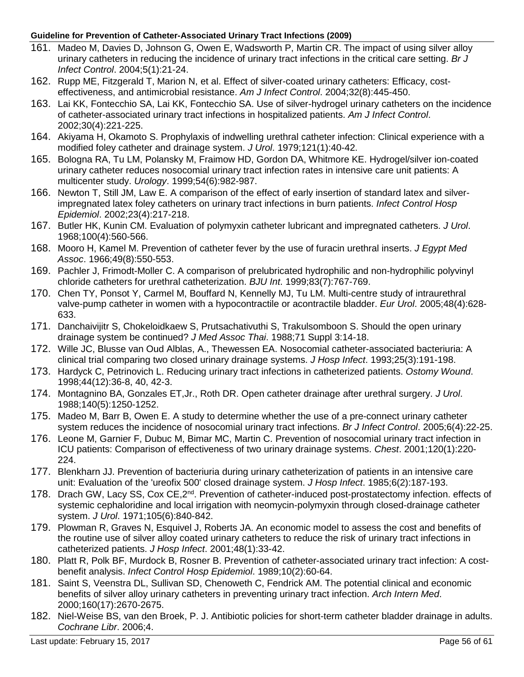- 161. Madeo M, Davies D, Johnson G, Owen E, Wadsworth P, Martin CR. The impact of using silver alloy urinary catheters in reducing the incidence of urinary tract infections in the critical care setting. *Br J Infect Control*. 2004;5(1):21-24.
- 162. Rupp ME, Fitzgerald T, Marion N, et al. Effect of silver-coated urinary catheters: Efficacy, costeffectiveness, and antimicrobial resistance. *Am J Infect Control*. 2004;32(8):445-450.
- 163. Lai KK, Fontecchio SA, Lai KK, Fontecchio SA. Use of silver-hydrogel urinary catheters on the incidence of catheter-associated urinary tract infections in hospitalized patients. *Am J Infect Control*. 2002;30(4):221-225.
- 164. Akiyama H, Okamoto S. Prophylaxis of indwelling urethral catheter infection: Clinical experience with a modified foley catheter and drainage system. *J Urol*. 1979;121(1):40-42.
- 165. Bologna RA, Tu LM, Polansky M, Fraimow HD, Gordon DA, Whitmore KE. Hydrogel/silver ion-coated urinary catheter reduces nosocomial urinary tract infection rates in intensive care unit patients: A multicenter study. *Urology*. 1999;54(6):982-987.
- 166. Newton T, Still JM, Law E. A comparison of the effect of early insertion of standard latex and silverimpregnated latex foley catheters on urinary tract infections in burn patients. *Infect Control Hosp Epidemiol*. 2002;23(4):217-218.
- 167. Butler HK, Kunin CM. Evaluation of polymyxin catheter lubricant and impregnated catheters. *J Urol*. 1968;100(4):560-566.
- 168. Mooro H, Kamel M. Prevention of catheter fever by the use of furacin urethral inserts. *J Egypt Med Assoc*. 1966;49(8):550-553.
- 169. Pachler J, Frimodt-Moller C. A comparison of prelubricated hydrophilic and non-hydrophilic polyvinyl chloride catheters for urethral catheterization. *BJU Int*. 1999;83(7):767-769.
- 170. Chen TY, Ponsot Y, Carmel M, Bouffard N, Kennelly MJ, Tu LM. Multi-centre study of intraurethral valve-pump catheter in women with a hypocontractile or acontractile bladder. *Eur Urol*. 2005;48(4):628- 633.
- 171. Danchaivijitr S, Chokeloidkaew S, Prutsachativuthi S, Trakulsomboon S. Should the open urinary drainage system be continued? *J Med Assoc Thai*. 1988;71 Suppl 3:14-18.
- 172. Wille JC, Blusse van Oud Alblas, A., Thewessen EA. Nosocomial catheter-associated bacteriuria: A clinical trial comparing two closed urinary drainage systems. *J Hosp Infect*. 1993;25(3):191-198.
- 173. Hardyck C, Petrinovich L. Reducing urinary tract infections in catheterized patients. *Ostomy Wound*. 1998;44(12):36-8, 40, 42-3.
- 174. Montagnino BA, Gonzales ET,Jr., Roth DR. Open catheter drainage after urethral surgery. *J Urol*. 1988;140(5):1250-1252.
- 175. Madeo M, Barr B, Owen E. A study to determine whether the use of a pre-connect urinary catheter system reduces the incidence of nosocomial urinary tract infections. *Br J Infect Control*. 2005;6(4):22-25.
- 176. Leone M, Garnier F, Dubuc M, Bimar MC, Martin C. Prevention of nosocomial urinary tract infection in ICU patients: Comparison of effectiveness of two urinary drainage systems. *Chest*. 2001;120(1):220- 224.
- 177. Blenkharn JJ. Prevention of bacteriuria during urinary catheterization of patients in an intensive care unit: Evaluation of the 'ureofix 500' closed drainage system. *J Hosp Infect*. 1985;6(2):187-193.
- 178. Drach GW, Lacy SS, Cox CE, 2<sup>nd</sup>. Prevention of catheter-induced post-prostatectomy infection. effects of systemic cephaloridine and local irrigation with neomycin-polymyxin through closed-drainage catheter system. *J Urol*. 1971;105(6):840-842.
- 179. Plowman R, Graves N, Esquivel J, Roberts JA. An economic model to assess the cost and benefits of the routine use of silver alloy coated urinary catheters to reduce the risk of urinary tract infections in catheterized patients. *J Hosp Infect*. 2001;48(1):33-42.
- 180. Platt R, Polk BF, Murdock B, Rosner B. Prevention of catheter-associated urinary tract infection: A costbenefit analysis. *Infect Control Hosp Epidemiol*. 1989;10(2):60-64.
- 181. Saint S, Veenstra DL, Sullivan SD, Chenoweth C, Fendrick AM. The potential clinical and economic benefits of silver alloy urinary catheters in preventing urinary tract infection. *Arch Intern Med*. 2000;160(17):2670-2675.
- 182. Niel-Weise BS, van den Broek, P. J. Antibiotic policies for short-term catheter bladder drainage in adults. *Cochrane Libr*. 2006;4.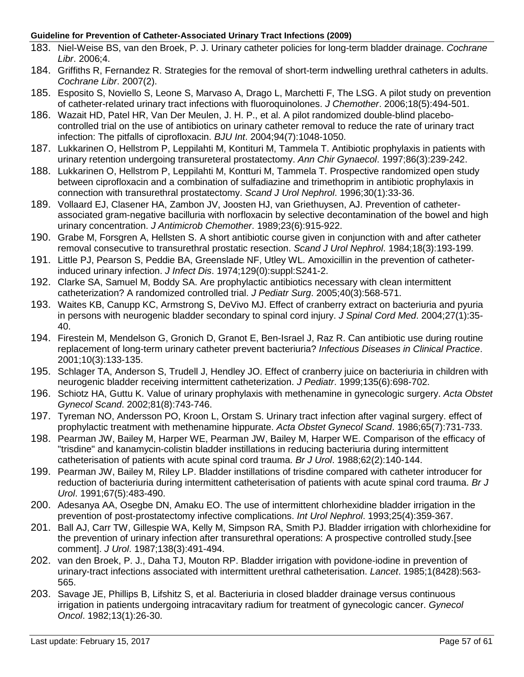- 183. Niel-Weise BS, van den Broek, P. J. Urinary catheter policies for long-term bladder drainage. *Cochrane Libr*. 2006;4.
- 184. Griffiths R, Fernandez R. Strategies for the removal of short-term indwelling urethral catheters in adults. *Cochrane Libr*. 2007(2).
- 185. Esposito S, Noviello S, Leone S, Marvaso A, Drago L, Marchetti F, The LSG. A pilot study on prevention of catheter-related urinary tract infections with fluoroquinolones. *J Chemother*. 2006;18(5):494-501.
- 186. Wazait HD, Patel HR, Van Der Meulen, J. H. P., et al. A pilot randomized double-blind placebocontrolled trial on the use of antibiotics on urinary catheter removal to reduce the rate of urinary tract infection: The pitfalls of ciprofloxacin. *BJU Int*. 2004;94(7):1048-1050.
- 187. Lukkarinen O, Hellstrom P, Leppilahti M, Kontituri M, Tammela T. Antibiotic prophylaxis in patients with urinary retention undergoing transureteral prostatectomy. *Ann Chir Gynaecol*. 1997;86(3):239-242.
- 188. Lukkarinen O, Hellstrom P, Leppilahti M, Kontturi M, Tammela T. Prospective randomized open study between ciprofloxacin and a combination of sulfadiazine and trimethoprim in antibiotic prophylaxis in connection with transurethral prostatectomy. *Scand J Urol Nephrol*. 1996;30(1):33-36.
- 189. Vollaard EJ, Clasener HA, Zambon JV, Joosten HJ, van Griethuysen, AJ. Prevention of catheterassociated gram-negative bacilluria with norfloxacin by selective decontamination of the bowel and high urinary concentration. *J Antimicrob Chemother*. 1989;23(6):915-922.
- 190. Grabe M, Forsgren A, Hellsten S. A short antibiotic course given in conjunction with and after catheter removal consecutive to transurethral prostatic resection. *Scand J Urol Nephrol*. 1984;18(3):193-199.
- 191. Little PJ, Pearson S, Peddie BA, Greenslade NF, Utley WL. Amoxicillin in the prevention of catheterinduced urinary infection. *J Infect Dis*. 1974;129(0):suppl:S241-2.
- 192. Clarke SA, Samuel M, Boddy SA. Are prophylactic antibiotics necessary with clean intermittent catheterization? A randomized controlled trial. *J Pediatr Surg*. 2005;40(3):568-571.
- 193. Waites KB, Canupp KC, Armstrong S, DeVivo MJ. Effect of cranberry extract on bacteriuria and pyuria in persons with neurogenic bladder secondary to spinal cord injury. *J Spinal Cord Med*. 2004;27(1):35- 40.
- 194. Firestein M, Mendelson G, Gronich D, Granot E, Ben-Israel J, Raz R. Can antibiotic use during routine replacement of long-term urinary catheter prevent bacteriuria? *Infectious Diseases in Clinical Practice*. 2001;10(3):133-135.
- 195. Schlager TA, Anderson S, Trudell J, Hendley JO. Effect of cranberry juice on bacteriuria in children with neurogenic bladder receiving intermittent catheterization. *J Pediatr*. 1999;135(6):698-702.
- 196. Schiotz HA, Guttu K. Value of urinary prophylaxis with methenamine in gynecologic surgery. *Acta Obstet Gynecol Scand*. 2002;81(8):743-746.
- 197. Tyreman NO, Andersson PO, Kroon L, Orstam S. Urinary tract infection after vaginal surgery. effect of prophylactic treatment with methenamine hippurate. *Acta Obstet Gynecol Scand*. 1986;65(7):731-733.
- 198. Pearman JW, Bailey M, Harper WE, Pearman JW, Bailey M, Harper WE. Comparison of the efficacy of "trisdine" and kanamycin-colistin bladder instillations in reducing bacteriuria during intermittent catheterisation of patients with acute spinal cord trauma. *Br J Urol*. 1988;62(2):140-144.
- 199. Pearman JW, Bailey M, Riley LP. Bladder instillations of trisdine compared with catheter introducer for reduction of bacteriuria during intermittent catheterisation of patients with acute spinal cord trauma. *Br J Urol*. 1991;67(5):483-490.
- 200. Adesanya AA, Osegbe DN, Amaku EO. The use of intermittent chlorhexidine bladder irrigation in the prevention of post-prostatectomy infective complications. *Int Urol Nephrol*. 1993;25(4):359-367.
- 201. Ball AJ, Carr TW, Gillespie WA, Kelly M, Simpson RA, Smith PJ. Bladder irrigation with chlorhexidine for the prevention of urinary infection after transurethral operations: A prospective controlled study.[see comment]. *J Urol*. 1987;138(3):491-494.
- 202. van den Broek, P. J., Daha TJ, Mouton RP. Bladder irrigation with povidone-iodine in prevention of urinary-tract infections associated with intermittent urethral catheterisation. *Lancet*. 1985;1(8428):563- 565.
- 203. Savage JE, Phillips B, Lifshitz S, et al. Bacteriuria in closed bladder drainage versus continuous irrigation in patients undergoing intracavitary radium for treatment of gynecologic cancer. *Gynecol Oncol*. 1982;13(1):26-30.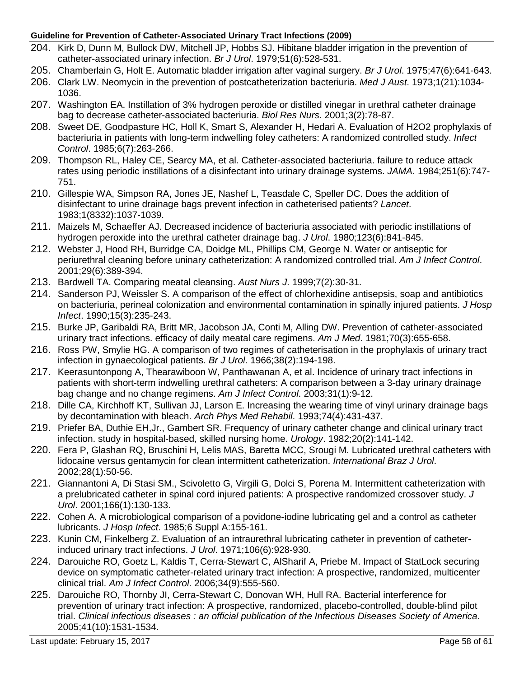- 204. Kirk D, Dunn M, Bullock DW, Mitchell JP, Hobbs SJ. Hibitane bladder irrigation in the prevention of catheter-associated urinary infection. *Br J Urol*. 1979;51(6):528-531.
- 205. Chamberlain G, Holt E. Automatic bladder irrigation after vaginal surgery. *Br J Urol*. 1975;47(6):641-643.
- 206. Clark LW. Neomycin in the prevention of postcatheterization bacteriuria. *Med J Aust*. 1973;1(21):1034- 1036.
- 207. Washington EA. Instillation of 3% hydrogen peroxide or distilled vinegar in urethral catheter drainage bag to decrease catheter-associated bacteriuria. *Biol Res Nurs*. 2001;3(2):78-87.
- 208. Sweet DE, Goodpasture HC, Holl K, Smart S, Alexander H, Hedari A. Evaluation of H2O2 prophylaxis of bacteriuria in patients with long-term indwelling foley catheters: A randomized controlled study. *Infect Control*. 1985;6(7):263-266.
- 209. Thompson RL, Haley CE, Searcy MA, et al. Catheter-associated bacteriuria. failure to reduce attack rates using periodic instillations of a disinfectant into urinary drainage systems. *JAMA*. 1984;251(6):747- 751.
- 210. Gillespie WA, Simpson RA, Jones JE, Nashef L, Teasdale C, Speller DC. Does the addition of disinfectant to urine drainage bags prevent infection in catheterised patients? *Lancet*. 1983;1(8332):1037-1039.
- 211. Maizels M, Schaeffer AJ. Decreased incidence of bacteriuria associated with periodic instillations of hydrogen peroxide into the urethral catheter drainage bag. *J Urol*. 1980;123(6):841-845.
- 212. Webster J, Hood RH, Burridge CA, Doidge ML, Phillips CM, George N. Water or antiseptic for periurethral cleaning before uninary catheterization: A randomized controlled trial. *Am J Infect Control*. 2001;29(6):389-394.
- 213. Bardwell TA. Comparing meatal cleansing. *Aust Nurs J*. 1999;7(2):30-31.
- 214. Sanderson PJ, Weissler S. A comparison of the effect of chlorhexidine antisepsis, soap and antibiotics on bacteriuria, perineal colonization and environmental contamination in spinally injured patients. *J Hosp Infect*. 1990;15(3):235-243.
- 215. Burke JP, Garibaldi RA, Britt MR, Jacobson JA, Conti M, Alling DW. Prevention of catheter-associated urinary tract infections. efficacy of daily meatal care regimens. *Am J Med*. 1981;70(3):655-658.
- 216. Ross PW, Smylie HG. A comparison of two regimes of catheterisation in the prophylaxis of urinary tract infection in gynaecological patients. *Br J Urol*. 1966;38(2):194-198.
- 217. Keerasuntonpong A, Thearawiboon W, Panthawanan A, et al. Incidence of urinary tract infections in patients with short-term indwelling urethral catheters: A comparison between a 3-day urinary drainage bag change and no change regimens. *Am J Infect Control*. 2003;31(1):9-12.
- 218. Dille CA, Kirchhoff KT, Sullivan JJ, Larson E. Increasing the wearing time of vinyl urinary drainage bags by decontamination with bleach. *Arch Phys Med Rehabil*. 1993;74(4):431-437.
- 219. Priefer BA, Duthie EH,Jr., Gambert SR. Frequency of urinary catheter change and clinical urinary tract infection. study in hospital-based, skilled nursing home. *Urology*. 1982;20(2):141-142.
- 220. Fera P, Glashan RQ, Bruschini H, Lelis MAS, Baretta MCC, Srougi M. Lubricated urethral catheters with lidocaine versus gentamycin for clean intermittent catheterization. *International Braz J Urol*. 2002;28(1):50-56.
- 221. Giannantoni A, Di Stasi SM., Scivoletto G, Virgili G, Dolci S, Porena M. Intermittent catheterization with a prelubricated catheter in spinal cord injured patients: A prospective randomized crossover study. *J Urol*. 2001;166(1):130-133.
- 222. Cohen A. A microbiological comparison of a povidone-iodine lubricating gel and a control as catheter lubricants. *J Hosp Infect*. 1985;6 Suppl A:155-161.
- 223. Kunin CM, Finkelberg Z. Evaluation of an intraurethral lubricating catheter in prevention of catheterinduced urinary tract infections. *J Urol*. 1971;106(6):928-930.
- 224. Darouiche RO, Goetz L, Kaldis T, Cerra-Stewart C, AlSharif A, Priebe M. Impact of StatLock securing device on symptomatic catheter-related urinary tract infection: A prospective, randomized, multicenter clinical trial. *Am J Infect Control*. 2006;34(9):555-560.
- 225. Darouiche RO, Thornby JI, Cerra-Stewart C, Donovan WH, Hull RA. Bacterial interference for prevention of urinary tract infection: A prospective, randomized, placebo-controlled, double-blind pilot trial. *Clinical infectious diseases : an official publication of the Infectious Diseases Society of America*. 2005;41(10):1531-1534.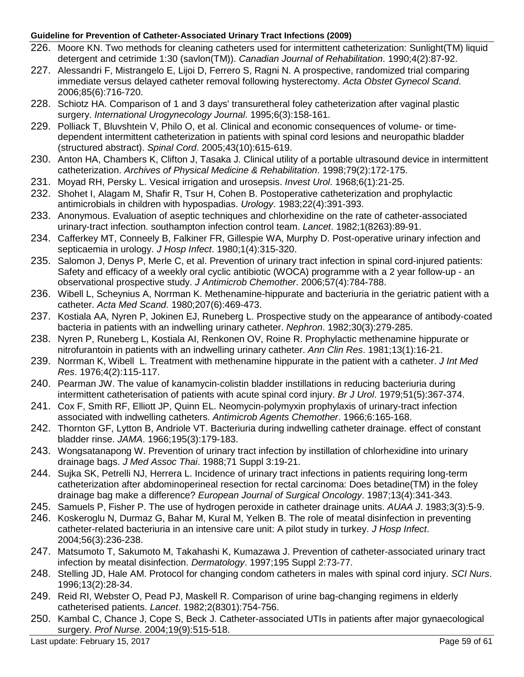- 226. Moore KN. Two methods for cleaning catheters used for intermittent catheterization: Sunlight(TM) liquid detergent and cetrimide 1:30 (savlon(TM)). *Canadian Journal of Rehabilitation*. 1990;4(2):87-92.
- 227. Alessandri F, Mistrangelo E, Lijoi D, Ferrero S, Ragni N. A prospective, randomized trial comparing immediate versus delayed catheter removal following hysterectomy. *Acta Obstet Gynecol Scand*. 2006;85(6):716-720.
- 228. Schiotz HA. Comparison of 1 and 3 days' transuretheral foley catheterization after vaginal plastic surgery. *International Urogynecology Journal*. 1995;6(3):158-161.
- 229. Polliack T, Bluvshtein V, Philo O, et al. Clinical and economic consequences of volume- or timedependent intermittent catheterization in patients with spinal cord lesions and neuropathic bladder (structured abstract). *Spinal Cord*. 2005;43(10):615-619.
- 230. Anton HA, Chambers K, Clifton J, Tasaka J. Clinical utility of a portable ultrasound device in intermittent catheterization. *Archives of Physical Medicine & Rehabilitation*. 1998;79(2):172-175.
- 231. Moyad RH, Persky L. Vesical irrigation and urosepsis. *Invest Urol*. 1968;6(1):21-25.
- 232. Shohet I, Alagam M, Shafir R, Tsur H, Cohen B. Postoperative catheterization and prophylactic antimicrobials in children with hypospadias. *Urology*. 1983;22(4):391-393.
- 233. Anonymous. Evaluation of aseptic techniques and chlorhexidine on the rate of catheter-associated urinary-tract infection. southampton infection control team. *Lancet*. 1982;1(8263):89-91.
- 234. Cafferkey MT, Conneely B, Falkiner FR, Gillespie WA, Murphy D. Post-operative urinary infection and septicaemia in urology. *J Hosp Infect*. 1980;1(4):315-320.
- 235. Salomon J, Denys P, Merle C, et al. Prevention of urinary tract infection in spinal cord-injured patients: Safety and efficacy of a weekly oral cyclic antibiotic (WOCA) programme with a 2 year follow-up - an observational prospective study. *J Antimicrob Chemother*. 2006;57(4):784-788.
- 236. Wibell L, Scheynius A, Norrman K. Methenamine-hippurate and bacteriuria in the geriatric patient with a catheter. *Acta Med Scand*. 1980;207(6):469-473.
- 237. Kostiala AA, Nyren P, Jokinen EJ, Runeberg L. Prospective study on the appearance of antibody-coated bacteria in patients with an indwelling urinary catheter. *Nephron*. 1982;30(3):279-285.
- 238. Nyren P, Runeberg L, Kostiala AI, Renkonen OV, Roine R. Prophylactic methenamine hippurate or nitrofurantoin in patients with an indwelling urinary catheter. *Ann Clin Res*. 1981;13(1):16-21.
- 239. Norrman K, Wibell L. Treatment with methenamine hippurate in the patient with a catheter. *J Int Med Res*. 1976;4(2):115-117.
- 240. Pearman JW. The value of kanamycin-colistin bladder instillations in reducing bacteriuria during intermittent catheterisation of patients with acute spinal cord injury. *Br J Urol*. 1979;51(5):367-374.
- 241. Cox F, Smith RF, Elliott JP, Quinn EL. Neomycin-polymyxin prophylaxis of urinary-tract infection associated with indwelling catheters. *Antimicrob Agents Chemother*. 1966;6:165-168.
- 242. Thornton GF, Lytton B, Andriole VT. Bacteriuria during indwelling catheter drainage. effect of constant bladder rinse. *JAMA*. 1966;195(3):179-183.
- 243. Wongsatanapong W. Prevention of urinary tract infection by instillation of chlorhexidine into urinary drainage bags. *J Med Assoc Thai*. 1988;71 Suppl 3:19-21.
- 244. Sujka SK, Petrelli NJ, Herrera L. Incidence of urinary tract infections in patients requiring long-term catheterization after abdominoperineal resection for rectal carcinoma: Does betadine(TM) in the foley drainage bag make a difference? *European Journal of Surgical Oncology*. 1987;13(4):341-343.
- 245. Samuels P, Fisher P. The use of hydrogen peroxide in catheter drainage units. *AUAA J*. 1983;3(3):5-9.
- 246. Koskeroglu N, Durmaz G, Bahar M, Kural M, Yelken B. The role of meatal disinfection in preventing catheter-related bacteriuria in an intensive care unit: A pilot study in turkey. *J Hosp Infect*. 2004;56(3):236-238.
- 247. Matsumoto T, Sakumoto M, Takahashi K, Kumazawa J. Prevention of catheter-associated urinary tract infection by meatal disinfection. *Dermatology*. 1997;195 Suppl 2:73-77.
- 248. Stelling JD, Hale AM. Protocol for changing condom catheters in males with spinal cord injury. *SCI Nurs*. 1996;13(2):28-34.
- 249. Reid RI, Webster O, Pead PJ, Maskell R. Comparison of urine bag-changing regimens in elderly catheterised patients. *Lancet*. 1982;2(8301):754-756.
- 250. Kambal C, Chance J, Cope S, Beck J. Catheter-associated UTIs in patients after major gynaecological surgery. *Prof Nurse*. 2004;19(9):515-518.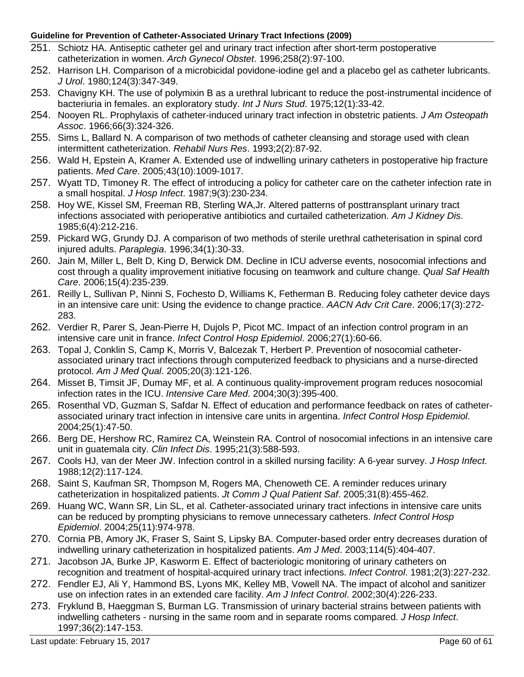- 251. Schiotz HA. Antiseptic catheter gel and urinary tract infection after short-term postoperative catheterization in women. *Arch Gynecol Obstet*. 1996;258(2):97-100.
- 252. Harrison LH. Comparison of a microbicidal povidone-iodine gel and a placebo gel as catheter lubricants. *J Urol*. 1980;124(3):347-349.
- 253. Chavigny KH. The use of polymixin B as a urethral lubricant to reduce the post-instrumental incidence of bacteriuria in females. an exploratory study. *Int J Nurs Stud*. 1975;12(1):33-42.
- 254. Nooyen RL. Prophylaxis of catheter-induced urinary tract infection in obstetric patients. *J Am Osteopath Assoc*. 1966;66(3):324-326.
- 255. Sims L, Ballard N. A comparison of two methods of catheter cleansing and storage used with clean intermittent catheterization. *Rehabil Nurs Res*. 1993;2(2):87-92.
- 256. Wald H, Epstein A, Kramer A. Extended use of indwelling urinary catheters in postoperative hip fracture patients. *Med Care*. 2005;43(10):1009-1017.
- 257. Wyatt TD, Timoney R. The effect of introducing a policy for catheter care on the catheter infection rate in a small hospital. *J Hosp Infect*. 1987;9(3):230-234.
- 258. Hoy WE, Kissel SM, Freeman RB, Sterling WA,Jr. Altered patterns of posttransplant urinary tract infections associated with perioperative antibiotics and curtailed catheterization. *Am J Kidney Dis*. 1985;6(4):212-216.
- 259. Pickard WG, Grundy DJ. A comparison of two methods of sterile urethral catheterisation in spinal cord injured adults. *Paraplegia*. 1996;34(1):30-33.
- 260. Jain M, Miller L, Belt D, King D, Berwick DM. Decline in ICU adverse events, nosocomial infections and cost through a quality improvement initiative focusing on teamwork and culture change. *Qual Saf Health Care*. 2006;15(4):235-239.
- 261. Reilly L, Sullivan P, Ninni S, Fochesto D, Williams K, Fetherman B. Reducing foley catheter device days in an intensive care unit: Using the evidence to change practice. *AACN Adv Crit Care*. 2006;17(3):272- 283.
- 262. Verdier R, Parer S, Jean-Pierre H, Dujols P, Picot MC. Impact of an infection control program in an intensive care unit in france. *Infect Control Hosp Epidemiol*. 2006;27(1):60-66.
- 263. Topal J, Conklin S, Camp K, Morris V, Balcezak T, Herbert P. Prevention of nosocomial catheterassociated urinary tract infections through computerized feedback to physicians and a nurse-directed protocol. *Am J Med Qual*. 2005;20(3):121-126.
- 264. Misset B, Timsit JF, Dumay MF, et al. A continuous quality-improvement program reduces nosocomial infection rates in the ICU. *Intensive Care Med*. 2004;30(3):395-400.
- 265. Rosenthal VD, Guzman S, Safdar N. Effect of education and performance feedback on rates of catheterassociated urinary tract infection in intensive care units in argentina. *Infect Control Hosp Epidemiol*. 2004;25(1):47-50.
- 266. Berg DE, Hershow RC, Ramirez CA, Weinstein RA. Control of nosocomial infections in an intensive care unit in guatemala city. *Clin Infect Dis*. 1995;21(3):588-593.
- 267. Cools HJ, van der Meer JW. Infection control in a skilled nursing facility: A 6-year survey. *J Hosp Infect*. 1988;12(2):117-124.
- 268. Saint S, Kaufman SR, Thompson M, Rogers MA, Chenoweth CE. A reminder reduces urinary catheterization in hospitalized patients. *Jt Comm J Qual Patient Saf*. 2005;31(8):455-462.
- 269. Huang WC, Wann SR, Lin SL, et al. Catheter-associated urinary tract infections in intensive care units can be reduced by prompting physicians to remove unnecessary catheters. *Infect Control Hosp Epidemiol*. 2004;25(11):974-978.
- 270. Cornia PB, Amory JK, Fraser S, Saint S, Lipsky BA. Computer-based order entry decreases duration of indwelling urinary catheterization in hospitalized patients. *Am J Med*. 2003;114(5):404-407.
- 271. Jacobson JA, Burke JP, Kasworm E. Effect of bacteriologic monitoring of urinary catheters on recognition and treatment of hospital-acquired urinary tract infections. *Infect Control*. 1981;2(3):227-232.
- 272. Fendler EJ, Ali Y, Hammond BS, Lyons MK, Kelley MB, Vowell NA. The impact of alcohol and sanitizer use on infection rates in an extended care facility. *Am J Infect Control*. 2002;30(4):226-233.
- 273. Fryklund B, Haeggman S, Burman LG. Transmission of urinary bacterial strains between patients with indwelling catheters - nursing in the same room and in separate rooms compared. *J Hosp Infect*. 1997;36(2):147-153.